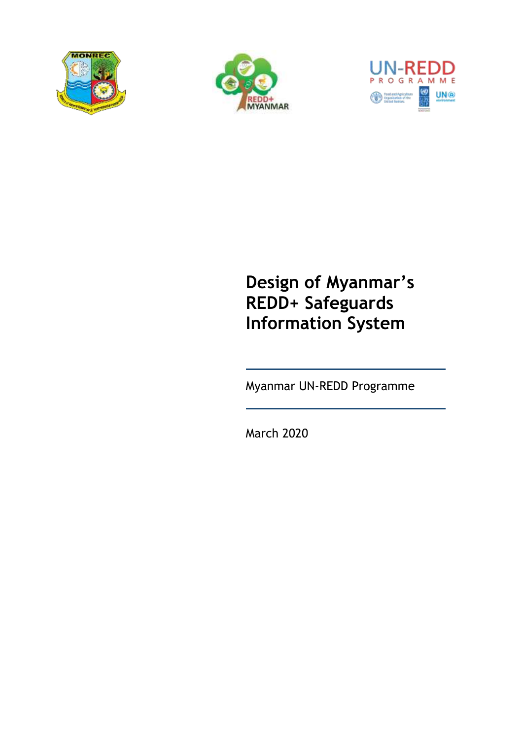





# **Design of Myanmar's REDD+ Safeguards Information System**

Myanmar UN-REDD Programme

March 2020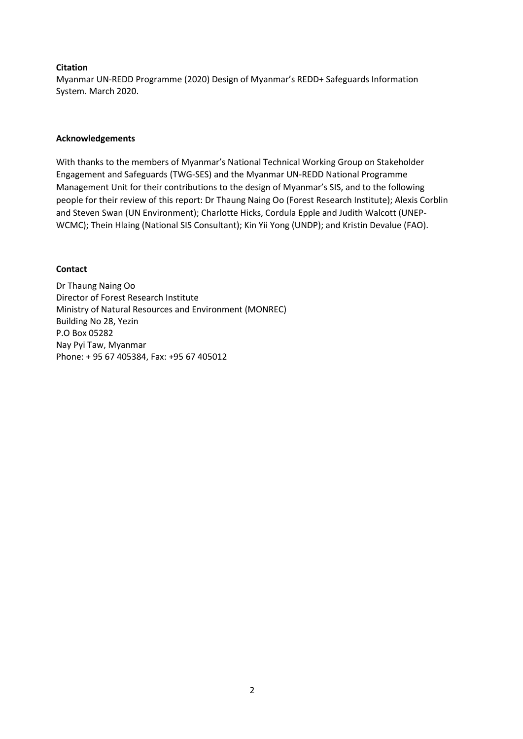#### **Citation**

Myanmar UN-REDD Programme (2020) Design of Myanmar's REDD+ Safeguards Information System. March 2020.

#### **Acknowledgements**

With thanks to the members of Myanmar's National Technical Working Group on Stakeholder Engagement and Safeguards (TWG-SES) and the Myanmar UN-REDD National Programme Management Unit for their contributions to the design of Myanmar's SIS, and to the following people for their review of this report: Dr Thaung Naing Oo (Forest Research Institute); Alexis Corblin and Steven Swan (UN Environment); Charlotte Hicks, Cordula Epple and Judith Walcott (UNEP-WCMC); Thein Hlaing (National SIS Consultant); Kin Yii Yong (UNDP); and Kristin Devalue (FAO).

#### **Contact**

Dr Thaung Naing Oo Director of Forest Research Institute Ministry of Natural Resources and Environment (MONREC) Building No 28, Yezin P.O Box 05282 Nay Pyi Taw, Myanmar Phone: + 95 67 405384, Fax: +95 67 405012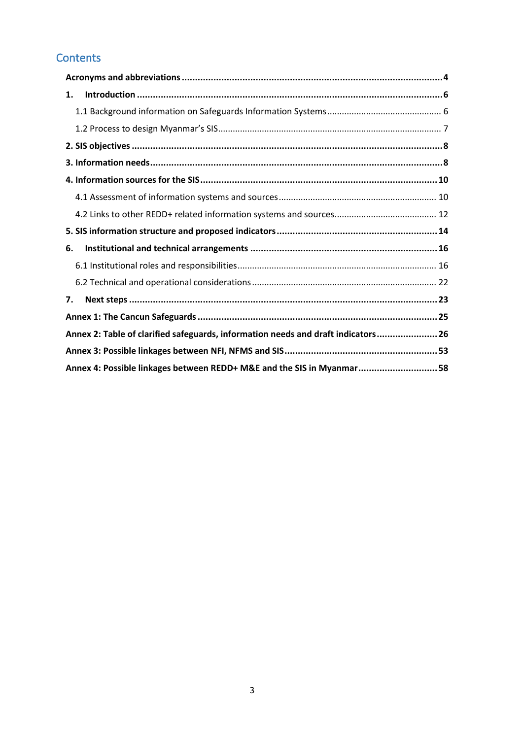# **Contents**

| 1.                                                                                |
|-----------------------------------------------------------------------------------|
|                                                                                   |
|                                                                                   |
|                                                                                   |
|                                                                                   |
|                                                                                   |
|                                                                                   |
|                                                                                   |
|                                                                                   |
| 6.                                                                                |
|                                                                                   |
|                                                                                   |
| 7.                                                                                |
|                                                                                   |
| Annex 2: Table of clarified safeguards, information needs and draft indicators 26 |
|                                                                                   |
| Annex 4: Possible linkages between REDD+ M&E and the SIS in Myanmar 58            |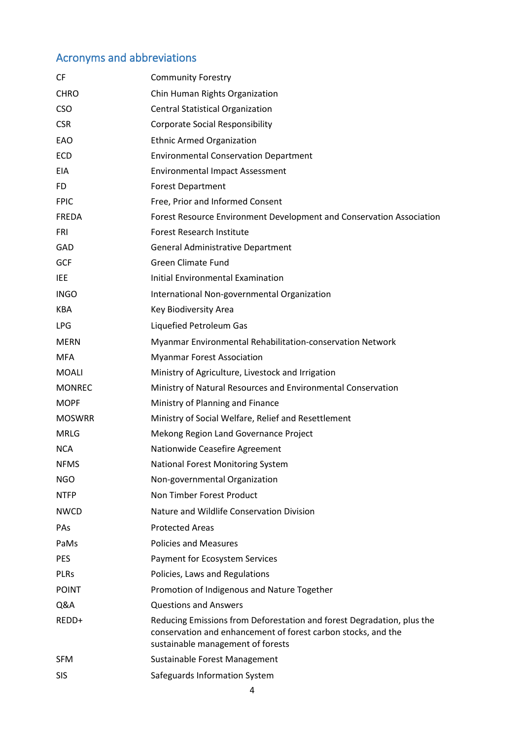# <span id="page-3-0"></span>Acronyms and abbreviations

| CF            | <b>Community Forestry</b>                                                                                                                                                    |
|---------------|------------------------------------------------------------------------------------------------------------------------------------------------------------------------------|
| <b>CHRO</b>   | Chin Human Rights Organization                                                                                                                                               |
| <b>CSO</b>    | Central Statistical Organization                                                                                                                                             |
| <b>CSR</b>    | <b>Corporate Social Responsibility</b>                                                                                                                                       |
| EAO           | <b>Ethnic Armed Organization</b>                                                                                                                                             |
| <b>ECD</b>    | <b>Environmental Conservation Department</b>                                                                                                                                 |
| EIA           | <b>Environmental Impact Assessment</b>                                                                                                                                       |
| <b>FD</b>     | <b>Forest Department</b>                                                                                                                                                     |
| <b>FPIC</b>   | Free, Prior and Informed Consent                                                                                                                                             |
| <b>FREDA</b>  | Forest Resource Environment Development and Conservation Association                                                                                                         |
| <b>FRI</b>    | <b>Forest Research Institute</b>                                                                                                                                             |
| GAD           | General Administrative Department                                                                                                                                            |
| <b>GCF</b>    | <b>Green Climate Fund</b>                                                                                                                                                    |
| IEE           | Initial Environmental Examination                                                                                                                                            |
| <b>INGO</b>   | International Non-governmental Organization                                                                                                                                  |
| KBA           | Key Biodiversity Area                                                                                                                                                        |
| <b>LPG</b>    | Liquefied Petroleum Gas                                                                                                                                                      |
| <b>MERN</b>   | Myanmar Environmental Rehabilitation-conservation Network                                                                                                                    |
| <b>MFA</b>    | <b>Myanmar Forest Association</b>                                                                                                                                            |
| MOALI         | Ministry of Agriculture, Livestock and Irrigation                                                                                                                            |
| <b>MONREC</b> | Ministry of Natural Resources and Environmental Conservation                                                                                                                 |
| <b>MOPF</b>   | Ministry of Planning and Finance                                                                                                                                             |
| <b>MOSWRR</b> | Ministry of Social Welfare, Relief and Resettlement                                                                                                                          |
| <b>MRLG</b>   | Mekong Region Land Governance Project                                                                                                                                        |
| <b>NCA</b>    | Nationwide Ceasefire Agreement                                                                                                                                               |
| <b>NFMS</b>   | National Forest Monitoring System                                                                                                                                            |
| <b>NGO</b>    | Non-governmental Organization                                                                                                                                                |
| <b>NTFP</b>   | Non Timber Forest Product                                                                                                                                                    |
| <b>NWCD</b>   | Nature and Wildlife Conservation Division                                                                                                                                    |
| PAs           | <b>Protected Areas</b>                                                                                                                                                       |
| PaMs          | <b>Policies and Measures</b>                                                                                                                                                 |
| <b>PES</b>    | Payment for Ecosystem Services                                                                                                                                               |
| <b>PLRs</b>   | Policies, Laws and Regulations                                                                                                                                               |
| <b>POINT</b>  | Promotion of Indigenous and Nature Together                                                                                                                                  |
| Q&A           | <b>Questions and Answers</b>                                                                                                                                                 |
| REDD+         | Reducing Emissions from Deforestation and forest Degradation, plus the<br>conservation and enhancement of forest carbon stocks, and the<br>sustainable management of forests |
| <b>SFM</b>    | Sustainable Forest Management                                                                                                                                                |
| <b>SIS</b>    | Safeguards Information System                                                                                                                                                |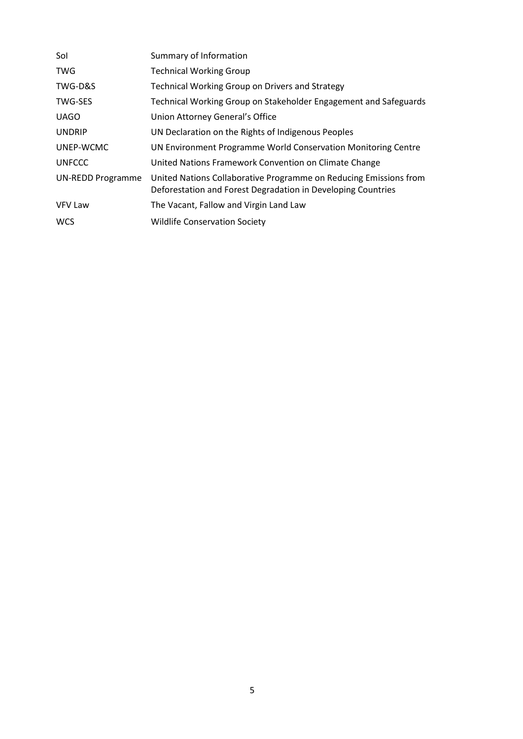| Sol                      | Summary of Information                                                                                                            |
|--------------------------|-----------------------------------------------------------------------------------------------------------------------------------|
| TWG                      | <b>Technical Working Group</b>                                                                                                    |
| TWG-D&S                  | Technical Working Group on Drivers and Strategy                                                                                   |
| TWG-SES                  | Technical Working Group on Stakeholder Engagement and Safeguards                                                                  |
| <b>UAGO</b>              | Union Attorney General's Office                                                                                                   |
| <b>UNDRIP</b>            | UN Declaration on the Rights of Indigenous Peoples                                                                                |
| UNEP-WCMC                | UN Environment Programme World Conservation Monitoring Centre                                                                     |
| <b>UNFCCC</b>            | United Nations Framework Convention on Climate Change                                                                             |
| <b>UN-REDD Programme</b> | United Nations Collaborative Programme on Reducing Emissions from<br>Deforestation and Forest Degradation in Developing Countries |
| <b>VFV Law</b>           | The Vacant, Fallow and Virgin Land Law                                                                                            |
| <b>WCS</b>               | <b>Wildlife Conservation Society</b>                                                                                              |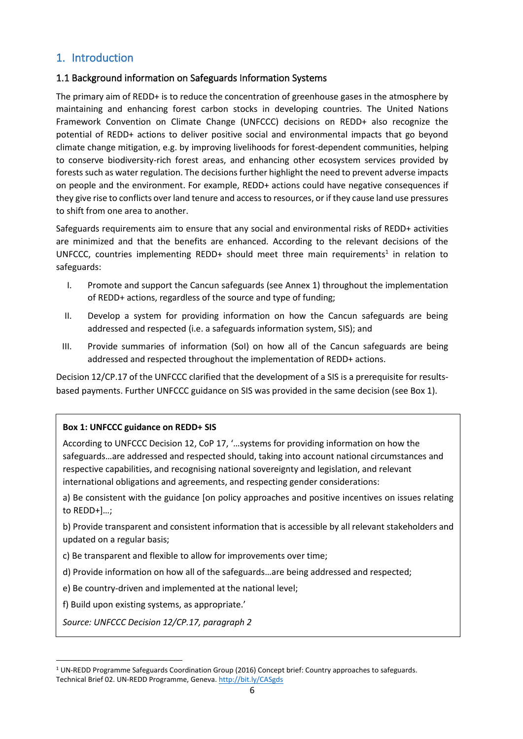# <span id="page-5-0"></span>1. Introduction

# <span id="page-5-1"></span>1.1 Background information on Safeguards Information Systems

The primary aim of REDD+ is to reduce the concentration of greenhouse gases in the atmosphere by maintaining and enhancing forest carbon stocks in developing countries. The United Nations Framework Convention on Climate Change (UNFCCC) decisions on REDD+ also recognize the potential of REDD+ actions to deliver positive social and environmental impacts that go beyond climate change mitigation, e.g. by improving livelihoods for forest-dependent communities, helping to conserve biodiversity-rich forest areas, and enhancing other ecosystem services provided by forests such as water regulation. The decisions further highlight the need to prevent adverse impacts on people and the environment. For example, REDD+ actions could have negative consequences if they give rise to conflicts over land tenure and access to resources, or if they cause land use pressures to shift from one area to another.

Safeguards requirements aim to ensure that any social and environmental risks of REDD+ activities are minimized and that the benefits are enhanced. According to the relevant decisions of the UNFCCC, countries implementing REDD+ should meet three main requirements<sup>1</sup> in relation to safeguards:

- I. Promote and support the Cancun safeguards (see Annex 1) throughout the implementation of REDD+ actions, regardless of the source and type of funding;
- II. Develop a system for providing information on how the Cancun safeguards are being addressed and respected (i.e. a safeguards information system, SIS); and
- III. Provide summaries of information (SoI) on how all of the Cancun safeguards are being addressed and respected throughout the implementation of REDD+ actions.

Decision 12/CP.17 of the UNFCCC clarified that the development of a SIS is a prerequisite for resultsbased payments. Further UNFCCC guidance on SIS was provided in the same decision (see Box 1).

#### **Box 1: UNFCCC guidance on REDD+ SIS**

According to UNFCCC Decision 12, CoP 17, '…systems for providing information on how the safeguards…are addressed and respected should, taking into account national circumstances and respective capabilities, and recognising national sovereignty and legislation, and relevant international obligations and agreements, and respecting gender considerations:

a) Be consistent with the guidance [on policy approaches and positive incentives on issues relating to REDD+]…;

b) Provide transparent and consistent information that is accessible by all relevant stakeholders and updated on a regular basis;

- c) Be transparent and flexible to allow for improvements over time;
- d) Provide information on how all of the safeguards…are being addressed and respected;
- e) Be country-driven and implemented at the national level;
- f) Build upon existing systems, as appropriate.'

*Source: UNFCCC Decision 12/CP.17, paragraph 2*

<sup>1</sup> UN-REDD Programme Safeguards Coordination Group (2016) Concept brief: Country approaches to safeguards. Technical Brief 02. UN-REDD Programme, Geneva[. http://bit.ly/CASgds](http://bit.ly/CASgds)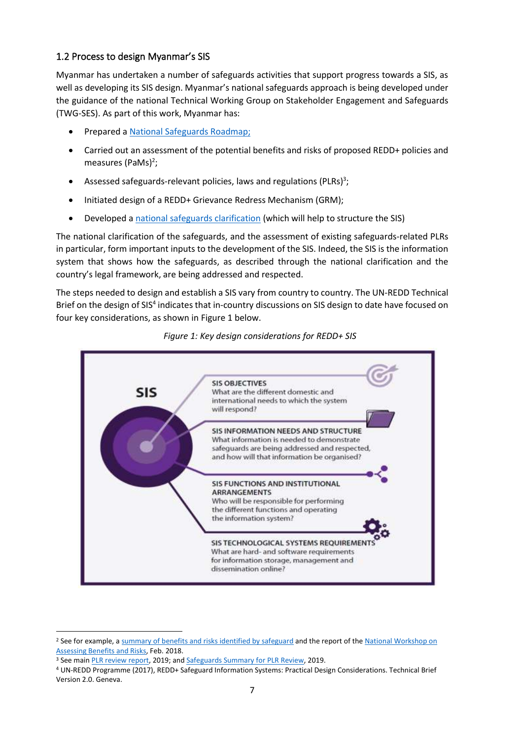# <span id="page-6-0"></span>1.2 Process to design Myanmar's SIS

Myanmar has undertaken a number of safeguards activities that support progress towards a SIS, as well as developing its SIS design. Myanmar's national safeguards approach is being developed under the guidance of the national Technical Working Group on Stakeholder Engagement and Safeguards (TWG-SES). As part of this work, Myanmar has:

- Prepared a [National Safeguards Roadmap;](https://www.unredd.net/documents/global-programme-191/safeguards-multiple-benefits-297/studies-reports-and-publications-1/16544-myanmar-redd-safeguards-roadmap-english/file.html)
- Carried out an assessment of the potential benefits and risks of proposed REDD+ policies and measures (PaMs)<sup>2</sup>;
- Assessed safeguards-relevant policies, laws and regulations (PLRs)<sup>3</sup>;
- Initiated design of a REDD+ Grievance Redress Mechanism (GRM);
- Developed a [national safeguards clarification](http://www.myanmar-redd.org/wp-content/uploads/2017/10/Myanmar-National-Clarification-of-Cancun-Safeguards-2019_Final-Eng.pdf) (which will help to structure the SIS)

The national clarification of the safeguards, and the assessment of existing safeguards-related PLRs in particular, form important inputs to the development of the SIS. Indeed, the SIS is the information system that shows how the safeguards, as described through the national clarification and the country's legal framework, are being addressed and respected.

The steps needed to design and establish a SIS vary from country to country. The UN-REDD Technical Brief on the design of SIS<sup>4</sup> indicates that in-country discussions on SIS design to date have focused on four key considerations, as shown in Figure 1 below.



*Figure 1: Key design considerations for REDD+ SIS*

<sup>&</sup>lt;sup>2</sup> See for example, [a summary of benefits and risks identified by safeguard](http://www.myanmar-redd.org/wp-content/uploads/2017/10/Myanmar-benefits-and-risks-summary-by-safeguards-July-2019.pdf) and the report of the National Workshop on [Assessing Benefits and Risks,](https://unredd.net/documents/global-programme-191/safeguards-multiple-benefits-297/studies-reports-and-publications-1/16661-workshop-report-national-workshop-for-assessing-benefits-and-risks-of-redd-in-myanmar.html) Feb. 2018.

<sup>&</sup>lt;sup>3</sup> See mai[n PLR review report,](http://www.myanmar-redd.org/wp-content/uploads/2018/10/Report-on-PLR-review.pdf) 2019; an[d Safeguards Summary for PLR Review,](http://www.myanmar-redd.org/wp-content/uploads/2018/10/PLR-Review-Safeguards-Summary-Report-May-2019-final.pdf) 2019.

<sup>4</sup> UN-REDD Programme (2017), REDD+ Safeguard Information Systems: Practical Design Considerations. Technical Brief Version 2.0. Geneva.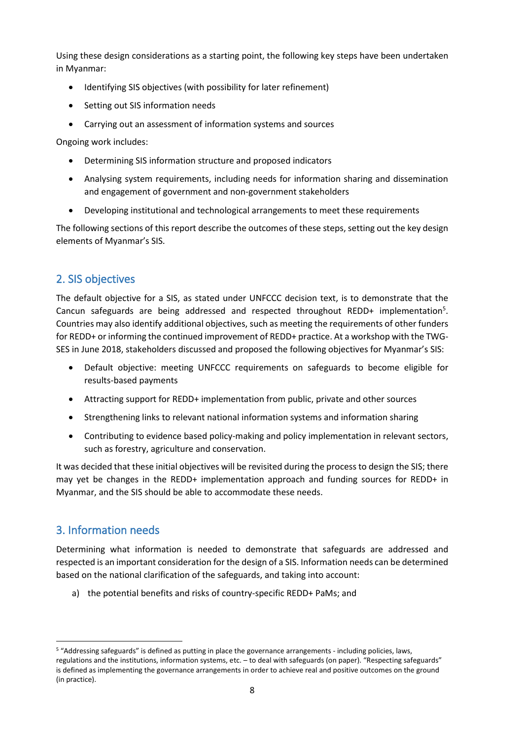Using these design considerations as a starting point, the following key steps have been undertaken in Myanmar:

- Identifying SIS objectives (with possibility for later refinement)
- Setting out SIS information needs
- Carrying out an assessment of information systems and sources

Ongoing work includes:

- Determining SIS information structure and proposed indicators
- Analysing system requirements, including needs for information sharing and dissemination and engagement of government and non-government stakeholders
- Developing institutional and technological arrangements to meet these requirements

The following sections of this report describe the outcomes of these steps, setting out the key design elements of Myanmar's SIS.

# <span id="page-7-0"></span>2. SIS objectives

The default objective for a SIS, as stated under UNFCCC decision text, is to demonstrate that the Cancun safeguards are being addressed and respected throughout REDD+ implementation<sup>5</sup>. Countries may also identify additional objectives, such as meeting the requirements of other funders for REDD+ or informing the continued improvement of REDD+ practice. At a workshop with the TWG-SES in June 2018, stakeholders discussed and proposed the following objectives for Myanmar's SIS:

- Default objective: meeting UNFCCC requirements on safeguards to become eligible for results-based payments
- Attracting support for REDD+ implementation from public, private and other sources
- Strengthening links to relevant national information systems and information sharing
- Contributing to evidence based policy-making and policy implementation in relevant sectors, such as forestry, agriculture and conservation.

It was decided that these initial objectives will be revisited during the process to design the SIS; there may yet be changes in the REDD+ implementation approach and funding sources for REDD+ in Myanmar, and the SIS should be able to accommodate these needs.

# <span id="page-7-1"></span>3. Information needs

Determining what information is needed to demonstrate that safeguards are addressed and respected is an important consideration for the design of a SIS. Information needs can be determined based on the national clarification of the safeguards, and taking into account:

a) the potential benefits and risks of country-specific REDD+ PaMs; and

<sup>5</sup> "Addressing safeguards" is defined as putting in place the governance arrangements - including policies, laws, regulations and the institutions, information systems, etc. – to deal with safeguards (on paper). "Respecting safeguards" is defined as implementing the governance arrangements in order to achieve real and positive outcomes on the ground (in practice).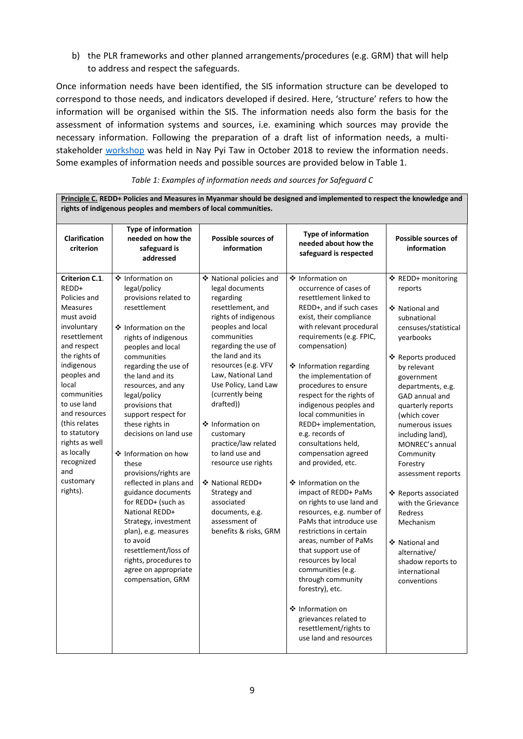b) the PLR frameworks and other planned arrangements/procedures (e.g. GRM) that will help to address and respect the safeguards.

Once information needs have been identified, the SIS information structure can be developed to correspond to those needs, and indicators developed if desired. Here, 'structure' refers to how the information will be organised within the SIS. The information needs also form the basis for the assessment of information systems and sources, i.e. examining which sources may provide the necessary information. Following the preparation of a draft list of information needs, a multistakeholder [workshop](https://www.unredd.net/documents/global-programme-191/safeguards-multiple-benefits-297/workshops-and-events-1316/17072-workshop-report-national-workshop-on-information-needs-for-development-of-a-redd-safeguards-information-system-in-myanmar.html) was held in Nay Pyi Taw in October 2018 to review the information needs. Some examples of information needs and possible sources are provided below in Table 1.

| Principle C. REDD+ Policies and Measures in Myanmar should be designed and implemented to respect the knowledge and<br>rights of indigenous peoples and members of local communities.                                                                                                                                                       |                                                                                                                                                                                                                                                                                                                                                                                                                                                                                                                                                                                                                                                   |                                                                                                                                                                                                                                                                                                                                                                                                                                                                                                              |                                                                                                                                                                                                                                                                                                                                                                                                                                                                                                                                                                                                                                                                                                                                                                                                                                                                                     |                                                                                                                                                                                                                                                                                                                                                                                                                                                                                                          |
|---------------------------------------------------------------------------------------------------------------------------------------------------------------------------------------------------------------------------------------------------------------------------------------------------------------------------------------------|---------------------------------------------------------------------------------------------------------------------------------------------------------------------------------------------------------------------------------------------------------------------------------------------------------------------------------------------------------------------------------------------------------------------------------------------------------------------------------------------------------------------------------------------------------------------------------------------------------------------------------------------------|--------------------------------------------------------------------------------------------------------------------------------------------------------------------------------------------------------------------------------------------------------------------------------------------------------------------------------------------------------------------------------------------------------------------------------------------------------------------------------------------------------------|-------------------------------------------------------------------------------------------------------------------------------------------------------------------------------------------------------------------------------------------------------------------------------------------------------------------------------------------------------------------------------------------------------------------------------------------------------------------------------------------------------------------------------------------------------------------------------------------------------------------------------------------------------------------------------------------------------------------------------------------------------------------------------------------------------------------------------------------------------------------------------------|----------------------------------------------------------------------------------------------------------------------------------------------------------------------------------------------------------------------------------------------------------------------------------------------------------------------------------------------------------------------------------------------------------------------------------------------------------------------------------------------------------|
| Clarification<br>criterion                                                                                                                                                                                                                                                                                                                  | <b>Type of information</b><br>needed on how the<br>safeguard is<br>addressed                                                                                                                                                                                                                                                                                                                                                                                                                                                                                                                                                                      | Possible sources of<br>information                                                                                                                                                                                                                                                                                                                                                                                                                                                                           | <b>Type of information</b><br>needed about how the<br>safeguard is respected                                                                                                                                                                                                                                                                                                                                                                                                                                                                                                                                                                                                                                                                                                                                                                                                        | Possible sources of<br>information                                                                                                                                                                                                                                                                                                                                                                                                                                                                       |
| Criterion C.1.<br>REDD+<br>Policies and<br><b>Measures</b><br>must avoid<br>involuntary<br>resettlement<br>and respect<br>the rights of<br>indigenous<br>peoples and<br>local<br>communities<br>to use land<br>and resources<br>(this relates<br>to statutory<br>rights as well<br>as locally<br>recognized<br>and<br>customary<br>rights). | ❖ Information on<br>legal/policy<br>provisions related to<br>resettlement<br>❖ Information on the<br>rights of indigenous<br>peoples and local<br>communities<br>regarding the use of<br>the land and its<br>resources, and any<br>legal/policy<br>provisions that<br>support respect for<br>these rights in<br>decisions on land use<br>❖ Information on how<br>these<br>provisions/rights are<br>reflected in plans and<br>guidance documents<br>for REDD+ (such as<br>National REDD+<br>Strategy, investment<br>plan), e.g. measures<br>to avoid<br>resettlement/loss of<br>rights, procedures to<br>agree on appropriate<br>compensation, GRM | ❖ National policies and<br>legal documents<br>regarding<br>resettlement, and<br>rights of indigenous<br>peoples and local<br>communities<br>regarding the use of<br>the land and its<br>resources (e.g. VFV<br>Law, National Land<br>Use Policy, Land Law<br>(currently being<br>drafted))<br>❖ Information on<br>customary<br>practice/law related<br>to land use and<br>resource use rights<br>❖ National REDD+<br>Strategy and<br>associated<br>documents, e.g.<br>assessment of<br>benefits & risks, GRM | ❖ Information on<br>occurrence of cases of<br>resettlement linked to<br>REDD+, and if such cases<br>exist, their compliance<br>with relevant procedural<br>requirements (e.g. FPIC,<br>compensation)<br>❖ Information regarding<br>the implementation of<br>procedures to ensure<br>respect for the rights of<br>indigenous peoples and<br>local communities in<br>REDD+ implementation,<br>e.g. records of<br>consultations held,<br>compensation agreed<br>and provided, etc.<br>❖ Information on the<br>impact of REDD+ PaMs<br>on rights to use land and<br>resources, e.g. number of<br>PaMs that introduce use<br>restrictions in certain<br>areas, number of PaMs<br>that support use of<br>resources by local<br>communities (e.g.<br>through community<br>forestry), etc.<br>❖ Information on<br>grievances related to<br>resettlement/rights to<br>use land and resources | ❖ REDD+ monitoring<br>reports<br>❖ National and<br>subnational<br>censuses/statistical<br>yearbooks<br>❖ Reports produced<br>by relevant<br>government<br>departments, e.g.<br>GAD annual and<br>quarterly reports<br>(which cover<br>numerous issues<br>including land),<br>MONREC's annual<br>Community<br>Forestry<br>assessment reports<br>❖ Reports associated<br>with the Grievance<br>Redress<br>Mechanism<br>❖ National and<br>alternative/<br>shadow reports to<br>international<br>conventions |

*Table 1: Examples of information needs and sources for Safeguard C*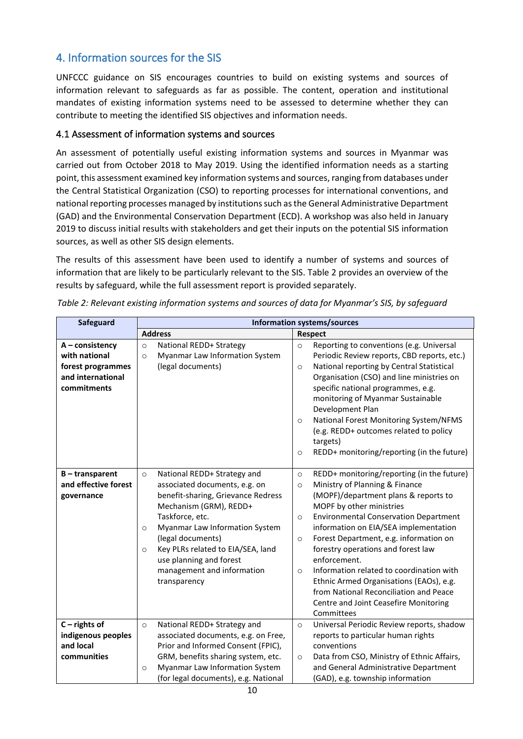# <span id="page-9-0"></span>4. Information sources for the SIS

UNFCCC guidance on SIS encourages countries to build on existing systems and sources of information relevant to safeguards as far as possible. The content, operation and institutional mandates of existing information systems need to be assessed to determine whether they can contribute to meeting the identified SIS objectives and information needs.

# <span id="page-9-1"></span>4.1 Assessment of information systems and sources

An assessment of potentially useful existing information systems and sources in Myanmar was carried out from October 2018 to May 2019. Using the identified information needs as a starting point, this assessment examined key information systems and sources, ranging from databases under the Central Statistical Organization (CSO) to reporting processes for international conventions, and national reporting processes managed by institutions such as the General Administrative Department (GAD) and the Environmental Conservation Department (ECD). A workshop was also held in January 2019 to discuss initial results with stakeholders and get their inputs on the potential SIS information sources, as well as other SIS design elements.

The results of this assessment have been used to identify a number of systems and sources of information that are likely to be particularly relevant to the SIS. Table 2 provides an overview of the results by safeguard, while the full assessment report is provided separately.

| Safeguard                                                                                   | Information systems/sources                                                                                                                                                                                                                                                                                                                           |                                                                                                                                                                                                                                                                                                                                                                                                                                                                                                                                                                                          |  |
|---------------------------------------------------------------------------------------------|-------------------------------------------------------------------------------------------------------------------------------------------------------------------------------------------------------------------------------------------------------------------------------------------------------------------------------------------------------|------------------------------------------------------------------------------------------------------------------------------------------------------------------------------------------------------------------------------------------------------------------------------------------------------------------------------------------------------------------------------------------------------------------------------------------------------------------------------------------------------------------------------------------------------------------------------------------|--|
|                                                                                             | <b>Address</b>                                                                                                                                                                                                                                                                                                                                        | <b>Respect</b>                                                                                                                                                                                                                                                                                                                                                                                                                                                                                                                                                                           |  |
| $A$ – consistency<br>with national<br>forest programmes<br>and international<br>commitments | National REDD+ Strategy<br>$\circ$<br>Myanmar Law Information System<br>$\circ$<br>(legal documents)                                                                                                                                                                                                                                                  | Reporting to conventions (e.g. Universal<br>$\circ$<br>Periodic Review reports, CBD reports, etc.)<br>National reporting by Central Statistical<br>$\circ$<br>Organisation (CSO) and line ministries on<br>specific national programmes, e.g.<br>monitoring of Myanmar Sustainable<br>Development Plan<br>National Forest Monitoring System/NFMS<br>$\circ$<br>(e.g. REDD+ outcomes related to policy<br>targets)<br>REDD+ monitoring/reporting (in the future)<br>$\circ$                                                                                                               |  |
| B-transparent<br>and effective forest<br>governance                                         | National REDD+ Strategy and<br>$\circ$<br>associated documents, e.g. on<br>benefit-sharing, Grievance Redress<br>Mechanism (GRM), REDD+<br>Taskforce, etc.<br>Myanmar Law Information System<br>$\circ$<br>(legal documents)<br>Key PLRs related to EIA/SEA, land<br>$\circ$<br>use planning and forest<br>management and information<br>transparency | REDD+ monitoring/reporting (in the future)<br>$\circ$<br>Ministry of Planning & Finance<br>$\circ$<br>(MOPF)/department plans & reports to<br>MOPF by other ministries<br><b>Environmental Conservation Department</b><br>$\circ$<br>information on EIA/SEA implementation<br>Forest Department, e.g. information on<br>$\circ$<br>forestry operations and forest law<br>enforcement.<br>Information related to coordination with<br>$\circ$<br>Ethnic Armed Organisations (EAOs), e.g.<br>from National Reconciliation and Peace<br>Centre and Joint Ceasefire Monitoring<br>Committees |  |
| $C$ – rights of<br>indigenous peoples<br>and local<br>communities                           | National REDD+ Strategy and<br>$\circ$<br>associated documents, e.g. on Free,<br>Prior and Informed Consent (FPIC),<br>GRM, benefits sharing system, etc.<br>Myanmar Law Information System<br>$\circ$<br>(for legal documents), e.g. National                                                                                                        | Universal Periodic Review reports, shadow<br>$\circ$<br>reports to particular human rights<br>conventions<br>Data from CSO, Ministry of Ethnic Affairs,<br>$\circ$<br>and General Administrative Department<br>(GAD), e.g. township information                                                                                                                                                                                                                                                                                                                                          |  |

*Table 2: Relevant existing information systems and sources of data for Myanmar's SIS, by safeguard*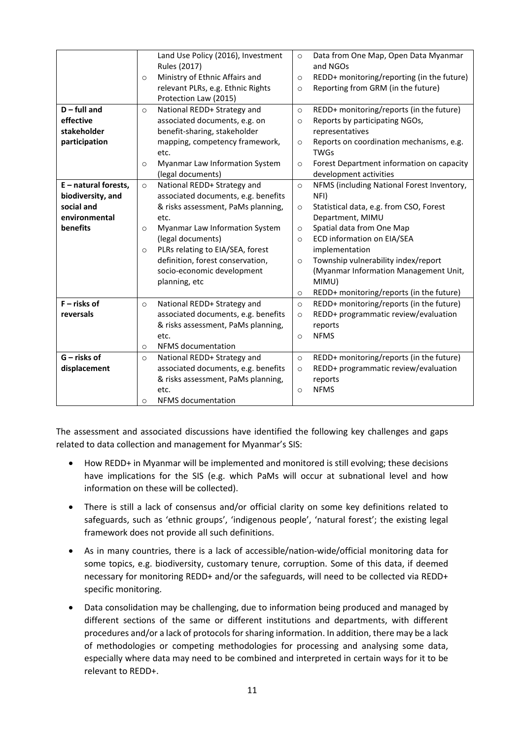|                      |         | Land Use Policy (2016), Investment  | $\circ$  | Data from One Map, Open Data Myanmar       |
|----------------------|---------|-------------------------------------|----------|--------------------------------------------|
|                      |         | Rules (2017)                        |          | and NGOs                                   |
|                      | $\circ$ | Ministry of Ethnic Affairs and      | $\circ$  | REDD+ monitoring/reporting (in the future) |
|                      |         | relevant PLRs, e.g. Ethnic Rights   | $\circ$  | Reporting from GRM (in the future)         |
|                      |         | Protection Law (2015)               |          |                                            |
| $D$ – full and       | $\circ$ | National REDD+ Strategy and         | $\circ$  | REDD+ monitoring/reports (in the future)   |
| effective            |         | associated documents, e.g. on       | $\circ$  | Reports by participating NGOs,             |
| stakeholder          |         | benefit-sharing, stakeholder        |          | representatives                            |
| participation        |         | mapping, competency framework,      | $\circ$  | Reports on coordination mechanisms, e.g.   |
|                      |         | etc.                                |          | <b>TWGs</b>                                |
|                      | $\circ$ | Myanmar Law Information System      | $\circ$  | Forest Department information on capacity  |
|                      |         | (legal documents)                   |          | development activities                     |
| E - natural forests, | $\circ$ | National REDD+ Strategy and         | $\circ$  | NFMS (including National Forest Inventory, |
| biodiversity, and    |         | associated documents, e.g. benefits |          | NFI)                                       |
| social and           |         | & risks assessment, PaMs planning,  | $\circ$  | Statistical data, e.g. from CSO, Forest    |
| environmental        |         | etc.                                |          | Department, MIMU                           |
| benefits             | $\circ$ | Myanmar Law Information System      | $\circ$  | Spatial data from One Map                  |
|                      |         | (legal documents)                   | $\Omega$ | ECD information on EIA/SEA                 |
|                      | $\circ$ | PLRs relating to EIA/SEA, forest    |          | implementation                             |
|                      |         | definition, forest conservation,    | $\Omega$ | Township vulnerability index/report        |
|                      |         | socio-economic development          |          | (Myanmar Information Management Unit,      |
|                      |         | planning, etc                       |          | MIMU)                                      |
|                      |         |                                     | $\circ$  | REDD+ monitoring/reports (in the future)   |
| $F -$ risks of       | $\circ$ | National REDD+ Strategy and         | $\circ$  | REDD+ monitoring/reports (in the future)   |
| reversals            |         | associated documents, e.g. benefits | $\circ$  | REDD+ programmatic review/evaluation       |
|                      |         | & risks assessment, PaMs planning,  |          | reports                                    |
|                      |         | etc.                                | $\circ$  | <b>NFMS</b>                                |
|                      | $\circ$ | NFMS documentation                  |          |                                            |
| $G$ – risks of       | $\circ$ | National REDD+ Strategy and         | $\circ$  | REDD+ monitoring/reports (in the future)   |
| displacement         |         | associated documents, e.g. benefits | $\circ$  | REDD+ programmatic review/evaluation       |
|                      |         | & risks assessment, PaMs planning,  |          | reports                                    |
|                      |         | etc.                                | $\Omega$ | <b>NFMS</b>                                |
|                      | $\circ$ | NFMS documentation                  |          |                                            |

The assessment and associated discussions have identified the following key challenges and gaps related to data collection and management for Myanmar's SIS:

- How REDD+ in Myanmar will be implemented and monitored is still evolving; these decisions have implications for the SIS (e.g. which PaMs will occur at subnational level and how information on these will be collected).
- There is still a lack of consensus and/or official clarity on some key definitions related to safeguards, such as 'ethnic groups', 'indigenous people', 'natural forest'; the existing legal framework does not provide all such definitions.
- As in many countries, there is a lack of accessible/nation-wide/official monitoring data for some topics, e.g. biodiversity, customary tenure, corruption. Some of this data, if deemed necessary for monitoring REDD+ and/or the safeguards, will need to be collected via REDD+ specific monitoring.
- Data consolidation may be challenging, due to information being produced and managed by different sections of the same or different institutions and departments, with different procedures and/or a lack of protocols for sharing information. In addition, there may be a lack of methodologies or competing methodologies for processing and analysing some data, especially where data may need to be combined and interpreted in certain ways for it to be relevant to REDD+.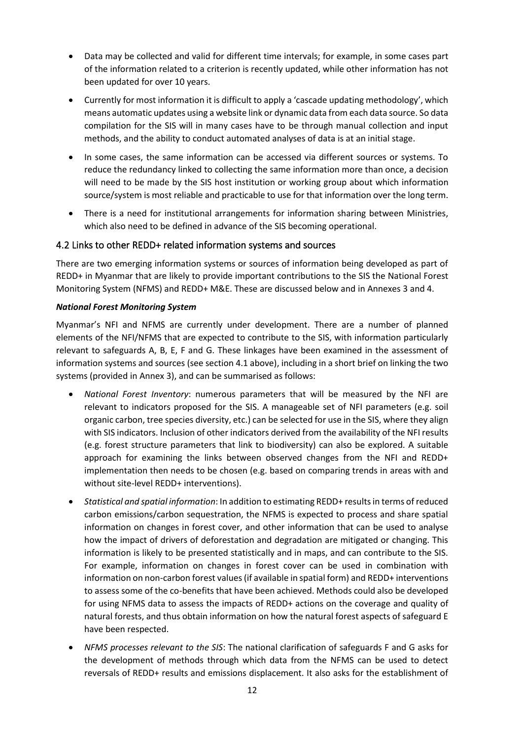- Data may be collected and valid for different time intervals; for example, in some cases part of the information related to a criterion is recently updated, while other information has not been updated for over 10 years.
- Currently for most information it is difficult to apply a 'cascade updating methodology', which means automatic updates using a website link or dynamic data from each data source. So data compilation for the SIS will in many cases have to be through manual collection and input methods, and the ability to conduct automated analyses of data is at an initial stage.
- In some cases, the same information can be accessed via different sources or systems. To reduce the redundancy linked to collecting the same information more than once, a decision will need to be made by the SIS host institution or working group about which information source/system is most reliable and practicable to use for that information over the long term.
- There is a need for institutional arrangements for information sharing between Ministries, which also need to be defined in advance of the SIS becoming operational.

### <span id="page-11-0"></span>4.2 Links to other REDD+ related information systems and sources

There are two emerging information systems or sources of information being developed as part of REDD+ in Myanmar that are likely to provide important contributions to the SIS the National Forest Monitoring System (NFMS) and REDD+ M&E. These are discussed below and in Annexes 3 and 4.

#### *National Forest Monitoring System*

Myanmar's NFI and NFMS are currently under development. There are a number of planned elements of the NFI/NFMS that are expected to contribute to the SIS, with information particularly relevant to safeguards A, B, E, F and G. These linkages have been examined in the assessment of information systems and sources (see section 4.1 above), including in a short brief on linking the two systems (provided in Annex 3), and can be summarised as follows:

- *National Forest Inventory*: numerous parameters that will be measured by the NFI are relevant to indicators proposed for the SIS. A manageable set of NFI parameters (e.g. soil organic carbon, tree species diversity, etc.) can be selected for use in the SIS, where they align with SIS indicators. Inclusion of other indicators derived from the availability of the NFI results (e.g. forest structure parameters that link to biodiversity) can also be explored. A suitable approach for examining the links between observed changes from the NFI and REDD+ implementation then needs to be chosen (e.g. based on comparing trends in areas with and without site-level REDD+ interventions).
- *Statistical and spatial information*: In addition to estimating REDD+ results in terms of reduced carbon emissions/carbon sequestration, the NFMS is expected to process and share spatial information on changes in forest cover, and other information that can be used to analyse how the impact of drivers of deforestation and degradation are mitigated or changing. This information is likely to be presented statistically and in maps, and can contribute to the SIS. For example, information on changes in forest cover can be used in combination with information on non-carbon forest values (if available in spatial form) and REDD+ interventions to assess some of the co-benefits that have been achieved. Methods could also be developed for using NFMS data to assess the impacts of REDD+ actions on the coverage and quality of natural forests, and thus obtain information on how the natural forest aspects of safeguard E have been respected.
- *NFMS processes relevant to the SIS*: The national clarification of safeguards F and G asks for the development of methods through which data from the NFMS can be used to detect reversals of REDD+ results and emissions displacement. It also asks for the establishment of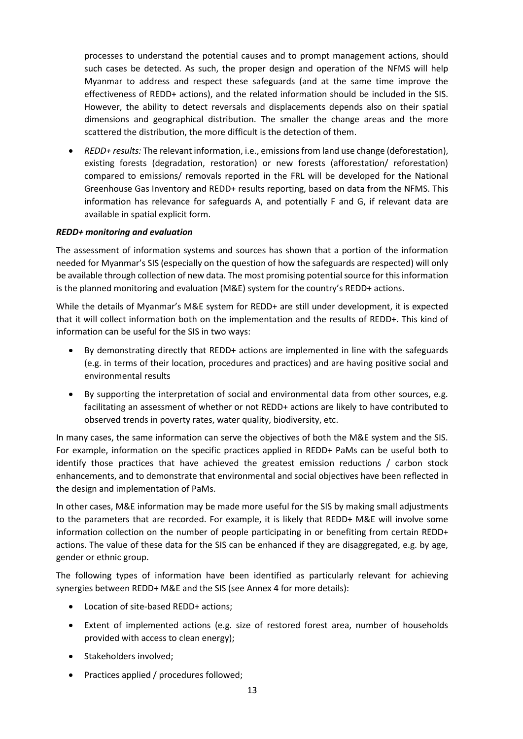processes to understand the potential causes and to prompt management actions, should such cases be detected. As such, the proper design and operation of the NFMS will help Myanmar to address and respect these safeguards (and at the same time improve the effectiveness of REDD+ actions), and the related information should be included in the SIS. However, the ability to detect reversals and displacements depends also on their spatial dimensions and geographical distribution. The smaller the change areas and the more scattered the distribution, the more difficult is the detection of them.

• *REDD+ results:* The relevant information, i.e., emissions from land use change (deforestation), existing forests (degradation, restoration) or new forests (afforestation/ reforestation) compared to emissions/ removals reported in the FRL will be developed for the National Greenhouse Gas Inventory and REDD+ results reporting, based on data from the NFMS. This information has relevance for safeguards A, and potentially F and G, if relevant data are available in spatial explicit form.

#### *REDD+ monitoring and evaluation*

The assessment of information systems and sources has shown that a portion of the information needed for Myanmar's SIS (especially on the question of how the safeguards are respected) will only be available through collection of new data. The most promising potential source for this information is the planned monitoring and evaluation (M&E) system for the country's REDD+ actions.

While the details of Myanmar's M&E system for REDD+ are still under development, it is expected that it will collect information both on the implementation and the results of REDD+. This kind of information can be useful for the SIS in two ways:

- By demonstrating directly that REDD+ actions are implemented in line with the safeguards (e.g. in terms of their location, procedures and practices) and are having positive social and environmental results
- By supporting the interpretation of social and environmental data from other sources, e.g. facilitating an assessment of whether or not REDD+ actions are likely to have contributed to observed trends in poverty rates, water quality, biodiversity, etc.

In many cases, the same information can serve the objectives of both the M&E system and the SIS. For example, information on the specific practices applied in REDD+ PaMs can be useful both to identify those practices that have achieved the greatest emission reductions / carbon stock enhancements, and to demonstrate that environmental and social objectives have been reflected in the design and implementation of PaMs.

In other cases, M&E information may be made more useful for the SIS by making small adjustments to the parameters that are recorded. For example, it is likely that REDD+ M&E will involve some information collection on the number of people participating in or benefiting from certain REDD+ actions. The value of these data for the SIS can be enhanced if they are disaggregated, e.g. by age, gender or ethnic group.

The following types of information have been identified as particularly relevant for achieving synergies between REDD+ M&E and the SIS (see Annex 4 for more details):

- Location of site-based REDD+ actions;
- Extent of implemented actions (e.g. size of restored forest area, number of households provided with access to clean energy);
- Stakeholders involved:
- Practices applied / procedures followed;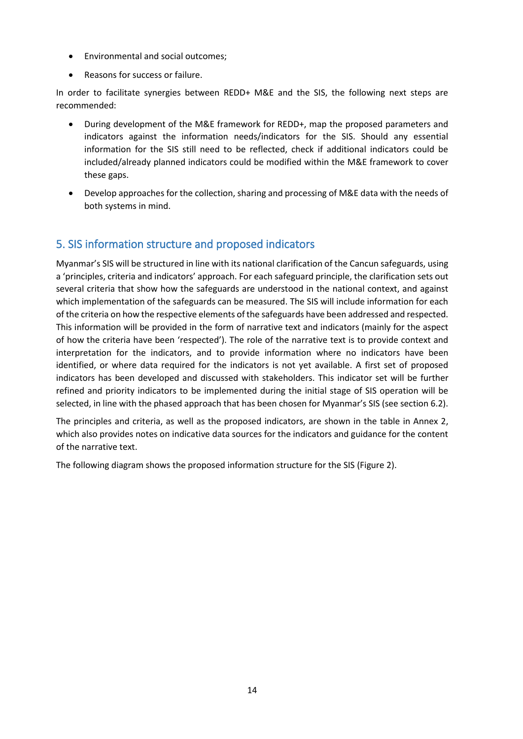- Environmental and social outcomes;
- Reasons for success or failure.

In order to facilitate synergies between REDD+ M&E and the SIS, the following next steps are recommended:

- During development of the M&E framework for REDD+, map the proposed parameters and indicators against the information needs/indicators for the SIS. Should any essential information for the SIS still need to be reflected, check if additional indicators could be included/already planned indicators could be modified within the M&E framework to cover these gaps.
- Develop approaches for the collection, sharing and processing of M&E data with the needs of both systems in mind.

# <span id="page-13-0"></span>5. SIS information structure and proposed indicators

Myanmar's SIS will be structured in line with its national clarification of the Cancun safeguards, using a 'principles, criteria and indicators' approach. For each safeguard principle, the clarification sets out several criteria that show how the safeguards are understood in the national context, and against which implementation of the safeguards can be measured. The SIS will include information for each of the criteria on how the respective elements of the safeguards have been addressed and respected. This information will be provided in the form of narrative text and indicators (mainly for the aspect of how the criteria have been 'respected'). The role of the narrative text is to provide context and interpretation for the indicators, and to provide information where no indicators have been identified, or where data required for the indicators is not yet available. A first set of proposed indicators has been developed and discussed with stakeholders. This indicator set will be further refined and priority indicators to be implemented during the initial stage of SIS operation will be selected, in line with the phased approach that has been chosen for Myanmar's SIS (see section 6.2).

The principles and criteria, as well as the proposed indicators, are shown in the table in Annex 2, which also provides notes on indicative data sources for the indicators and guidance for the content of the narrative text.

The following diagram shows the proposed information structure for the SIS (Figure 2).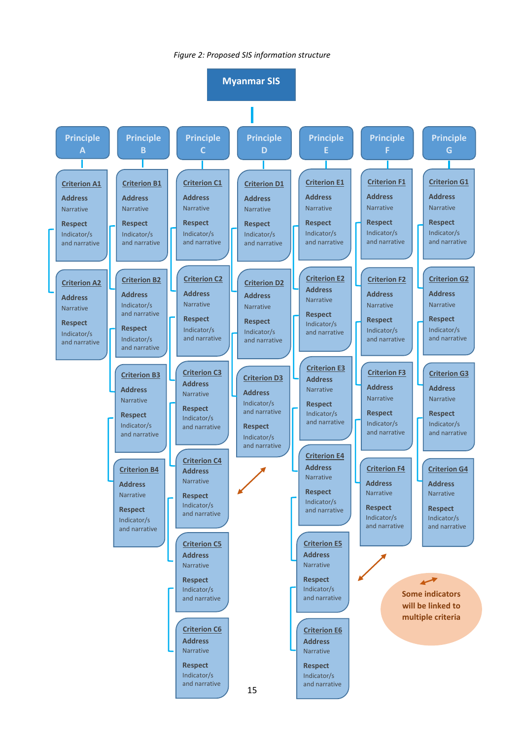#### *Figure 2: Proposed SIS information structure*

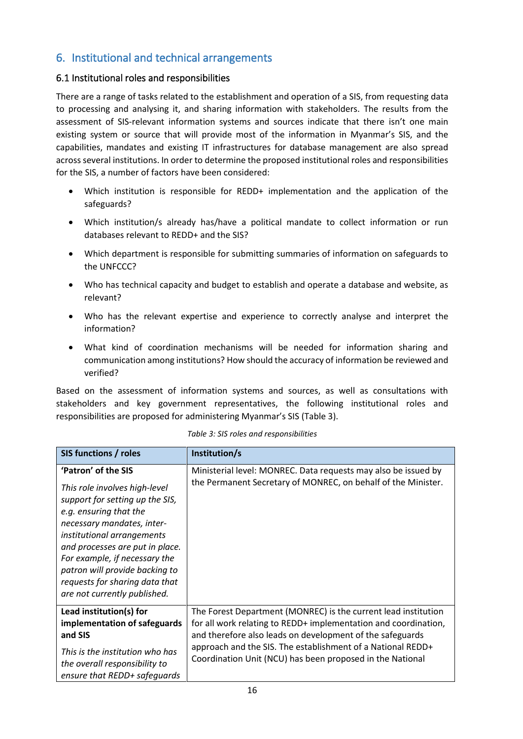# <span id="page-15-0"></span>6. Institutional and technical arrangements

### <span id="page-15-1"></span>6.1 Institutional roles and responsibilities

There are a range of tasks related to the establishment and operation of a SIS, from requesting data to processing and analysing it, and sharing information with stakeholders. The results from the assessment of SIS-relevant information systems and sources indicate that there isn't one main existing system or source that will provide most of the information in Myanmar's SIS, and the capabilities, mandates and existing IT infrastructures for database management are also spread across several institutions. In order to determine the proposed institutional roles and responsibilities for the SIS, a number of factors have been considered:

- Which institution is responsible for REDD+ implementation and the application of the safeguards?
- Which institution/s already has/have a political mandate to collect information or run databases relevant to REDD+ and the SIS?
- Which department is responsible for submitting summaries of information on safeguards to the UNFCCC?
- Who has technical capacity and budget to establish and operate a database and website, as relevant?
- Who has the relevant expertise and experience to correctly analyse and interpret the information?
- What kind of coordination mechanisms will be needed for information sharing and communication among institutions? How should the accuracy of information be reviewed and verified?

Based on the assessment of information systems and sources, as well as consultations with stakeholders and key government representatives, the following institutional roles and responsibilities are proposed for administering Myanmar's SIS (Table 3).

| SIS functions / roles                                                                                                                                                                                                                                                                                                                                 | Institution/s                                                                                                                                                                                                                                                                                                              |
|-------------------------------------------------------------------------------------------------------------------------------------------------------------------------------------------------------------------------------------------------------------------------------------------------------------------------------------------------------|----------------------------------------------------------------------------------------------------------------------------------------------------------------------------------------------------------------------------------------------------------------------------------------------------------------------------|
| 'Patron' of the SIS<br>This role involves high-level<br>support for setting up the SIS,<br>e.g. ensuring that the<br>necessary mandates, inter-<br>institutional arrangements<br>and processes are put in place.<br>For example, if necessary the<br>patron will provide backing to<br>requests for sharing data that<br>are not currently published. | Ministerial level: MONREC. Data requests may also be issued by<br>the Permanent Secretary of MONREC, on behalf of the Minister.                                                                                                                                                                                            |
| Lead institution(s) for<br>implementation of safeguards<br>and SIS<br>This is the institution who has<br>the overall responsibility to<br>ensure that REDD+ safeguards                                                                                                                                                                                | The Forest Department (MONREC) is the current lead institution<br>for all work relating to REDD+ implementation and coordination,<br>and therefore also leads on development of the safeguards<br>approach and the SIS. The establishment of a National REDD+<br>Coordination Unit (NCU) has been proposed in the National |

*Table 3: SIS roles and responsibilities*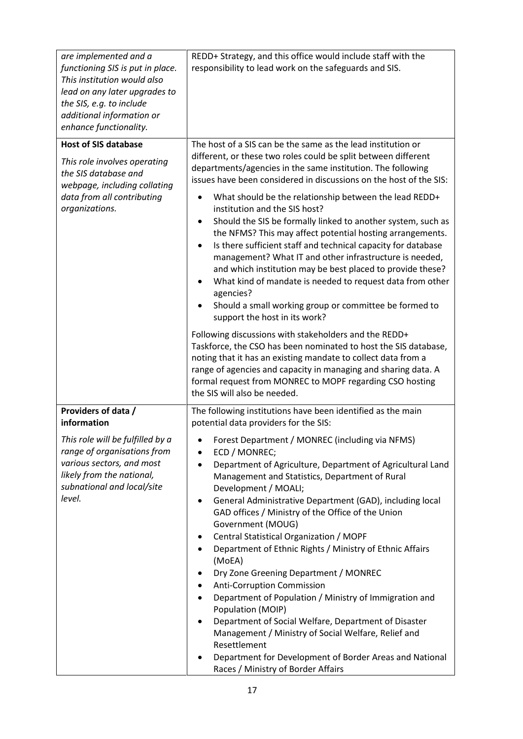| are implemented and a<br>functioning SIS is put in place.<br>This institution would also<br>lead on any later upgrades to<br>the SIS, e.g. to include<br>additional information or<br>enhance functionality. | REDD+ Strategy, and this office would include staff with the<br>responsibility to lead work on the safeguards and SIS.                                                                                                                                                                                                                                                                                                                                                                                                                                                                                                                                                                                                                                                                                                                                                    |  |
|--------------------------------------------------------------------------------------------------------------------------------------------------------------------------------------------------------------|---------------------------------------------------------------------------------------------------------------------------------------------------------------------------------------------------------------------------------------------------------------------------------------------------------------------------------------------------------------------------------------------------------------------------------------------------------------------------------------------------------------------------------------------------------------------------------------------------------------------------------------------------------------------------------------------------------------------------------------------------------------------------------------------------------------------------------------------------------------------------|--|
| <b>Host of SIS database</b><br>This role involves operating<br>the SIS database and<br>webpage, including collating<br>data from all contributing<br>organizations.                                          | The host of a SIS can be the same as the lead institution or<br>different, or these two roles could be split between different<br>departments/agencies in the same institution. The following<br>issues have been considered in discussions on the host of the SIS:<br>What should be the relationship between the lead REDD+<br>institution and the SIS host?<br>Should the SIS be formally linked to another system, such as<br>the NFMS? This may affect potential hosting arrangements.<br>Is there sufficient staff and technical capacity for database<br>management? What IT and other infrastructure is needed,<br>and which institution may be best placed to provide these?<br>What kind of mandate is needed to request data from other<br>agencies?<br>Should a small working group or committee be formed to<br>support the host in its work?                |  |
|                                                                                                                                                                                                              | Following discussions with stakeholders and the REDD+<br>Taskforce, the CSO has been nominated to host the SIS database,<br>noting that it has an existing mandate to collect data from a<br>range of agencies and capacity in managing and sharing data. A<br>formal request from MONREC to MOPF regarding CSO hosting<br>the SIS will also be needed.                                                                                                                                                                                                                                                                                                                                                                                                                                                                                                                   |  |
| Providers of data /<br>information                                                                                                                                                                           | The following institutions have been identified as the main<br>potential data providers for the SIS:                                                                                                                                                                                                                                                                                                                                                                                                                                                                                                                                                                                                                                                                                                                                                                      |  |
| This role will be fulfilled by a<br>range of organisations from<br>various sectors, and most<br>likely from the national,<br>subnational and local/site<br>level.                                            | Forest Department / MONREC (including via NFMS)<br>ECD / MONREC;<br>Department of Agriculture, Department of Agricultural Land<br>Management and Statistics, Department of Rural<br>Development / MOALI;<br>General Administrative Department (GAD), including local<br>$\bullet$<br>GAD offices / Ministry of the Office of the Union<br>Government (MOUG)<br>Central Statistical Organization / MOPF<br>Department of Ethnic Rights / Ministry of Ethnic Affairs<br>(MoEA)<br>Dry Zone Greening Department / MONREC<br><b>Anti-Corruption Commission</b><br>Department of Population / Ministry of Immigration and<br>Population (MOIP)<br>Department of Social Welfare, Department of Disaster<br>Management / Ministry of Social Welfare, Relief and<br>Resettlement<br>Department for Development of Border Areas and National<br>Races / Ministry of Border Affairs |  |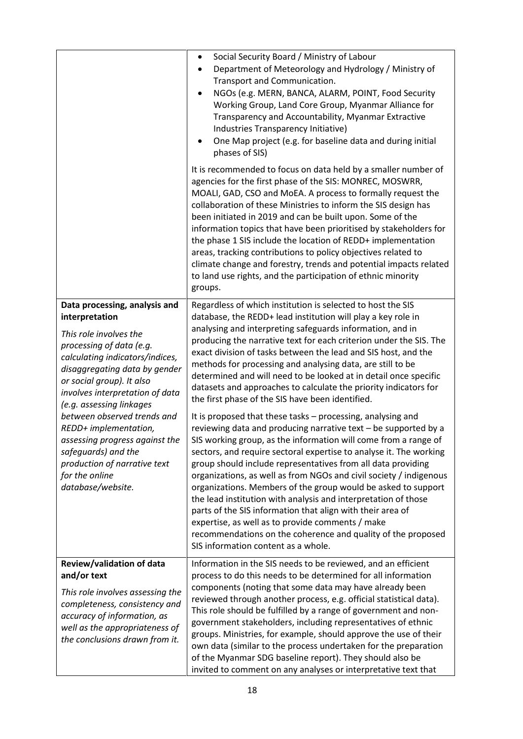|                                                                                                                                                                                                                                                                                                                                                                                                                                                               | Social Security Board / Ministry of Labour<br>$\bullet$<br>Department of Meteorology and Hydrology / Ministry of<br>Transport and Communication.<br>NGOs (e.g. MERN, BANCA, ALARM, POINT, Food Security<br>$\bullet$<br>Working Group, Land Core Group, Myanmar Alliance for<br>Transparency and Accountability, Myanmar Extractive<br>Industries Transparency Initiative)<br>One Map project (e.g. for baseline data and during initial<br>$\bullet$<br>phases of SIS)<br>It is recommended to focus on data held by a smaller number of<br>agencies for the first phase of the SIS: MONREC, MOSWRR,<br>MOALI, GAD, CSO and MoEA. A process to formally request the<br>collaboration of these Ministries to inform the SIS design has<br>been initiated in 2019 and can be built upon. Some of the<br>information topics that have been prioritised by stakeholders for<br>the phase 1 SIS include the location of REDD+ implementation<br>areas, tracking contributions to policy objectives related to<br>climate change and forestry, trends and potential impacts related<br>to land use rights, and the participation of ethnic minority<br>groups.                                                                                                                                                                                                               |
|---------------------------------------------------------------------------------------------------------------------------------------------------------------------------------------------------------------------------------------------------------------------------------------------------------------------------------------------------------------------------------------------------------------------------------------------------------------|-------------------------------------------------------------------------------------------------------------------------------------------------------------------------------------------------------------------------------------------------------------------------------------------------------------------------------------------------------------------------------------------------------------------------------------------------------------------------------------------------------------------------------------------------------------------------------------------------------------------------------------------------------------------------------------------------------------------------------------------------------------------------------------------------------------------------------------------------------------------------------------------------------------------------------------------------------------------------------------------------------------------------------------------------------------------------------------------------------------------------------------------------------------------------------------------------------------------------------------------------------------------------------------------------------------------------------------------------------------------------|
| Data processing, analysis and<br>interpretation<br>This role involves the<br>processing of data (e.g.<br>calculating indicators/indices,<br>disaggregating data by gender<br>or social group). It also<br>involves interpretation of data<br>(e.g. assessing linkages<br>between observed trends and<br>REDD+ implementation,<br>assessing progress against the<br>safeguards) and the<br>production of narrative text<br>for the online<br>database/website. | Regardless of which institution is selected to host the SIS<br>database, the REDD+ lead institution will play a key role in<br>analysing and interpreting safeguards information, and in<br>producing the narrative text for each criterion under the SIS. The<br>exact division of tasks between the lead and SIS host, and the<br>methods for processing and analysing data, are still to be<br>determined and will need to be looked at in detail once specific<br>datasets and approaches to calculate the priority indicators for<br>the first phase of the SIS have been identified.<br>It is proposed that these tasks - processing, analysing and<br>reviewing data and producing narrative text - be supported by a<br>SIS working group, as the information will come from a range of<br>sectors, and require sectoral expertise to analyse it. The working<br>group should include representatives from all data providing<br>organizations, as well as from NGOs and civil society / indigenous<br>organizations. Members of the group would be asked to support<br>the lead institution with analysis and interpretation of those<br>parts of the SIS information that align with their area of<br>expertise, as well as to provide comments / make<br>recommendations on the coherence and quality of the proposed<br>SIS information content as a whole. |
| Review/validation of data<br>and/or text<br>This role involves assessing the<br>completeness, consistency and<br>accuracy of information, as<br>well as the appropriateness of<br>the conclusions drawn from it.                                                                                                                                                                                                                                              | Information in the SIS needs to be reviewed, and an efficient<br>process to do this needs to be determined for all information<br>components (noting that some data may have already been<br>reviewed through another process, e.g. official statistical data).<br>This role should be fulfilled by a range of government and non-<br>government stakeholders, including representatives of ethnic<br>groups. Ministries, for example, should approve the use of their<br>own data (similar to the process undertaken for the preparation<br>of the Myanmar SDG baseline report). They should also be<br>invited to comment on any analyses or interpretative text that                                                                                                                                                                                                                                                                                                                                                                                                                                                                                                                                                                                                                                                                                                 |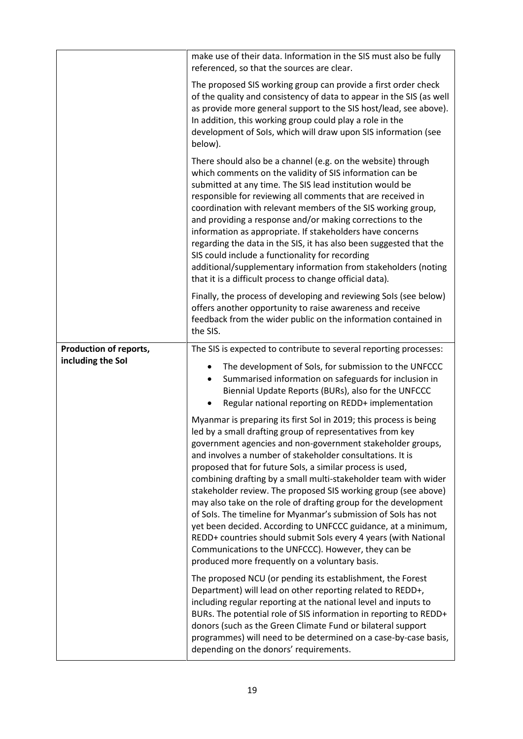|                        | make use of their data. Information in the SIS must also be fully<br>referenced, so that the sources are clear.                                                                                                                                                                                                                                                                                                                                                                                                                                                                                                                                                                                                                                                                                                                               |
|------------------------|-----------------------------------------------------------------------------------------------------------------------------------------------------------------------------------------------------------------------------------------------------------------------------------------------------------------------------------------------------------------------------------------------------------------------------------------------------------------------------------------------------------------------------------------------------------------------------------------------------------------------------------------------------------------------------------------------------------------------------------------------------------------------------------------------------------------------------------------------|
|                        | The proposed SIS working group can provide a first order check<br>of the quality and consistency of data to appear in the SIS (as well<br>as provide more general support to the SIS host/lead, see above).<br>In addition, this working group could play a role in the<br>development of Sols, which will draw upon SIS information (see<br>below).                                                                                                                                                                                                                                                                                                                                                                                                                                                                                          |
|                        | There should also be a channel (e.g. on the website) through<br>which comments on the validity of SIS information can be<br>submitted at any time. The SIS lead institution would be<br>responsible for reviewing all comments that are received in<br>coordination with relevant members of the SIS working group,<br>and providing a response and/or making corrections to the<br>information as appropriate. If stakeholders have concerns<br>regarding the data in the SIS, it has also been suggested that the<br>SIS could include a functionality for recording<br>additional/supplementary information from stakeholders (noting<br>that it is a difficult process to change official data).                                                                                                                                          |
|                        | Finally, the process of developing and reviewing Sols (see below)<br>offers another opportunity to raise awareness and receive<br>feedback from the wider public on the information contained in<br>the SIS.                                                                                                                                                                                                                                                                                                                                                                                                                                                                                                                                                                                                                                  |
| Production of reports, | The SIS is expected to contribute to several reporting processes:                                                                                                                                                                                                                                                                                                                                                                                                                                                                                                                                                                                                                                                                                                                                                                             |
| including the Sol      | The development of Sols, for submission to the UNFCCC<br>Summarised information on safeguards for inclusion in<br>Biennial Update Reports (BURs), also for the UNFCCC<br>Regular national reporting on REDD+ implementation                                                                                                                                                                                                                                                                                                                                                                                                                                                                                                                                                                                                                   |
|                        | Myanmar is preparing its first SoI in 2019; this process is being<br>led by a small drafting group of representatives from key<br>government agencies and non-government stakeholder groups,<br>and involves a number of stakeholder consultations. It is<br>proposed that for future Sols, a similar process is used,<br>combining drafting by a small multi-stakeholder team with wider<br>stakeholder review. The proposed SIS working group (see above)<br>may also take on the role of drafting group for the development<br>of Sols. The timeline for Myanmar's submission of Sols has not<br>yet been decided. According to UNFCCC guidance, at a minimum,<br>REDD+ countries should submit Sols every 4 years (with National<br>Communications to the UNFCCC). However, they can be<br>produced more frequently on a voluntary basis. |
|                        | The proposed NCU (or pending its establishment, the Forest<br>Department) will lead on other reporting related to REDD+,<br>including regular reporting at the national level and inputs to<br>BURs. The potential role of SIS information in reporting to REDD+<br>donors (such as the Green Climate Fund or bilateral support<br>programmes) will need to be determined on a case-by-case basis,<br>depending on the donors' requirements.                                                                                                                                                                                                                                                                                                                                                                                                  |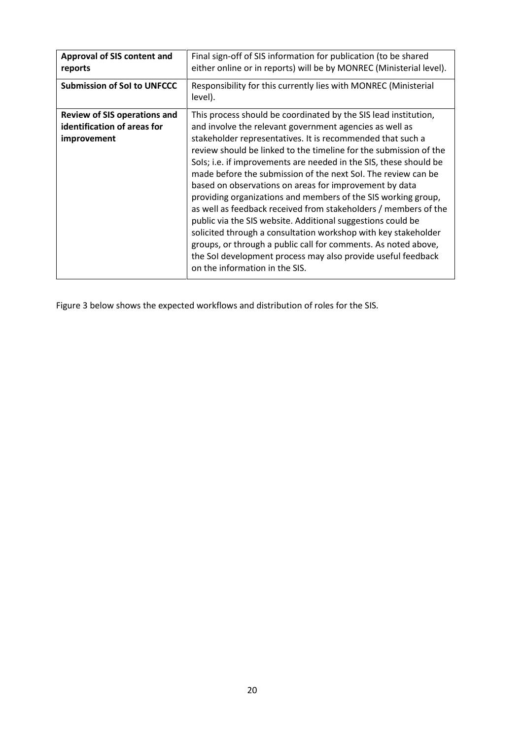| Approval of SIS content and<br>reports                                            | Final sign-off of SIS information for publication (to be shared<br>either online or in reports) will be by MONREC (Ministerial level).                                                                                                                                                                                                                                                                                                                                                                                                                                                                                                                                                                                                                                                                                                                                                                 |
|-----------------------------------------------------------------------------------|--------------------------------------------------------------------------------------------------------------------------------------------------------------------------------------------------------------------------------------------------------------------------------------------------------------------------------------------------------------------------------------------------------------------------------------------------------------------------------------------------------------------------------------------------------------------------------------------------------------------------------------------------------------------------------------------------------------------------------------------------------------------------------------------------------------------------------------------------------------------------------------------------------|
| <b>Submission of Sol to UNFCCC</b>                                                | Responsibility for this currently lies with MONREC (Ministerial<br>level).                                                                                                                                                                                                                                                                                                                                                                                                                                                                                                                                                                                                                                                                                                                                                                                                                             |
| <b>Review of SIS operations and</b><br>identification of areas for<br>improvement | This process should be coordinated by the SIS lead institution,<br>and involve the relevant government agencies as well as<br>stakeholder representatives. It is recommended that such a<br>review should be linked to the timeline for the submission of the<br>Sols; i.e. if improvements are needed in the SIS, these should be<br>made before the submission of the next Sol. The review can be<br>based on observations on areas for improvement by data<br>providing organizations and members of the SIS working group,<br>as well as feedback received from stakeholders / members of the<br>public via the SIS website. Additional suggestions could be<br>solicited through a consultation workshop with key stakeholder<br>groups, or through a public call for comments. As noted above,<br>the Sol development process may also provide useful feedback<br>on the information in the SIS. |

Figure 3 below shows the expected workflows and distribution of roles for the SIS.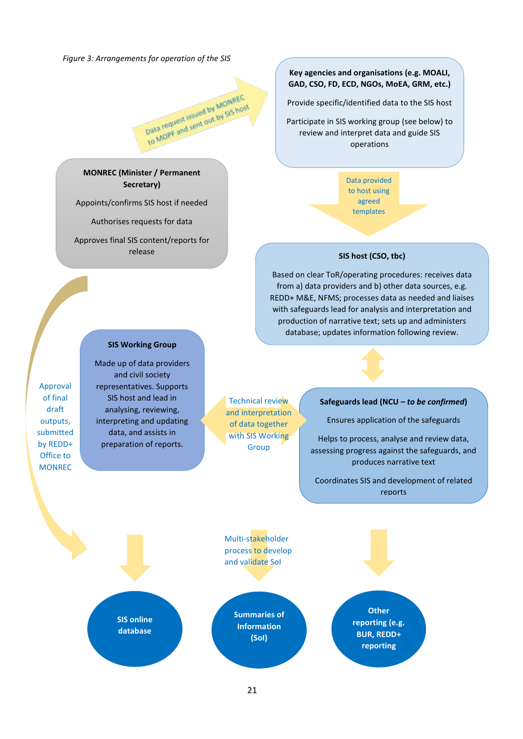#### *Figure 3: Arrangements for operation of the SIS*

Data request issued by MONREC Data request issued by MONRES

#### **MONREC (Minister / Permanent Secretary)**

Appoints/confirms SIS host if needed

Authorises requests for data

Approves final SIS content/reports for release

# **SIS Working Group**

Made up of data providers and civil society representatives. Supports SIS host and lead in analysing, reviewing, interpreting and updating data, and assists in preparation of reports.

Approval of final draft outputs, submitted by REDD+ Office to **MONREC** 

Technical review and interpretation of data together with SIS Working Group

# **GAD, CSO, FD, ECD, NGOs, MoEA, GRM, etc.)** Provide specific/identified data to the SIS host Participate in SIS working group (see below) to review and interpret data and guide SIS operations

**Key agencies and organisations (e.g. MOALI,** 

Data provided to host using agreed templates

#### **SIS host (CSO, tbc)**

Based on clear ToR/operating procedures: receives data from a) data providers and b) other data sources, e.g. REDD+ M&E, NFMS; processes data as needed and liaises with safeguards lead for analysis and interpretation and production of narrative text; sets up and administers database; updates information following review.

#### **Safeguards lead (NCU –** *to be confirmed***)**

Ensures application of the safeguards

Helps to process, analyse and review data, assessing progress against the safeguards, and produces narrative text

Coordinates SIS and development of related reports

**SIS online database**

Multi-stakeholder process to develop and validate SoI

> **Summaries of Information (SoI)**

**Other reporting (e.g. BUR, REDD+ reporting**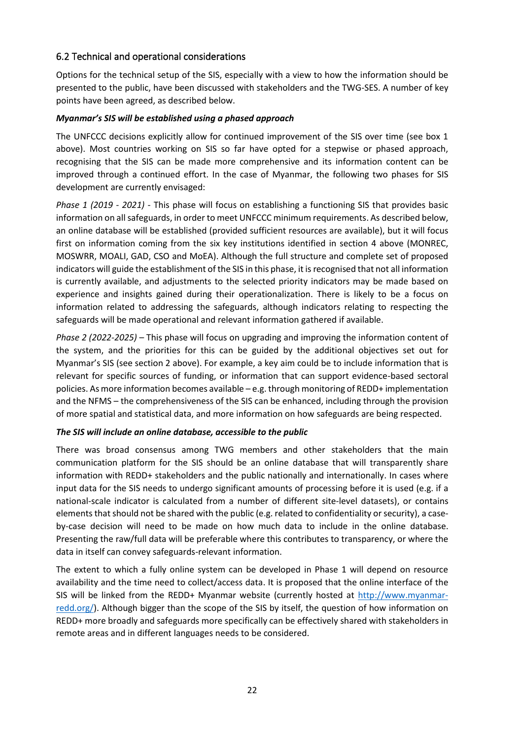# <span id="page-21-0"></span>6.2 Technical and operational considerations

Options for the technical setup of the SIS, especially with a view to how the information should be presented to the public, have been discussed with stakeholders and the TWG-SES. A number of key points have been agreed, as described below.

#### *Myanmar's SIS will be established using a phased approach*

The UNFCCC decisions explicitly allow for continued improvement of the SIS over time (see box 1 above). Most countries working on SIS so far have opted for a stepwise or phased approach, recognising that the SIS can be made more comprehensive and its information content can be improved through a continued effort. In the case of Myanmar, the following two phases for SIS development are currently envisaged:

*Phase 1 (2019 - 2021)* - This phase will focus on establishing a functioning SIS that provides basic information on all safeguards, in order to meet UNFCCC minimum requirements. As described below, an online database will be established (provided sufficient resources are available), but it will focus first on information coming from the six key institutions identified in section 4 above (MONREC, MOSWRR, MOALI, GAD, CSO and MoEA). Although the full structure and complete set of proposed indicators will guide the establishment of the SIS in this phase, it is recognised that not all information is currently available, and adjustments to the selected priority indicators may be made based on experience and insights gained during their operationalization. There is likely to be a focus on information related to addressing the safeguards, although indicators relating to respecting the safeguards will be made operational and relevant information gathered if available.

*Phase 2 (2022-2025)* – This phase will focus on upgrading and improving the information content of the system, and the priorities for this can be guided by the additional objectives set out for Myanmar's SIS (see section 2 above). For example, a key aim could be to include information that is relevant for specific sources of funding, or information that can support evidence-based sectoral policies. As more information becomes available – e.g. through monitoring of REDD+ implementation and the NFMS – the comprehensiveness of the SIS can be enhanced, including through the provision of more spatial and statistical data, and more information on how safeguards are being respected.

#### *The SIS will include an online database, accessible to the public*

There was broad consensus among TWG members and other stakeholders that the main communication platform for the SIS should be an online database that will transparently share information with REDD+ stakeholders and the public nationally and internationally. In cases where input data for the SIS needs to undergo significant amounts of processing before it is used (e.g. if a national-scale indicator is calculated from a number of different site-level datasets), or contains elements that should not be shared with the public (e.g. related to confidentiality or security), a caseby-case decision will need to be made on how much data to include in the online database. Presenting the raw/full data will be preferable where this contributes to transparency, or where the data in itself can convey safeguards-relevant information.

The extent to which a fully online system can be developed in Phase 1 will depend on resource availability and the time need to collect/access data. It is proposed that the online interface of the SIS will be linked from the REDD+ Myanmar website (currently hosted at [http://www.myanmar](http://www.myanmar-redd.org/)[redd.org/\)](http://www.myanmar-redd.org/). Although bigger than the scope of the SIS by itself, the question of how information on REDD+ more broadly and safeguards more specifically can be effectively shared with stakeholders in remote areas and in different languages needs to be considered.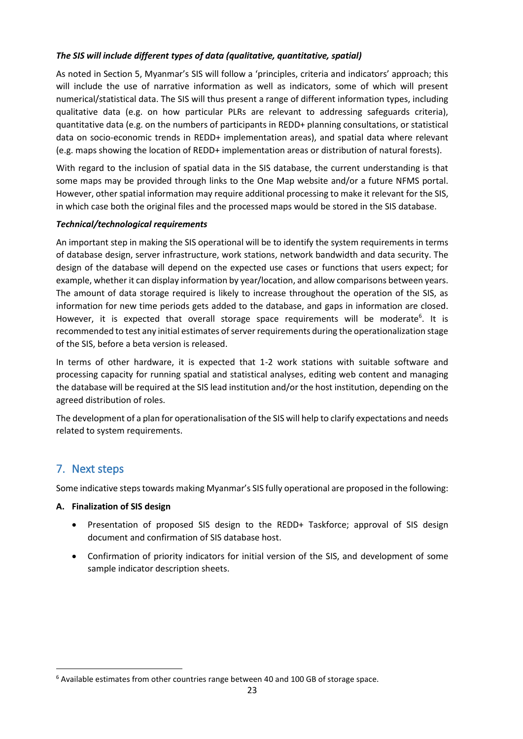#### *The SIS will include different types of data (qualitative, quantitative, spatial)*

As noted in Section 5, Myanmar's SIS will follow a 'principles, criteria and indicators' approach; this will include the use of narrative information as well as indicators, some of which will present numerical/statistical data. The SIS will thus present a range of different information types, including qualitative data (e.g. on how particular PLRs are relevant to addressing safeguards criteria), quantitative data (e.g. on the numbers of participants in REDD+ planning consultations, or statistical data on socio-economic trends in REDD+ implementation areas), and spatial data where relevant (e.g. maps showing the location of REDD+ implementation areas or distribution of natural forests).

With regard to the inclusion of spatial data in the SIS database, the current understanding is that some maps may be provided through links to the One Map website and/or a future NFMS portal. However, other spatial information may require additional processing to make it relevant for the SIS, in which case both the original files and the processed maps would be stored in the SIS database.

#### *Technical/technological requirements*

An important step in making the SIS operational will be to identify the system requirements in terms of database design, server infrastructure, work stations, network bandwidth and data security. The design of the database will depend on the expected use cases or functions that users expect; for example, whether it can display information by year/location, and allow comparisons between years. The amount of data storage required is likely to increase throughout the operation of the SIS, as information for new time periods gets added to the database, and gaps in information are closed. However, it is expected that overall storage space requirements will be moderate<sup>6</sup>. It is recommended to test any initial estimates of server requirements during the operationalization stage of the SIS, before a beta version is released.

In terms of other hardware, it is expected that 1-2 work stations with suitable software and processing capacity for running spatial and statistical analyses, editing web content and managing the database will be required at the SIS lead institution and/or the host institution, depending on the agreed distribution of roles.

The development of a plan for operationalisation of the SIS will help to clarify expectations and needs related to system requirements.

# <span id="page-22-0"></span>7. Next steps

Some indicative steps towards making Myanmar's SIS fully operational are proposed in the following:

#### **A. Finalization of SIS design**

- Presentation of proposed SIS design to the REDD+ Taskforce; approval of SIS design document and confirmation of SIS database host.
- Confirmation of priority indicators for initial version of the SIS, and development of some sample indicator description sheets.

 $6$  Available estimates from other countries range between 40 and 100 GB of storage space.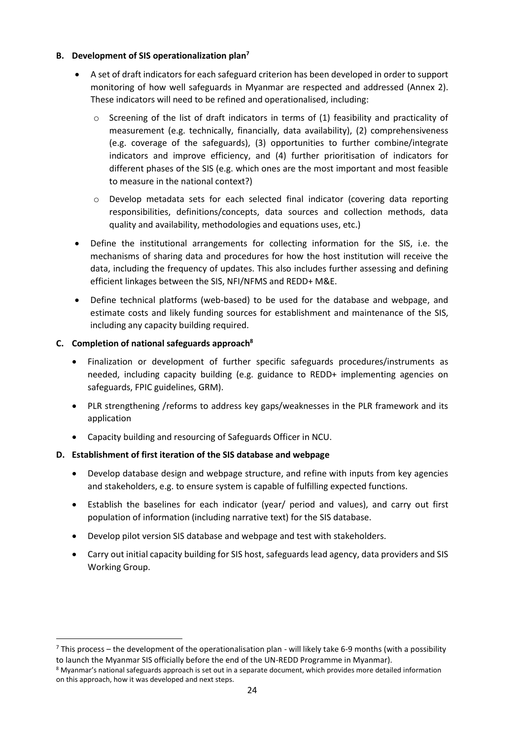#### **B. Development of SIS operationalization plan<sup>7</sup>**

- A set of draft indicators for each safeguard criterion has been developed in order to support monitoring of how well safeguards in Myanmar are respected and addressed (Annex 2). These indicators will need to be refined and operationalised, including:
	- $\circ$  Screening of the list of draft indicators in terms of (1) feasibility and practicality of measurement (e.g. technically, financially, data availability), (2) comprehensiveness (e.g. coverage of the safeguards), (3) opportunities to further combine/integrate indicators and improve efficiency, and (4) further prioritisation of indicators for different phases of the SIS (e.g. which ones are the most important and most feasible to measure in the national context?)
	- o Develop metadata sets for each selected final indicator (covering data reporting responsibilities, definitions/concepts, data sources and collection methods, data quality and availability, methodologies and equations uses, etc.)
- Define the institutional arrangements for collecting information for the SIS, i.e. the mechanisms of sharing data and procedures for how the host institution will receive the data, including the frequency of updates. This also includes further assessing and defining efficient linkages between the SIS, NFI/NFMS and REDD+ M&E.
- Define technical platforms (web-based) to be used for the database and webpage, and estimate costs and likely funding sources for establishment and maintenance of the SIS, including any capacity building required.

#### **C. Completion of national safeguards approach<sup>8</sup>**

- Finalization or development of further specific safeguards procedures/instruments as needed, including capacity building (e.g. guidance to REDD+ implementing agencies on safeguards, FPIC guidelines, GRM).
- PLR strengthening /reforms to address key gaps/weaknesses in the PLR framework and its application
- Capacity building and resourcing of Safeguards Officer in NCU.

#### **D. Establishment of first iteration of the SIS database and webpage**

- Develop database design and webpage structure, and refine with inputs from key agencies and stakeholders, e.g. to ensure system is capable of fulfilling expected functions.
- Establish the baselines for each indicator (year/ period and values), and carry out first population of information (including narrative text) for the SIS database.
- Develop pilot version SIS database and webpage and test with stakeholders.
- Carry out initial capacity building for SIS host, safeguards lead agency, data providers and SIS Working Group.

<span id="page-23-0"></span> $7$  This process – the development of the operationalisation plan - will likely take 6-9 months (with a possibility to launch the Myanmar SIS officially before the end of the UN-REDD Programme in Myanmar).

<sup>8</sup> Myanmar's national safeguards approach is set out in a separate document, which provides more detailed information on this approach, how it was developed and next steps.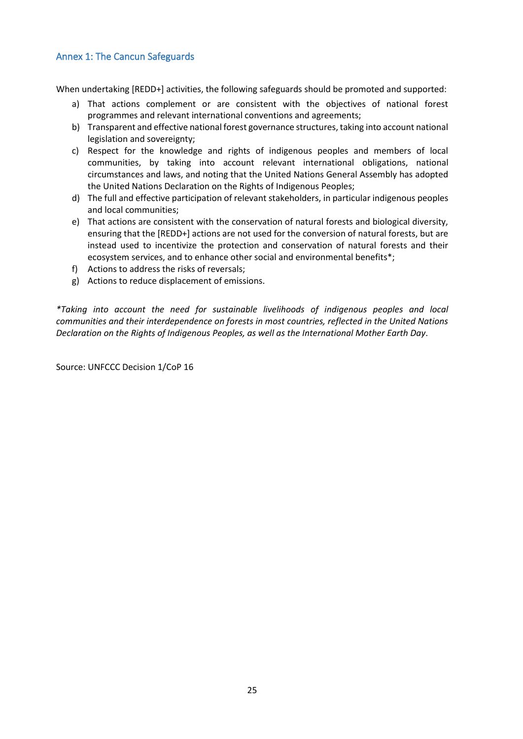### Annex 1: The Cancun Safeguards

When undertaking [REDD+] activities, the following safeguards should be promoted and supported:

- a) That actions complement or are consistent with the objectives of national forest programmes and relevant international conventions and agreements;
- b) Transparent and effective national forest governance structures, taking into account national legislation and sovereignty;
- c) Respect for the knowledge and rights of indigenous peoples and members of local communities, by taking into account relevant international obligations, national circumstances and laws, and noting that the United Nations General Assembly has adopted the United Nations Declaration on the Rights of Indigenous Peoples;
- d) The full and effective participation of relevant stakeholders, in particular indigenous peoples and local communities;
- e) That actions are consistent with the conservation of natural forests and biological diversity, ensuring that the [REDD+] actions are not used for the conversion of natural forests, but are instead used to incentivize the protection and conservation of natural forests and their ecosystem services, and to enhance other social and environmental benefits\*;
- f) Actions to address the risks of reversals;
- g) Actions to reduce displacement of emissions.

*\*Taking into account the need for sustainable livelihoods of indigenous peoples and local communities and their interdependence on forests in most countries, reflected in the United Nations Declaration on the Rights of Indigenous Peoples, as well as the International Mother Earth Day*.

Source: UNFCCC Decision 1/CoP 16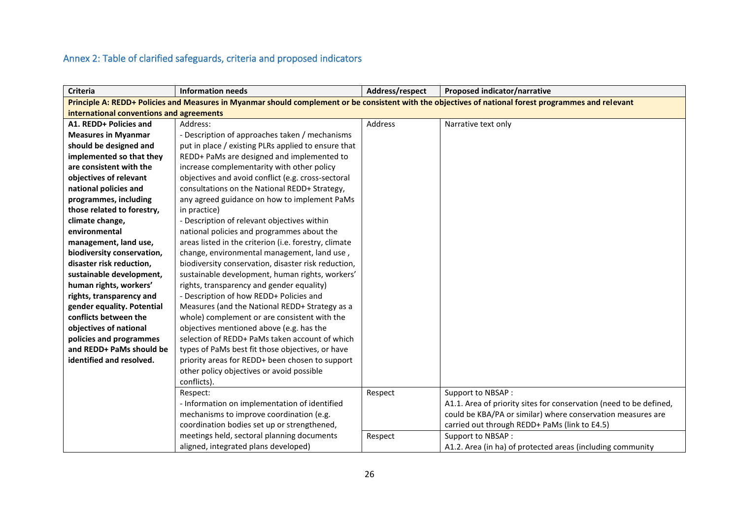# Annex 2: Table of clarified safeguards, criteria and proposed indicators

<span id="page-25-0"></span>

| <b>Criteria</b>                                                                                                                                       | <b>Information needs</b>                              | Address/respect | Proposed indicator/narrative                                       |  |  |
|-------------------------------------------------------------------------------------------------------------------------------------------------------|-------------------------------------------------------|-----------------|--------------------------------------------------------------------|--|--|
| Principle A: REDD+ Policies and Measures in Myanmar should complement or be consistent with the objectives of national forest programmes and relevant |                                                       |                 |                                                                    |  |  |
| international conventions and agreements                                                                                                              |                                                       |                 |                                                                    |  |  |
| A1. REDD+ Policies and                                                                                                                                | Address:                                              | Address         | Narrative text only                                                |  |  |
| <b>Measures in Myanmar</b>                                                                                                                            | - Description of approaches taken / mechanisms        |                 |                                                                    |  |  |
| should be designed and                                                                                                                                | put in place / existing PLRs applied to ensure that   |                 |                                                                    |  |  |
| implemented so that they                                                                                                                              | REDD+ PaMs are designed and implemented to            |                 |                                                                    |  |  |
| are consistent with the                                                                                                                               | increase complementarity with other policy            |                 |                                                                    |  |  |
| objectives of relevant                                                                                                                                | objectives and avoid conflict (e.g. cross-sectoral    |                 |                                                                    |  |  |
| national policies and                                                                                                                                 | consultations on the National REDD+ Strategy,         |                 |                                                                    |  |  |
| programmes, including                                                                                                                                 | any agreed guidance on how to implement PaMs          |                 |                                                                    |  |  |
| those related to forestry,                                                                                                                            | in practice)                                          |                 |                                                                    |  |  |
| climate change,                                                                                                                                       | - Description of relevant objectives within           |                 |                                                                    |  |  |
| environmental                                                                                                                                         | national policies and programmes about the            |                 |                                                                    |  |  |
| management, land use,                                                                                                                                 | areas listed in the criterion (i.e. forestry, climate |                 |                                                                    |  |  |
| biodiversity conservation,                                                                                                                            | change, environmental management, land use,           |                 |                                                                    |  |  |
| disaster risk reduction,                                                                                                                              | biodiversity conservation, disaster risk reduction,   |                 |                                                                    |  |  |
| sustainable development,                                                                                                                              | sustainable development, human rights, workers'       |                 |                                                                    |  |  |
| human rights, workers'                                                                                                                                | rights, transparency and gender equality)             |                 |                                                                    |  |  |
| rights, transparency and                                                                                                                              | - Description of how REDD+ Policies and               |                 |                                                                    |  |  |
| gender equality. Potential                                                                                                                            | Measures (and the National REDD+ Strategy as a        |                 |                                                                    |  |  |
| conflicts between the                                                                                                                                 | whole) complement or are consistent with the          |                 |                                                                    |  |  |
| objectives of national                                                                                                                                | objectives mentioned above (e.g. has the              |                 |                                                                    |  |  |
| policies and programmes                                                                                                                               | selection of REDD+ PaMs taken account of which        |                 |                                                                    |  |  |
| and REDD+ PaMs should be                                                                                                                              | types of PaMs best fit those objectives, or have      |                 |                                                                    |  |  |
| identified and resolved.                                                                                                                              | priority areas for REDD+ been chosen to support       |                 |                                                                    |  |  |
|                                                                                                                                                       | other policy objectives or avoid possible             |                 |                                                                    |  |  |
|                                                                                                                                                       | conflicts).                                           |                 |                                                                    |  |  |
|                                                                                                                                                       | Respect:                                              | Respect         | Support to NBSAP :                                                 |  |  |
|                                                                                                                                                       | - Information on implementation of identified         |                 | A1.1. Area of priority sites for conservation (need to be defined, |  |  |
|                                                                                                                                                       | mechanisms to improve coordination (e.g.              |                 | could be KBA/PA or similar) where conservation measures are        |  |  |
|                                                                                                                                                       | coordination bodies set up or strengthened,           |                 | carried out through REDD+ PaMs (link to E4.5)                      |  |  |
|                                                                                                                                                       | meetings held, sectoral planning documents            | Respect         | Support to NBSAP :                                                 |  |  |
|                                                                                                                                                       | aligned, integrated plans developed)                  |                 | A1.2. Area (in ha) of protected areas (including community         |  |  |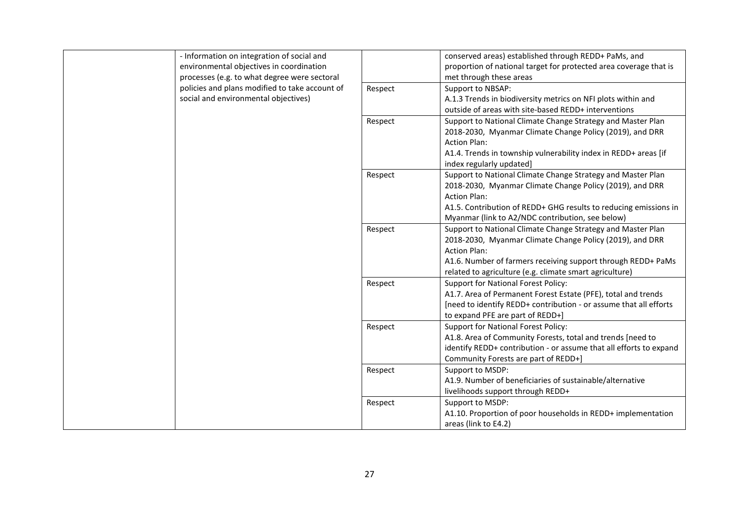| - Information on integration of social and     |         | conserved areas) established through REDD+ PaMs, and               |
|------------------------------------------------|---------|--------------------------------------------------------------------|
| environmental objectives in coordination       |         | proportion of national target for protected area coverage that is  |
| processes (e.g. to what degree were sectoral   |         | met through these areas                                            |
| policies and plans modified to take account of | Respect | Support to NBSAP:                                                  |
| social and environmental objectives)           |         | A.1.3 Trends in biodiversity metrics on NFI plots within and       |
|                                                |         | outside of areas with site-based REDD+ interventions               |
|                                                | Respect | Support to National Climate Change Strategy and Master Plan        |
|                                                |         | 2018-2030, Myanmar Climate Change Policy (2019), and DRR           |
|                                                |         | <b>Action Plan:</b>                                                |
|                                                |         | A1.4. Trends in township vulnerability index in REDD+ areas [if    |
|                                                |         | index regularly updated]                                           |
|                                                | Respect | Support to National Climate Change Strategy and Master Plan        |
|                                                |         | 2018-2030, Myanmar Climate Change Policy (2019), and DRR           |
|                                                |         | <b>Action Plan:</b>                                                |
|                                                |         | A1.5. Contribution of REDD+ GHG results to reducing emissions in   |
|                                                |         | Myanmar (link to A2/NDC contribution, see below)                   |
|                                                | Respect | Support to National Climate Change Strategy and Master Plan        |
|                                                |         | 2018-2030, Myanmar Climate Change Policy (2019), and DRR           |
|                                                |         | <b>Action Plan:</b>                                                |
|                                                |         | A1.6. Number of farmers receiving support through REDD+ PaMs       |
|                                                |         | related to agriculture (e.g. climate smart agriculture)            |
|                                                | Respect | Support for National Forest Policy:                                |
|                                                |         | A1.7. Area of Permanent Forest Estate (PFE), total and trends      |
|                                                |         | [need to identify REDD+ contribution - or assume that all efforts  |
|                                                |         | to expand PFE are part of REDD+]                                   |
|                                                | Respect | <b>Support for National Forest Policy:</b>                         |
|                                                |         | A1.8. Area of Community Forests, total and trends [need to         |
|                                                |         | identify REDD+ contribution - or assume that all efforts to expand |
|                                                |         | Community Forests are part of REDD+]                               |
|                                                | Respect | Support to MSDP:                                                   |
|                                                |         | A1.9. Number of beneficiaries of sustainable/alternative           |
|                                                |         | livelihoods support through REDD+                                  |
|                                                | Respect | Support to MSDP:                                                   |
|                                                |         | A1.10. Proportion of poor households in REDD+ implementation       |
|                                                |         | areas (link to E4.2)                                               |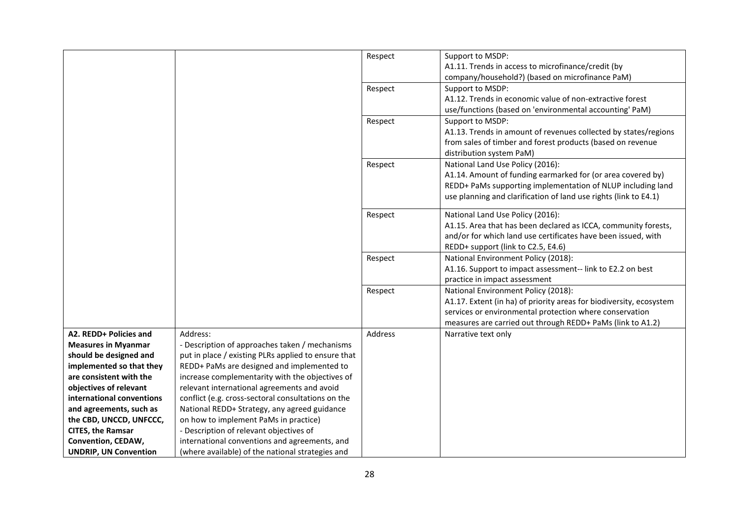|                              |                                                     | Respect | Support to MSDP:                                                    |
|------------------------------|-----------------------------------------------------|---------|---------------------------------------------------------------------|
|                              |                                                     |         | A1.11. Trends in access to microfinance/credit (by                  |
|                              |                                                     |         | company/household?) (based on microfinance PaM)                     |
|                              |                                                     | Respect | Support to MSDP:                                                    |
|                              |                                                     |         | A1.12. Trends in economic value of non-extractive forest            |
|                              |                                                     |         | use/functions (based on 'environmental accounting' PaM)             |
|                              |                                                     | Respect | Support to MSDP:                                                    |
|                              |                                                     |         | A1.13. Trends in amount of revenues collected by states/regions     |
|                              |                                                     |         | from sales of timber and forest products (based on revenue          |
|                              |                                                     |         | distribution system PaM)                                            |
|                              |                                                     | Respect | National Land Use Policy (2016):                                    |
|                              |                                                     |         | A1.14. Amount of funding earmarked for (or area covered by)         |
|                              |                                                     |         | REDD+ PaMs supporting implementation of NLUP including land         |
|                              |                                                     |         | use planning and clarification of land use rights (link to E4.1)    |
|                              |                                                     | Respect | National Land Use Policy (2016):                                    |
|                              |                                                     |         | A1.15. Area that has been declared as ICCA, community forests,      |
|                              |                                                     |         | and/or for which land use certificates have been issued, with       |
|                              |                                                     |         | REDD+ support (link to C2.5, E4.6)                                  |
|                              |                                                     | Respect | National Environment Policy (2018):                                 |
|                              |                                                     |         | A1.16. Support to impact assessment-- link to E2.2 on best          |
|                              |                                                     |         | practice in impact assessment                                       |
|                              |                                                     | Respect | National Environment Policy (2018):                                 |
|                              |                                                     |         | A1.17. Extent (in ha) of priority areas for biodiversity, ecosystem |
|                              |                                                     |         | services or environmental protection where conservation             |
|                              |                                                     |         | measures are carried out through REDD+ PaMs (link to A1.2)          |
| A2. REDD+ Policies and       | Address:                                            | Address | Narrative text only                                                 |
| <b>Measures in Myanmar</b>   | - Description of approaches taken / mechanisms      |         |                                                                     |
| should be designed and       | put in place / existing PLRs applied to ensure that |         |                                                                     |
| implemented so that they     | REDD+ PaMs are designed and implemented to          |         |                                                                     |
| are consistent with the      | increase complementarity with the objectives of     |         |                                                                     |
| objectives of relevant       | relevant international agreements and avoid         |         |                                                                     |
| international conventions    | conflict (e.g. cross-sectoral consultations on the  |         |                                                                     |
| and agreements, such as      | National REDD+ Strategy, any agreed guidance        |         |                                                                     |
| the CBD, UNCCD, UNFCCC,      | on how to implement PaMs in practice)               |         |                                                                     |
| <b>CITES, the Ramsar</b>     | - Description of relevant objectives of             |         |                                                                     |
| Convention, CEDAW,           | international conventions and agreements, and       |         |                                                                     |
| <b>UNDRIP, UN Convention</b> | (where available) of the national strategies and    |         |                                                                     |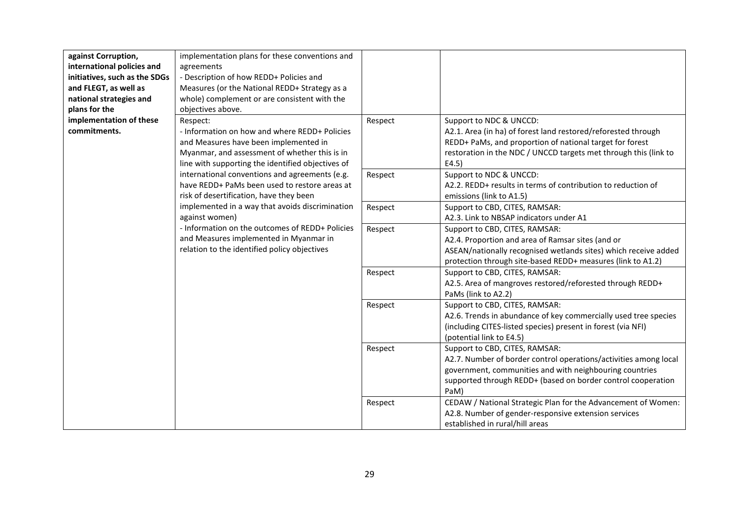| against Corruption,           | implementation plans for these conventions and    |         |                                                                  |
|-------------------------------|---------------------------------------------------|---------|------------------------------------------------------------------|
| international policies and    | agreements                                        |         |                                                                  |
| initiatives, such as the SDGs | - Description of how REDD+ Policies and           |         |                                                                  |
| and FLEGT, as well as         | Measures (or the National REDD+ Strategy as a     |         |                                                                  |
| national strategies and       | whole) complement or are consistent with the      |         |                                                                  |
| plans for the                 | objectives above.                                 |         |                                                                  |
| implementation of these       | Respect:                                          | Respect | Support to NDC & UNCCD:                                          |
| commitments.                  | - Information on how and where REDD+ Policies     |         | A2.1. Area (in ha) of forest land restored/reforested through    |
|                               | and Measures have been implemented in             |         | REDD+ PaMs, and proportion of national target for forest         |
|                               | Myanmar, and assessment of whether this is in     |         | restoration in the NDC / UNCCD targets met through this (link to |
|                               | line with supporting the identified objectives of |         | E4.5)                                                            |
|                               | international conventions and agreements (e.g.    | Respect | Support to NDC & UNCCD:                                          |
|                               | have REDD+ PaMs been used to restore areas at     |         | A2.2. REDD+ results in terms of contribution to reduction of     |
|                               | risk of desertification, have they been           |         | emissions (link to A1.5)                                         |
|                               | implemented in a way that avoids discrimination   | Respect | Support to CBD, CITES, RAMSAR:                                   |
|                               | against women)                                    |         | A2.3. Link to NBSAP indicators under A1                          |
|                               | - Information on the outcomes of REDD+ Policies   | Respect | Support to CBD, CITES, RAMSAR:                                   |
|                               | and Measures implemented in Myanmar in            |         | A2.4. Proportion and area of Ramsar sites (and or                |
|                               | relation to the identified policy objectives      |         | ASEAN/nationally recognised wetlands sites) which receive added  |
|                               |                                                   |         | protection through site-based REDD+ measures (link to A1.2)      |
|                               |                                                   | Respect | Support to CBD, CITES, RAMSAR:                                   |
|                               |                                                   |         | A2.5. Area of mangroves restored/reforested through REDD+        |
|                               |                                                   |         | PaMs (link to A2.2)                                              |
|                               |                                                   | Respect | Support to CBD, CITES, RAMSAR:                                   |
|                               |                                                   |         | A2.6. Trends in abundance of key commercially used tree species  |
|                               |                                                   |         | (including CITES-listed species) present in forest (via NFI)     |
|                               |                                                   |         | (potential link to E4.5)                                         |
|                               |                                                   | Respect | Support to CBD, CITES, RAMSAR:                                   |
|                               |                                                   |         | A2.7. Number of border control operations/activities among local |
|                               |                                                   |         | government, communities and with neighbouring countries          |
|                               |                                                   |         | supported through REDD+ (based on border control cooperation     |
|                               |                                                   |         | PaM)                                                             |
|                               |                                                   | Respect | CEDAW / National Strategic Plan for the Advancement of Women:    |
|                               |                                                   |         | A2.8. Number of gender-responsive extension services             |
|                               |                                                   |         | established in rural/hill areas                                  |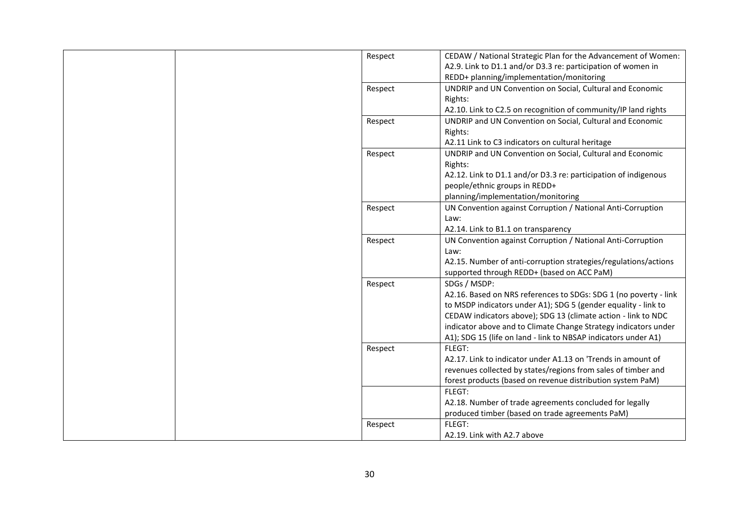| Respect | CEDAW / National Strategic Plan for the Advancement of Women:    |
|---------|------------------------------------------------------------------|
|         | A2.9. Link to D1.1 and/or D3.3 re: participation of women in     |
|         | REDD+ planning/implementation/monitoring                         |
| Respect | UNDRIP and UN Convention on Social, Cultural and Economic        |
|         | Rights:                                                          |
|         | A2.10. Link to C2.5 on recognition of community/IP land rights   |
| Respect | UNDRIP and UN Convention on Social, Cultural and Economic        |
|         | Rights:                                                          |
|         | A2.11 Link to C3 indicators on cultural heritage                 |
| Respect | UNDRIP and UN Convention on Social, Cultural and Economic        |
|         | Rights:                                                          |
|         | A2.12. Link to D1.1 and/or D3.3 re: participation of indigenous  |
|         | people/ethnic groups in REDD+                                    |
|         | planning/implementation/monitoring                               |
| Respect | UN Convention against Corruption / National Anti-Corruption      |
|         | Law:                                                             |
|         | A2.14. Link to B1.1 on transparency                              |
| Respect | UN Convention against Corruption / National Anti-Corruption      |
|         | Law:                                                             |
|         | A2.15. Number of anti-corruption strategies/regulations/actions  |
|         | supported through REDD+ (based on ACC PaM)                       |
| Respect | SDGs / MSDP:                                                     |
|         | A2.16. Based on NRS references to SDGs: SDG 1 (no poverty - link |
|         | to MSDP indicators under A1); SDG 5 (gender equality - link to   |
|         | CEDAW indicators above); SDG 13 (climate action - link to NDC    |
|         | indicator above and to Climate Change Strategy indicators under  |
|         | A1); SDG 15 (life on land - link to NBSAP indicators under A1)   |
| Respect | FLEGT:                                                           |
|         | A2.17. Link to indicator under A1.13 on 'Trends in amount of     |
|         | revenues collected by states/regions from sales of timber and    |
|         | forest products (based on revenue distribution system PaM)       |
|         | FLEGT:                                                           |
|         | A2.18. Number of trade agreements concluded for legally          |
|         | produced timber (based on trade agreements PaM)                  |
| Respect | FLEGT:                                                           |
|         | A2.19. Link with A2.7 above                                      |
|         |                                                                  |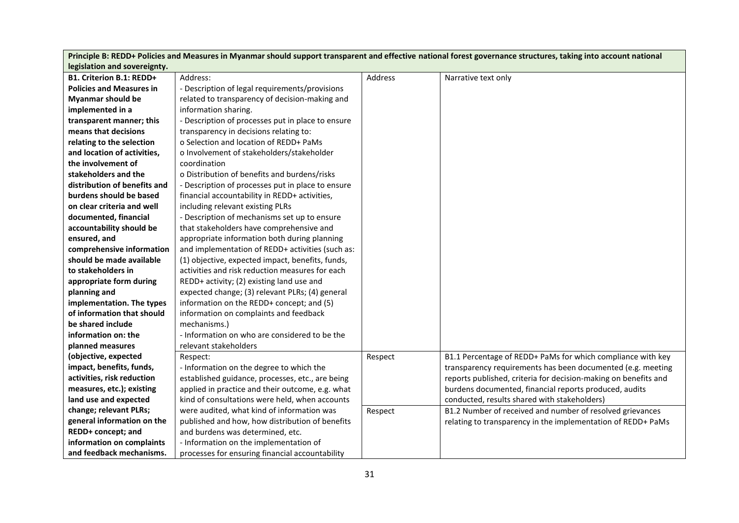| Principle B: REDD+ Policies and Measures in Myanmar should support transparent and effective national forest governance structures, taking into account national |                                                   |         |                                                                 |
|------------------------------------------------------------------------------------------------------------------------------------------------------------------|---------------------------------------------------|---------|-----------------------------------------------------------------|
| legislation and sovereignty.                                                                                                                                     |                                                   |         |                                                                 |
| <b>B1. Criterion B.1: REDD+</b>                                                                                                                                  | Address:                                          | Address | Narrative text only                                             |
| <b>Policies and Measures in</b>                                                                                                                                  | - Description of legal requirements/provisions    |         |                                                                 |
| <b>Myanmar should be</b>                                                                                                                                         | related to transparency of decision-making and    |         |                                                                 |
| implemented in a                                                                                                                                                 | information sharing.                              |         |                                                                 |
| transparent manner; this                                                                                                                                         | - Description of processes put in place to ensure |         |                                                                 |
| means that decisions                                                                                                                                             | transparency in decisions relating to:            |         |                                                                 |
| relating to the selection                                                                                                                                        | o Selection and location of REDD+ PaMs            |         |                                                                 |
| and location of activities,                                                                                                                                      | o Involvement of stakeholders/stakeholder         |         |                                                                 |
| the involvement of                                                                                                                                               | coordination                                      |         |                                                                 |
| stakeholders and the                                                                                                                                             | o Distribution of benefits and burdens/risks      |         |                                                                 |
| distribution of benefits and                                                                                                                                     | - Description of processes put in place to ensure |         |                                                                 |
| burdens should be based                                                                                                                                          | financial accountability in REDD+ activities,     |         |                                                                 |
| on clear criteria and well                                                                                                                                       | including relevant existing PLRs                  |         |                                                                 |
| documented, financial                                                                                                                                            | - Description of mechanisms set up to ensure      |         |                                                                 |
| accountability should be                                                                                                                                         | that stakeholders have comprehensive and          |         |                                                                 |
| ensured, and                                                                                                                                                     | appropriate information both during planning      |         |                                                                 |
| comprehensive information                                                                                                                                        | and implementation of REDD+ activities (such as:  |         |                                                                 |
| should be made available                                                                                                                                         | (1) objective, expected impact, benefits, funds,  |         |                                                                 |
| to stakeholders in                                                                                                                                               | activities and risk reduction measures for each   |         |                                                                 |
| appropriate form during                                                                                                                                          | REDD+ activity; (2) existing land use and         |         |                                                                 |
| planning and                                                                                                                                                     | expected change; (3) relevant PLRs; (4) general   |         |                                                                 |
| implementation. The types                                                                                                                                        | information on the REDD+ concept; and (5)         |         |                                                                 |
| of information that should                                                                                                                                       | information on complaints and feedback            |         |                                                                 |
| be shared include                                                                                                                                                | mechanisms.)                                      |         |                                                                 |
| information on: the                                                                                                                                              | - Information on who are considered to be the     |         |                                                                 |
| planned measures                                                                                                                                                 | relevant stakeholders                             |         |                                                                 |
| (objective, expected                                                                                                                                             | Respect:                                          | Respect | B1.1 Percentage of REDD+ PaMs for which compliance with key     |
| impact, benefits, funds,                                                                                                                                         | - Information on the degree to which the          |         | transparency requirements has been documented (e.g. meeting     |
| activities, risk reduction                                                                                                                                       | established guidance, processes, etc., are being  |         | reports published, criteria for decision-making on benefits and |
| measures, etc.); existing                                                                                                                                        | applied in practice and their outcome, e.g. what  |         | burdens documented, financial reports produced, audits          |
| land use and expected                                                                                                                                            | kind of consultations were held, when accounts    |         | conducted, results shared with stakeholders)                    |
| change; relevant PLRs;                                                                                                                                           | were audited, what kind of information was        | Respect | B1.2 Number of received and number of resolved grievances       |
| general information on the                                                                                                                                       | published and how, how distribution of benefits   |         | relating to transparency in the implementation of REDD+ PaMs    |
| REDD+ concept; and                                                                                                                                               | and burdens was determined, etc.                  |         |                                                                 |
| information on complaints                                                                                                                                        | - Information on the implementation of            |         |                                                                 |
| and feedback mechanisms.                                                                                                                                         | processes for ensuring financial accountability   |         |                                                                 |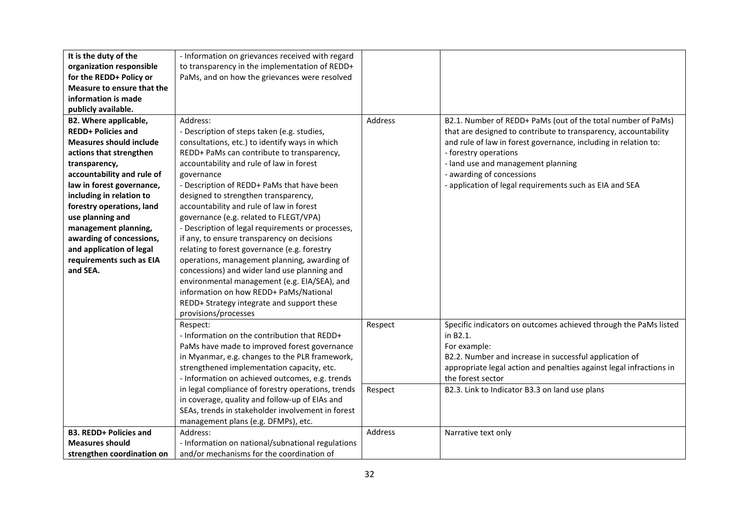| It is the duty of the                       | - Information on grievances received with regard                                              |         |                                                                     |
|---------------------------------------------|-----------------------------------------------------------------------------------------------|---------|---------------------------------------------------------------------|
| organization responsible                    | to transparency in the implementation of REDD+                                                |         |                                                                     |
| for the REDD+ Policy or                     | PaMs, and on how the grievances were resolved                                                 |         |                                                                     |
| Measure to ensure that the                  |                                                                                               |         |                                                                     |
| information is made                         |                                                                                               |         |                                                                     |
| publicly available.                         |                                                                                               |         |                                                                     |
| <b>B2. Where applicable,</b>                | Address:                                                                                      | Address | B2.1. Number of REDD+ PaMs (out of the total number of PaMs)        |
| <b>REDD+ Policies and</b>                   |                                                                                               |         | that are designed to contribute to transparency, accountability     |
| <b>Measures should include</b>              | - Description of steps taken (e.g. studies,<br>consultations, etc.) to identify ways in which |         | and rule of law in forest governance, including in relation to:     |
|                                             | REDD+ PaMs can contribute to transparency,                                                    |         | - forestry operations                                               |
| actions that strengthen                     | accountability and rule of law in forest                                                      |         | - land use and management planning                                  |
| transparency,<br>accountability and rule of |                                                                                               |         | - awarding of concessions                                           |
|                                             | governance                                                                                    |         |                                                                     |
| law in forest governance,                   | - Description of REDD+ PaMs that have been                                                    |         | - application of legal requirements such as EIA and SEA             |
| including in relation to                    | designed to strengthen transparency,<br>accountability and rule of law in forest              |         |                                                                     |
| forestry operations, land                   |                                                                                               |         |                                                                     |
| use planning and                            | governance (e.g. related to FLEGT/VPA)                                                        |         |                                                                     |
| management planning,                        | - Description of legal requirements or processes,                                             |         |                                                                     |
| awarding of concessions,                    | if any, to ensure transparency on decisions                                                   |         |                                                                     |
| and application of legal                    | relating to forest governance (e.g. forestry                                                  |         |                                                                     |
| requirements such as EIA                    | operations, management planning, awarding of                                                  |         |                                                                     |
| and SEA.                                    | concessions) and wider land use planning and                                                  |         |                                                                     |
|                                             | environmental management (e.g. EIA/SEA), and                                                  |         |                                                                     |
|                                             | information on how REDD+ PaMs/National                                                        |         |                                                                     |
|                                             | REDD+ Strategy integrate and support these                                                    |         |                                                                     |
|                                             | provisions/processes                                                                          |         |                                                                     |
|                                             | Respect:                                                                                      | Respect | Specific indicators on outcomes achieved through the PaMs listed    |
|                                             | - Information on the contribution that REDD+                                                  |         | in B2.1.                                                            |
|                                             | PaMs have made to improved forest governance                                                  |         | For example:                                                        |
|                                             | in Myanmar, e.g. changes to the PLR framework,                                                |         | B2.2. Number and increase in successful application of              |
|                                             | strengthened implementation capacity, etc.                                                    |         | appropriate legal action and penalties against legal infractions in |
|                                             | - Information on achieved outcomes, e.g. trends                                               |         | the forest sector                                                   |
|                                             | in legal compliance of forestry operations, trends                                            | Respect | B2.3. Link to Indicator B3.3 on land use plans                      |
|                                             | in coverage, quality and follow-up of EIAs and                                                |         |                                                                     |
|                                             | SEAs, trends in stakeholder involvement in forest                                             |         |                                                                     |
|                                             | management plans (e.g. DFMPs), etc.                                                           |         |                                                                     |
| <b>B3. REDD+ Policies and</b>               | Address:                                                                                      | Address | Narrative text only                                                 |
| <b>Measures should</b>                      | - Information on national/subnational regulations                                             |         |                                                                     |
| strengthen coordination on                  | and/or mechanisms for the coordination of                                                     |         |                                                                     |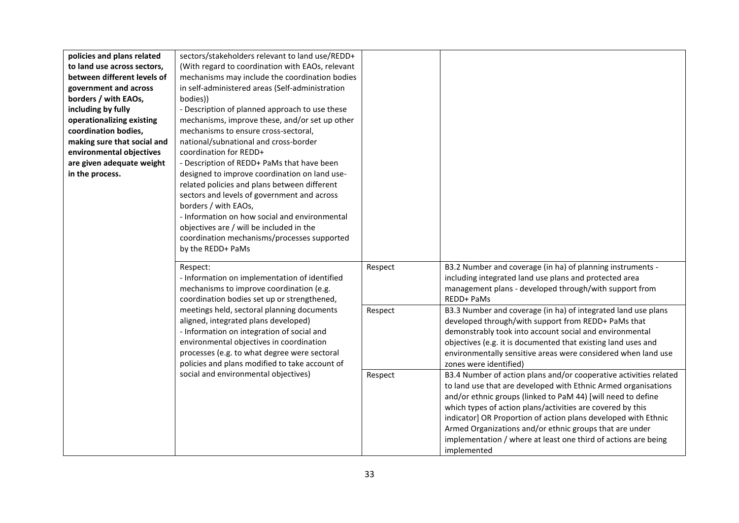| policies and plans related  | sectors/stakeholders relevant to land use/REDD+  |         |                                                                   |
|-----------------------------|--------------------------------------------------|---------|-------------------------------------------------------------------|
| to land use across sectors, | (With regard to coordination with EAOs, relevant |         |                                                                   |
| between different levels of | mechanisms may include the coordination bodies   |         |                                                                   |
| government and across       | in self-administered areas (Self-administration  |         |                                                                   |
| borders / with EAOs,        | bodies))                                         |         |                                                                   |
| including by fully          | - Description of planned approach to use these   |         |                                                                   |
| operationalizing existing   | mechanisms, improve these, and/or set up other   |         |                                                                   |
| coordination bodies,        | mechanisms to ensure cross-sectoral,             |         |                                                                   |
| making sure that social and | national/subnational and cross-border            |         |                                                                   |
| environmental objectives    | coordination for REDD+                           |         |                                                                   |
| are given adequate weight   | - Description of REDD+ PaMs that have been       |         |                                                                   |
| in the process.             | designed to improve coordination on land use-    |         |                                                                   |
|                             | related policies and plans between different     |         |                                                                   |
|                             | sectors and levels of government and across      |         |                                                                   |
|                             | borders / with EAOs,                             |         |                                                                   |
|                             | - Information on how social and environmental    |         |                                                                   |
|                             | objectives are / will be included in the         |         |                                                                   |
|                             | coordination mechanisms/processes supported      |         |                                                                   |
|                             | by the REDD+ PaMs                                |         |                                                                   |
|                             |                                                  |         |                                                                   |
|                             | Respect:                                         | Respect | B3.2 Number and coverage (in ha) of planning instruments -        |
|                             | - Information on implementation of identified    |         | including integrated land use plans and protected area            |
|                             | mechanisms to improve coordination (e.g.         |         | management plans - developed through/with support from            |
|                             | coordination bodies set up or strengthened,      |         | REDD+ PaMs                                                        |
|                             | meetings held, sectoral planning documents       | Respect | B3.3 Number and coverage (in ha) of integrated land use plans     |
|                             | aligned, integrated plans developed)             |         | developed through/with support from REDD+ PaMs that               |
|                             | - Information on integration of social and       |         | demonstrably took into account social and environmental           |
|                             | environmental objectives in coordination         |         | objectives (e.g. it is documented that existing land uses and     |
|                             | processes (e.g. to what degree were sectoral     |         | environmentally sensitive areas were considered when land use     |
|                             | policies and plans modified to take account of   |         | zones were identified)                                            |
|                             | social and environmental objectives)             | Respect | B3.4 Number of action plans and/or cooperative activities related |
|                             |                                                  |         | to land use that are developed with Ethnic Armed organisations    |
|                             |                                                  |         | and/or ethnic groups (linked to PaM 44) [will need to define      |
|                             |                                                  |         | which types of action plans/activities are covered by this        |
|                             |                                                  |         | indicator] OR Proportion of action plans developed with Ethnic    |
|                             |                                                  |         | Armed Organizations and/or ethnic groups that are under           |
|                             |                                                  |         | implementation / where at least one third of actions are being    |
|                             |                                                  |         | implemented                                                       |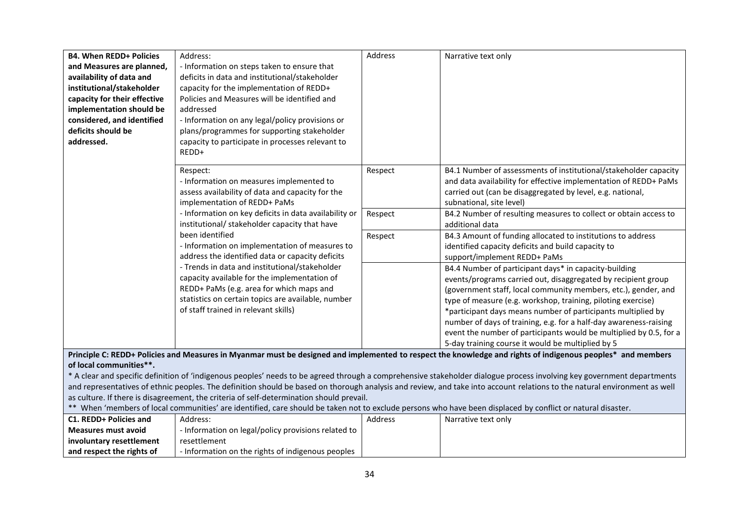| <b>B4. When REDD+ Policies</b> | Address:                                                         | Address | Narrative text only                                                                                                                                                        |
|--------------------------------|------------------------------------------------------------------|---------|----------------------------------------------------------------------------------------------------------------------------------------------------------------------------|
|                                |                                                                  |         |                                                                                                                                                                            |
| and Measures are planned,      | - Information on steps taken to ensure that                      |         |                                                                                                                                                                            |
| availability of data and       | deficits in data and institutional/stakeholder                   |         |                                                                                                                                                                            |
| institutional/stakeholder      | capacity for the implementation of REDD+                         |         |                                                                                                                                                                            |
| capacity for their effective   | Policies and Measures will be identified and                     |         |                                                                                                                                                                            |
| implementation should be       | addressed                                                        |         |                                                                                                                                                                            |
| considered, and identified     | - Information on any legal/policy provisions or                  |         |                                                                                                                                                                            |
| deficits should be             | plans/programmes for supporting stakeholder                      |         |                                                                                                                                                                            |
| addressed.                     | capacity to participate in processes relevant to                 |         |                                                                                                                                                                            |
|                                | REDD+                                                            |         |                                                                                                                                                                            |
|                                |                                                                  |         |                                                                                                                                                                            |
|                                | Respect:                                                         | Respect | B4.1 Number of assessments of institutional/stakeholder capacity                                                                                                           |
|                                | - Information on measures implemented to                         |         | and data availability for effective implementation of REDD+ PaMs                                                                                                           |
|                                | assess availability of data and capacity for the                 |         | carried out (can be disaggregated by level, e.g. national,                                                                                                                 |
|                                | implementation of REDD+ PaMs                                     |         | subnational, site level)                                                                                                                                                   |
|                                | - Information on key deficits in data availability or            | Respect | B4.2 Number of resulting measures to collect or obtain access to                                                                                                           |
|                                | institutional/ stakeholder capacity that have<br>been identified |         | additional data                                                                                                                                                            |
|                                |                                                                  | Respect | B4.3 Amount of funding allocated to institutions to address                                                                                                                |
|                                | - Information on implementation of measures to                   |         | identified capacity deficits and build capacity to                                                                                                                         |
|                                | address the identified data or capacity deficits                 |         | support/implement REDD+ PaMs                                                                                                                                               |
|                                | - Trends in data and institutional/stakeholder                   |         | B4.4 Number of participant days* in capacity-building                                                                                                                      |
|                                | capacity available for the implementation of                     |         | events/programs carried out, disaggregated by recipient group                                                                                                              |
|                                | REDD+ PaMs (e.g. area for which maps and                         |         | (government staff, local community members, etc.), gender, and                                                                                                             |
|                                | statistics on certain topics are available, number               |         | type of measure (e.g. workshop, training, piloting exercise)                                                                                                               |
|                                | of staff trained in relevant skills)                             |         | *participant days means number of participants multiplied by                                                                                                               |
|                                |                                                                  |         | number of days of training, e.g. for a half-day awareness-raising                                                                                                          |
|                                |                                                                  |         | event the number of participants would be multiplied by 0.5, for a                                                                                                         |
|                                |                                                                  |         | 5-day training course it would be multiplied by 5                                                                                                                          |
|                                |                                                                  |         | Principle C: REDD+ Policies and Measures in Myanmar must be designed and implemented to respect the knowledge and rights of indigenous peoples* and members                |
| of local communities**.        |                                                                  |         |                                                                                                                                                                            |
|                                |                                                                  |         | $*$ 0 clear and specific definition of 'indiggravy peoples' people to be agreed through a comprehensive stakeholder dialogue process involving key government departments. |

\* A clear and specific definition of 'indigenous peoples' needs to be agreed through a comprehensive stakeholder dialogue process involving key government departments and representatives of ethnic peoples. The definition should be based on thorough analysis and review, and take into account relations to the natural environment as well as culture. If there is disagreement, the criteria of self-determination should prevail.

\*\* When 'members of local communities' are identified, care should be taken not to exclude persons who have been displaced by conflict or natural disaster.

| C1. REDD+ Policies and    | Address:                                            | Address | Narrative text only |
|---------------------------|-----------------------------------------------------|---------|---------------------|
| Measures must avoid       | - Information on legal/policy provisions related to |         |                     |
| involuntary resettlement  | resettlement                                        |         |                     |
| and respect the rights of | - Information on the rights of indigenous peoples   |         |                     |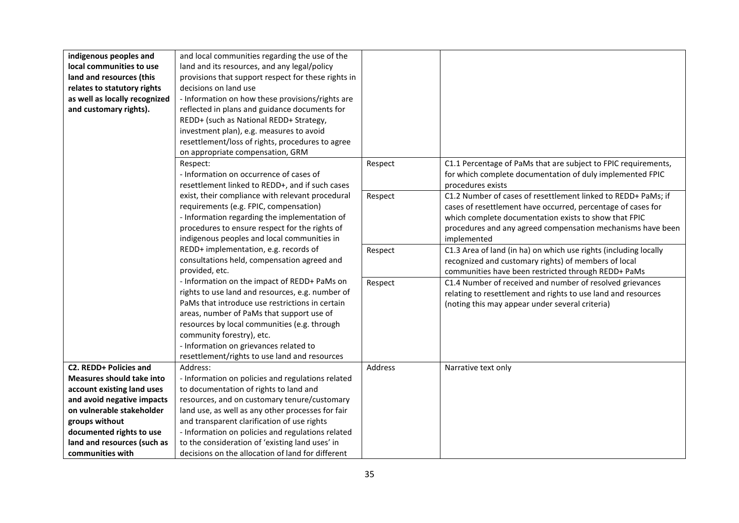| indigenous peoples and           | and local communities regarding the use of the      |         |                                                                  |
|----------------------------------|-----------------------------------------------------|---------|------------------------------------------------------------------|
| local communities to use         | land and its resources, and any legal/policy        |         |                                                                  |
| land and resources (this         | provisions that support respect for these rights in |         |                                                                  |
| relates to statutory rights      | decisions on land use                               |         |                                                                  |
| as well as locally recognized    | - Information on how these provisions/rights are    |         |                                                                  |
| and customary rights).           | reflected in plans and guidance documents for       |         |                                                                  |
|                                  | REDD+ (such as National REDD+ Strategy,             |         |                                                                  |
|                                  | investment plan), e.g. measures to avoid            |         |                                                                  |
|                                  | resettlement/loss of rights, procedures to agree    |         |                                                                  |
|                                  | on appropriate compensation, GRM                    |         |                                                                  |
|                                  | Respect:                                            | Respect | C1.1 Percentage of PaMs that are subject to FPIC requirements,   |
|                                  | - Information on occurrence of cases of             |         | for which complete documentation of duly implemented FPIC        |
|                                  | resettlement linked to REDD+, and if such cases     |         | procedures exists                                                |
|                                  | exist, their compliance with relevant procedural    | Respect | C1.2 Number of cases of resettlement linked to REDD+ PaMs; if    |
|                                  | requirements (e.g. FPIC, compensation)              |         | cases of resettlement have occurred, percentage of cases for     |
|                                  | - Information regarding the implementation of       |         | which complete documentation exists to show that FPIC            |
|                                  | procedures to ensure respect for the rights of      |         | procedures and any agreed compensation mechanisms have been      |
|                                  | indigenous peoples and local communities in         |         | implemented                                                      |
|                                  | REDD+ implementation, e.g. records of               | Respect | C1.3 Area of land (in ha) on which use rights (including locally |
|                                  | consultations held, compensation agreed and         |         | recognized and customary rights) of members of local             |
|                                  | provided, etc.                                      |         | communities have been restricted through REDD+ PaMs              |
|                                  | - Information on the impact of REDD+ PaMs on        | Respect | C1.4 Number of received and number of resolved grievances        |
|                                  | rights to use land and resources, e.g. number of    |         | relating to resettlement and rights to use land and resources    |
|                                  | PaMs that introduce use restrictions in certain     |         | (noting this may appear under several criteria)                  |
|                                  | areas, number of PaMs that support use of           |         |                                                                  |
|                                  | resources by local communities (e.g. through        |         |                                                                  |
|                                  | community forestry), etc.                           |         |                                                                  |
|                                  | - Information on grievances related to              |         |                                                                  |
|                                  | resettlement/rights to use land and resources       |         |                                                                  |
| C2. REDD+ Policies and           | Address:                                            | Address | Narrative text only                                              |
| <b>Measures should take into</b> | - Information on policies and regulations related   |         |                                                                  |
| account existing land uses       | to documentation of rights to land and              |         |                                                                  |
| and avoid negative impacts       | resources, and on customary tenure/customary        |         |                                                                  |
| on vulnerable stakeholder        | land use, as well as any other processes for fair   |         |                                                                  |
| groups without                   | and transparent clarification of use rights         |         |                                                                  |
| documented rights to use         | - Information on policies and regulations related   |         |                                                                  |
| land and resources (such as      | to the consideration of 'existing land uses' in     |         |                                                                  |
| communities with                 | decisions on the allocation of land for different   |         |                                                                  |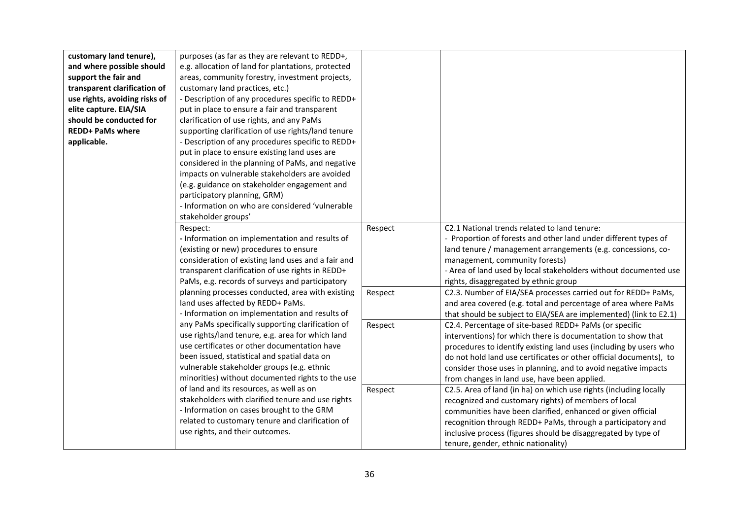| customary land tenure),       | purposes (as far as they are relevant to REDD+,    |         |                                                                    |
|-------------------------------|----------------------------------------------------|---------|--------------------------------------------------------------------|
| and where possible should     | e.g. allocation of land for plantations, protected |         |                                                                    |
| support the fair and          |                                                    |         |                                                                    |
|                               | areas, community forestry, investment projects,    |         |                                                                    |
| transparent clarification of  | customary land practices, etc.)                    |         |                                                                    |
| use rights, avoiding risks of | - Description of any procedures specific to REDD+  |         |                                                                    |
| elite capture. EIA/SIA        | put in place to ensure a fair and transparent      |         |                                                                    |
| should be conducted for       | clarification of use rights, and any PaMs          |         |                                                                    |
| <b>REDD+ PaMs where</b>       | supporting clarification of use rights/land tenure |         |                                                                    |
| applicable.                   | - Description of any procedures specific to REDD+  |         |                                                                    |
|                               | put in place to ensure existing land uses are      |         |                                                                    |
|                               | considered in the planning of PaMs, and negative   |         |                                                                    |
|                               | impacts on vulnerable stakeholders are avoided     |         |                                                                    |
|                               | (e.g. guidance on stakeholder engagement and       |         |                                                                    |
|                               | participatory planning, GRM)                       |         |                                                                    |
|                               | - Information on who are considered 'vulnerable    |         |                                                                    |
|                               | stakeholder groups'                                |         |                                                                    |
|                               | Respect:                                           | Respect | C2.1 National trends related to land tenure:                       |
|                               | - Information on implementation and results of     |         | - Proportion of forests and other land under different types of    |
|                               | (existing or new) procedures to ensure             |         | land tenure / management arrangements (e.g. concessions, co-       |
|                               | consideration of existing land uses and a fair and |         | management, community forests)                                     |
|                               | transparent clarification of use rights in REDD+   |         | - Area of land used by local stakeholders without documented use   |
|                               | PaMs, e.g. records of surveys and participatory    |         | rights, disaggregated by ethnic group                              |
|                               | planning processes conducted, area with existing   | Respect | C2.3. Number of EIA/SEA processes carried out for REDD+ PaMs,      |
|                               | land uses affected by REDD+ PaMs.                  |         | and area covered (e.g. total and percentage of area where PaMs     |
|                               | - Information on implementation and results of     |         | that should be subject to EIA/SEA are implemented) (link to E2.1)  |
|                               | any PaMs specifically supporting clarification of  | Respect | C2.4. Percentage of site-based REDD+ PaMs (or specific             |
|                               | use rights/land tenure, e.g. area for which land   |         | interventions) for which there is documentation to show that       |
|                               | use certificates or other documentation have       |         | procedures to identify existing land uses (including by users who  |
|                               | been issued, statistical and spatial data on       |         | do not hold land use certificates or other official documents), to |
|                               | vulnerable stakeholder groups (e.g. ethnic         |         | consider those uses in planning, and to avoid negative impacts     |
|                               | minorities) without documented rights to the use   |         | from changes in land use, have been applied.                       |
|                               | of land and its resources, as well as on           |         |                                                                    |
|                               | stakeholders with clarified tenure and use rights  | Respect | C2.5. Area of land (in ha) on which use rights (including locally  |
|                               | - Information on cases brought to the GRM          |         | recognized and customary rights) of members of local               |
|                               | related to customary tenure and clarification of   |         | communities have been clarified, enhanced or given official        |
|                               | use rights, and their outcomes.                    |         | recognition through REDD+ PaMs, through a participatory and        |
|                               |                                                    |         | inclusive process (figures should be disaggregated by type of      |
|                               |                                                    |         | tenure, gender, ethnic nationality)                                |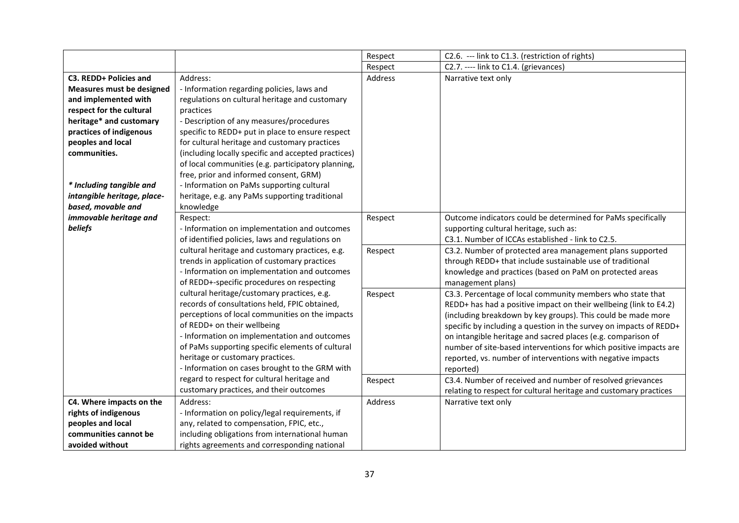|                                  |                                                     | Respect | C2.6. --- link to C1.3. (restriction of rights)                    |
|----------------------------------|-----------------------------------------------------|---------|--------------------------------------------------------------------|
|                                  |                                                     | Respect | C2.7. ---- link to C1.4. (grievances)                              |
| C3. REDD+ Policies and           | Address:                                            | Address | Narrative text only                                                |
| <b>Measures must be designed</b> | - Information regarding policies, laws and          |         |                                                                    |
| and implemented with             | regulations on cultural heritage and customary      |         |                                                                    |
| respect for the cultural         | practices                                           |         |                                                                    |
| heritage* and customary          | - Description of any measures/procedures            |         |                                                                    |
| practices of indigenous          | specific to REDD+ put in place to ensure respect    |         |                                                                    |
| peoples and local                | for cultural heritage and customary practices       |         |                                                                    |
| communities.                     | (including locally specific and accepted practices) |         |                                                                    |
|                                  | of local communities (e.g. participatory planning,  |         |                                                                    |
|                                  | free, prior and informed consent, GRM)              |         |                                                                    |
| * Including tangible and         | - Information on PaMs supporting cultural           |         |                                                                    |
| intangible heritage, place-      | heritage, e.g. any PaMs supporting traditional      |         |                                                                    |
| based, movable and               | knowledge                                           |         |                                                                    |
| immovable heritage and           | Respect:                                            | Respect | Outcome indicators could be determined for PaMs specifically       |
| beliefs                          | - Information on implementation and outcomes        |         | supporting cultural heritage, such as:                             |
|                                  | of identified policies, laws and regulations on     |         | C3.1. Number of ICCAs established - link to C2.5.                  |
|                                  | cultural heritage and customary practices, e.g.     | Respect | C3.2. Number of protected area management plans supported          |
|                                  | trends in application of customary practices        |         | through REDD+ that include sustainable use of traditional          |
|                                  | - Information on implementation and outcomes        |         | knowledge and practices (based on PaM on protected areas           |
|                                  | of REDD+-specific procedures on respecting          |         | management plans)                                                  |
|                                  | cultural heritage/customary practices, e.g.         | Respect | C3.3. Percentage of local community members who state that         |
|                                  | records of consultations held, FPIC obtained,       |         | REDD+ has had a positive impact on their wellbeing (link to E4.2)  |
|                                  | perceptions of local communities on the impacts     |         | (including breakdown by key groups). This could be made more       |
|                                  | of REDD+ on their wellbeing                         |         | specific by including a question in the survey on impacts of REDD+ |
|                                  | - Information on implementation and outcomes        |         | on intangible heritage and sacred places (e.g. comparison of       |
|                                  | of PaMs supporting specific elements of cultural    |         | number of site-based interventions for which positive impacts are  |
|                                  | heritage or customary practices.                    |         | reported, vs. number of interventions with negative impacts        |
|                                  | - Information on cases brought to the GRM with      |         | reported)                                                          |
|                                  | regard to respect for cultural heritage and         | Respect | C3.4. Number of received and number of resolved grievances         |
|                                  | customary practices, and their outcomes             |         | relating to respect for cultural heritage and customary practices  |
| C4. Where impacts on the         | Address:                                            | Address | Narrative text only                                                |
| rights of indigenous             | - Information on policy/legal requirements, if      |         |                                                                    |
| peoples and local                | any, related to compensation, FPIC, etc.,           |         |                                                                    |
| communities cannot be            | including obligations from international human      |         |                                                                    |
| avoided without                  | rights agreements and corresponding national        |         |                                                                    |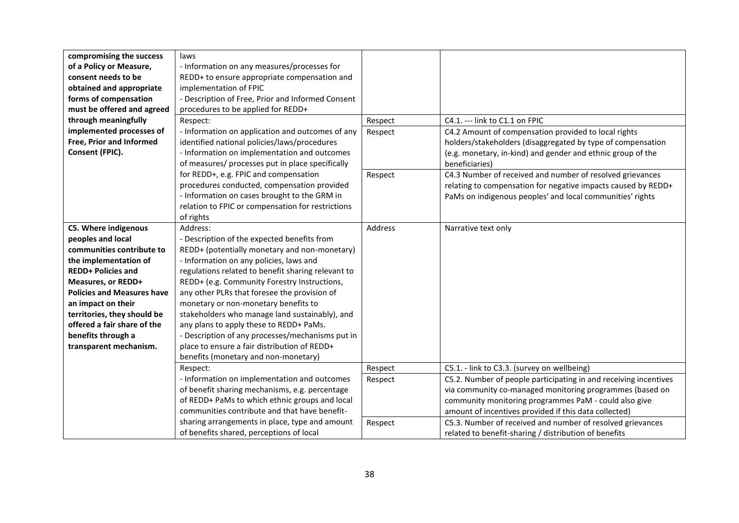| compromising the success<br>of a Policy or Measure, | laws<br>- Information on any measures/processes for |         |                                                                  |
|-----------------------------------------------------|-----------------------------------------------------|---------|------------------------------------------------------------------|
| consent needs to be                                 | REDD+ to ensure appropriate compensation and        |         |                                                                  |
| obtained and appropriate                            | implementation of FPIC                              |         |                                                                  |
| forms of compensation                               | - Description of Free, Prior and Informed Consent   |         |                                                                  |
| must be offered and agreed                          | procedures to be applied for REDD+                  |         |                                                                  |
| through meaningfully                                | Respect:                                            | Respect | C4.1. --- link to C1.1 on FPIC                                   |
| implemented processes of                            | - Information on application and outcomes of any    | Respect | C4.2 Amount of compensation provided to local rights             |
| Free, Prior and Informed                            | identified national policies/laws/procedures        |         | holders/stakeholders (disaggregated by type of compensation      |
| Consent (FPIC).                                     | - Information on implementation and outcomes        |         | (e.g. monetary, in-kind) and gender and ethnic group of the      |
|                                                     | of measures/ processes put in place specifically    |         | beneficiaries)                                                   |
|                                                     | for REDD+, e.g. FPIC and compensation               | Respect | C4.3 Number of received and number of resolved grievances        |
|                                                     | procedures conducted, compensation provided         |         | relating to compensation for negative impacts caused by REDD+    |
|                                                     | - Information on cases brought to the GRM in        |         | PaMs on indigenous peoples' and local communities' rights        |
|                                                     | relation to FPIC or compensation for restrictions   |         |                                                                  |
|                                                     | of rights                                           |         |                                                                  |
| <b>C5. Where indigenous</b>                         | Address:                                            | Address | Narrative text only                                              |
| peoples and local                                   | - Description of the expected benefits from         |         |                                                                  |
| communities contribute to                           | REDD+ (potentially monetary and non-monetary)       |         |                                                                  |
| the implementation of                               | - Information on any policies, laws and             |         |                                                                  |
| <b>REDD+ Policies and</b>                           | regulations related to benefit sharing relevant to  |         |                                                                  |
| <b>Measures, or REDD+</b>                           | REDD+ (e.g. Community Forestry Instructions,        |         |                                                                  |
| <b>Policies and Measures have</b>                   | any other PLRs that foresee the provision of        |         |                                                                  |
| an impact on their                                  | monetary or non-monetary benefits to                |         |                                                                  |
| territories, they should be                         | stakeholders who manage land sustainably), and      |         |                                                                  |
| offered a fair share of the                         | any plans to apply these to REDD+ PaMs.             |         |                                                                  |
| benefits through a                                  | - Description of any processes/mechanisms put in    |         |                                                                  |
| transparent mechanism.                              | place to ensure a fair distribution of REDD+        |         |                                                                  |
|                                                     | benefits (monetary and non-monetary)                |         |                                                                  |
|                                                     | Respect:                                            | Respect | C5.1. - link to C3.3. (survey on wellbeing)                      |
|                                                     | - Information on implementation and outcomes        | Respect | C5.2. Number of people participating in and receiving incentives |
|                                                     | of benefit sharing mechanisms, e.g. percentage      |         | via community co-managed monitoring programmes (based on         |
|                                                     | of REDD+ PaMs to which ethnic groups and local      |         | community monitoring programmes PaM - could also give            |
|                                                     | communities contribute and that have benefit-       |         | amount of incentives provided if this data collected)            |
|                                                     | sharing arrangements in place, type and amount      | Respect | C5.3. Number of received and number of resolved grievances       |
|                                                     | of benefits shared, perceptions of local            |         | related to benefit-sharing / distribution of benefits            |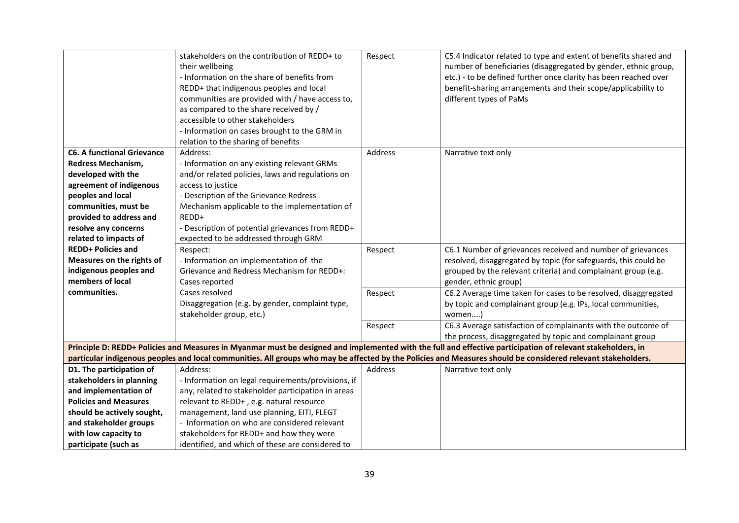|                                   | stakeholders on the contribution of REDD+ to       | Respect | C5.4 Indicator related to type and extent of benefits shared and                                                                                             |
|-----------------------------------|----------------------------------------------------|---------|--------------------------------------------------------------------------------------------------------------------------------------------------------------|
|                                   | their wellbeing                                    |         | number of beneficiaries (disaggregated by gender, ethnic group,                                                                                              |
|                                   | - Information on the share of benefits from        |         | etc.) - to be defined further once clarity has been reached over                                                                                             |
|                                   | REDD+ that indigenous peoples and local            |         | benefit-sharing arrangements and their scope/applicability to                                                                                                |
|                                   | communities are provided with / have access to,    |         | different types of PaMs                                                                                                                                      |
|                                   | as compared to the share received by /             |         |                                                                                                                                                              |
|                                   | accessible to other stakeholders                   |         |                                                                                                                                                              |
|                                   | - Information on cases brought to the GRM in       |         |                                                                                                                                                              |
|                                   | relation to the sharing of benefits                |         |                                                                                                                                                              |
| <b>C6. A functional Grievance</b> | Address:                                           | Address | Narrative text only                                                                                                                                          |
| <b>Redress Mechanism,</b>         | - Information on any existing relevant GRMs        |         |                                                                                                                                                              |
| developed with the                | and/or related policies, laws and regulations on   |         |                                                                                                                                                              |
| agreement of indigenous           | access to justice                                  |         |                                                                                                                                                              |
| peoples and local                 | - Description of the Grievance Redress             |         |                                                                                                                                                              |
| communities, must be              | Mechanism applicable to the implementation of      |         |                                                                                                                                                              |
| provided to address and           | REDD+                                              |         |                                                                                                                                                              |
| resolve any concerns              | - Description of potential grievances from REDD+   |         |                                                                                                                                                              |
| related to impacts of             | expected to be addressed through GRM               |         |                                                                                                                                                              |
| <b>REDD+ Policies and</b>         | Respect:                                           | Respect | C6.1 Number of grievances received and number of grievances                                                                                                  |
| Measures on the rights of         | - Information on implementation of the             |         | resolved, disaggregated by topic (for safeguards, this could be                                                                                              |
| indigenous peoples and            | Grievance and Redress Mechanism for REDD+:         |         | grouped by the relevant criteria) and complainant group (e.g.                                                                                                |
| members of local                  | Cases reported                                     |         | gender, ethnic group)                                                                                                                                        |
| communities.                      | Cases resolved                                     | Respect | C6.2 Average time taken for cases to be resolved, disaggregated                                                                                              |
|                                   | Disaggregation (e.g. by gender, complaint type,    |         | by topic and complainant group (e.g. IPs, local communities,                                                                                                 |
|                                   | stakeholder group, etc.)                           |         | women                                                                                                                                                        |
|                                   |                                                    | Respect | C6.3 Average satisfaction of complainants with the outcome of                                                                                                |
|                                   |                                                    |         | the process, disaggregated by topic and complainant group                                                                                                    |
|                                   |                                                    |         | Principle D: REDD+ Policies and Measures in Myanmar must be designed and implemented with the full and effective participation of relevant stakeholders, in  |
|                                   |                                                    |         | particular indigenous peoples and local communities. All groups who may be affected by the Policies and Measures should be considered relevant stakeholders. |
| D1. The participation of          | Address:                                           | Address | Narrative text only                                                                                                                                          |
| stakeholders in planning          | - Information on legal requirements/provisions, if |         |                                                                                                                                                              |
| and implementation of             | any, related to stakeholder participation in areas |         |                                                                                                                                                              |
| <b>Policies and Measures</b>      | relevant to REDD+, e.g. natural resource           |         |                                                                                                                                                              |
| should be actively sought,        | management, land use planning, EITI, FLEGT         |         |                                                                                                                                                              |
| and stakeholder groups            | - Information on who are considered relevant       |         |                                                                                                                                                              |
| with low capacity to              | stakeholders for REDD+ and how they were           |         |                                                                                                                                                              |
| participate (such as              | identified, and which of these are considered to   |         |                                                                                                                                                              |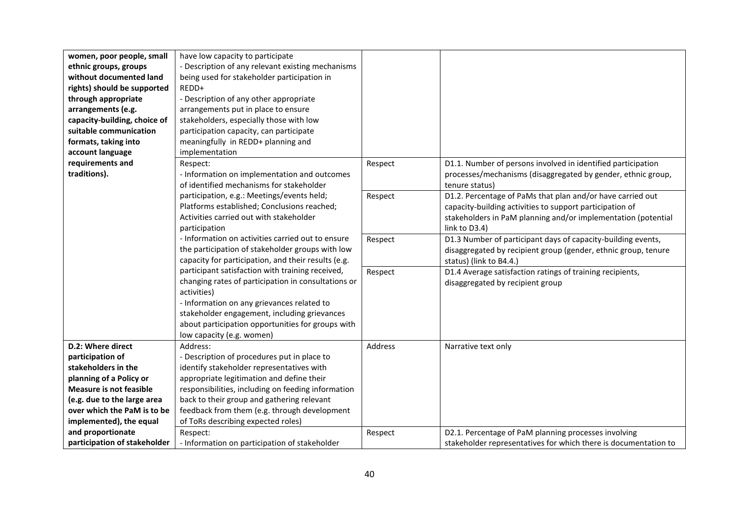| women, poor people, small      | have low capacity to participate                    |         |                                                                 |
|--------------------------------|-----------------------------------------------------|---------|-----------------------------------------------------------------|
| ethnic groups, groups          | - Description of any relevant existing mechanisms   |         |                                                                 |
| without documented land        | being used for stakeholder participation in         |         |                                                                 |
| rights) should be supported    | REDD+                                               |         |                                                                 |
| through appropriate            | - Description of any other appropriate              |         |                                                                 |
| arrangements (e.g.             | arrangements put in place to ensure                 |         |                                                                 |
| capacity-building, choice of   | stakeholders, especially those with low             |         |                                                                 |
| suitable communication         | participation capacity, can participate             |         |                                                                 |
| formats, taking into           | meaningfully in REDD+ planning and                  |         |                                                                 |
| account language               | implementation                                      |         |                                                                 |
| requirements and               | Respect:                                            | Respect | D1.1. Number of persons involved in identified participation    |
| traditions).                   | - Information on implementation and outcomes        |         | processes/mechanisms (disaggregated by gender, ethnic group,    |
|                                | of identified mechanisms for stakeholder            |         | tenure status)                                                  |
|                                | participation, e.g.: Meetings/events held;          | Respect | D1.2. Percentage of PaMs that plan and/or have carried out      |
|                                | Platforms established; Conclusions reached;         |         | capacity-building activities to support participation of        |
|                                | Activities carried out with stakeholder             |         | stakeholders in PaM planning and/or implementation (potential   |
|                                | participation                                       |         | link to D3.4)                                                   |
|                                | - Information on activities carried out to ensure   | Respect | D1.3 Number of participant days of capacity-building events,    |
|                                | the participation of stakeholder groups with low    |         | disaggregated by recipient group (gender, ethnic group, tenure  |
|                                | capacity for participation, and their results (e.g. |         | status) (link to B4.4.)                                         |
|                                | participant satisfaction with training received,    | Respect | D1.4 Average satisfaction ratings of training recipients,       |
|                                | changing rates of participation in consultations or |         | disaggregated by recipient group                                |
|                                | activities)                                         |         |                                                                 |
|                                | - Information on any grievances related to          |         |                                                                 |
|                                | stakeholder engagement, including grievances        |         |                                                                 |
|                                | about participation opportunities for groups with   |         |                                                                 |
|                                | low capacity (e.g. women)                           |         |                                                                 |
| D.2: Where direct              | Address:                                            | Address | Narrative text only                                             |
| participation of               | - Description of procedures put in place to         |         |                                                                 |
| stakeholders in the            | identify stakeholder representatives with           |         |                                                                 |
| planning of a Policy or        | appropriate legitimation and define their           |         |                                                                 |
| <b>Measure is not feasible</b> | responsibilities, including on feeding information  |         |                                                                 |
| (e.g. due to the large area    | back to their group and gathering relevant          |         |                                                                 |
| over which the PaM is to be    | feedback from them (e.g. through development        |         |                                                                 |
| implemented), the equal        | of ToRs describing expected roles)                  |         |                                                                 |
| and proportionate              | Respect:                                            | Respect | D2.1. Percentage of PaM planning processes involving            |
| participation of stakeholder   | - Information on participation of stakeholder       |         | stakeholder representatives for which there is documentation to |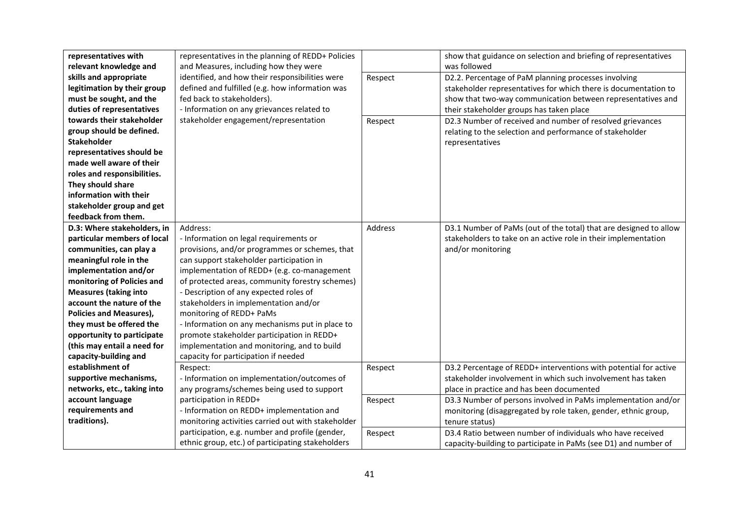| representatives with           | representatives in the planning of REDD+ Policies  |         | show that guidance on selection and briefing of representatives   |
|--------------------------------|----------------------------------------------------|---------|-------------------------------------------------------------------|
| relevant knowledge and         | and Measures, including how they were              |         | was followed                                                      |
| skills and appropriate         | identified, and how their responsibilities were    | Respect | D2.2. Percentage of PaM planning processes involving              |
| legitimation by their group    | defined and fulfilled (e.g. how information was    |         | stakeholder representatives for which there is documentation to   |
| must be sought, and the        | fed back to stakeholders).                         |         | show that two-way communication between representatives and       |
| duties of representatives      | - Information on any grievances related to         |         | their stakeholder groups has taken place                          |
| towards their stakeholder      | stakeholder engagement/representation              | Respect | D2.3 Number of received and number of resolved grievances         |
| group should be defined.       |                                                    |         | relating to the selection and performance of stakeholder          |
| <b>Stakeholder</b>             |                                                    |         | representatives                                                   |
| representatives should be      |                                                    |         |                                                                   |
| made well aware of their       |                                                    |         |                                                                   |
| roles and responsibilities.    |                                                    |         |                                                                   |
| They should share              |                                                    |         |                                                                   |
| information with their         |                                                    |         |                                                                   |
| stakeholder group and get      |                                                    |         |                                                                   |
| feedback from them.            |                                                    |         |                                                                   |
| D.3: Where stakeholders, in    | Address:                                           | Address | D3.1 Number of PaMs (out of the total) that are designed to allow |
| particular members of local    | - Information on legal requirements or             |         | stakeholders to take on an active role in their implementation    |
| communities, can play a        | provisions, and/or programmes or schemes, that     |         | and/or monitoring                                                 |
| meaningful role in the         | can support stakeholder participation in           |         |                                                                   |
| implementation and/or          | implementation of REDD+ (e.g. co-management        |         |                                                                   |
| monitoring of Policies and     | of protected areas, community forestry schemes)    |         |                                                                   |
| <b>Measures (taking into</b>   | - Description of any expected roles of             |         |                                                                   |
| account the nature of the      | stakeholders in implementation and/or              |         |                                                                   |
| <b>Policies and Measures),</b> | monitoring of REDD+ PaMs                           |         |                                                                   |
| they must be offered the       | - Information on any mechanisms put in place to    |         |                                                                   |
| opportunity to participate     | promote stakeholder participation in REDD+         |         |                                                                   |
| (this may entail a need for    | implementation and monitoring, and to build        |         |                                                                   |
| capacity-building and          | capacity for participation if needed               |         |                                                                   |
| establishment of               | Respect:                                           | Respect | D3.2 Percentage of REDD+ interventions with potential for active  |
| supportive mechanisms,         | - Information on implementation/outcomes of        |         | stakeholder involvement in which such involvement has taken       |
| networks, etc., taking into    | any programs/schemes being used to support         |         | place in practice and has been documented                         |
| account language               | participation in REDD+                             | Respect | D3.3 Number of persons involved in PaMs implementation and/or     |
| requirements and               | - Information on REDD+ implementation and          |         | monitoring (disaggregated by role taken, gender, ethnic group,    |
| traditions).                   | monitoring activities carried out with stakeholder |         | tenure status)                                                    |
|                                | participation, e.g. number and profile (gender,    | Respect | D3.4 Ratio between number of individuals who have received        |
|                                | ethnic group, etc.) of participating stakeholders  |         | capacity-building to participate in PaMs (see D1) and number of   |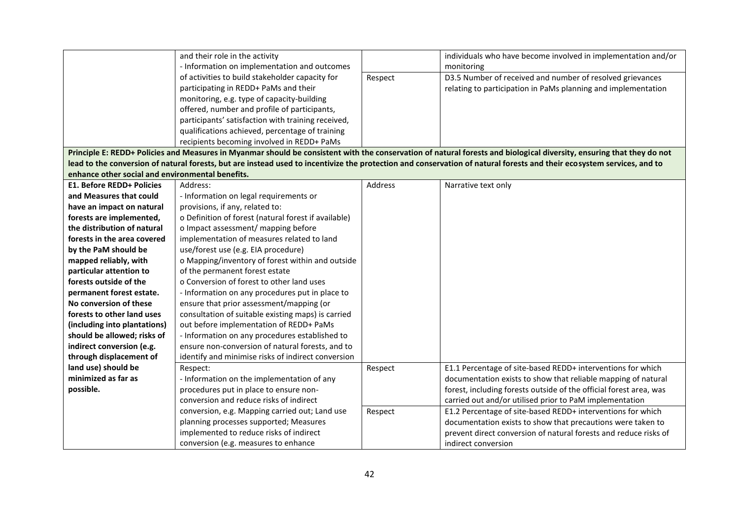|                                                  | and their role in the activity                       |         | individuals who have become involved in implementation and/or                                                                                                          |
|--------------------------------------------------|------------------------------------------------------|---------|------------------------------------------------------------------------------------------------------------------------------------------------------------------------|
|                                                  | - Information on implementation and outcomes         |         | monitoring                                                                                                                                                             |
|                                                  | of activities to build stakeholder capacity for      | Respect | D3.5 Number of received and number of resolved grievances                                                                                                              |
|                                                  | participating in REDD+ PaMs and their                |         | relating to participation in PaMs planning and implementation                                                                                                          |
|                                                  | monitoring, e.g. type of capacity-building           |         |                                                                                                                                                                        |
|                                                  | offered, number and profile of participants,         |         |                                                                                                                                                                        |
|                                                  | participants' satisfaction with training received,   |         |                                                                                                                                                                        |
|                                                  | qualifications achieved, percentage of training      |         |                                                                                                                                                                        |
|                                                  | recipients becoming involved in REDD+ PaMs           |         |                                                                                                                                                                        |
|                                                  |                                                      |         | Principle E: REDD+ Policies and Measures in Myanmar should be consistent with the conservation of natural forests and biological diversity, ensuring that they do not  |
|                                                  |                                                      |         | lead to the conversion of natural forests, but are instead used to incentivize the protection and conservation of natural forests and their ecosystem services, and to |
| enhance other social and environmental benefits. |                                                      |         |                                                                                                                                                                        |
| <b>E1. Before REDD+ Policies</b>                 | Address:                                             | Address | Narrative text only                                                                                                                                                    |
| and Measures that could                          | - Information on legal requirements or               |         |                                                                                                                                                                        |
| have an impact on natural                        | provisions, if any, related to:                      |         |                                                                                                                                                                        |
| forests are implemented,                         | o Definition of forest (natural forest if available) |         |                                                                                                                                                                        |
| the distribution of natural                      | o Impact assessment/ mapping before                  |         |                                                                                                                                                                        |
| forests in the area covered                      | implementation of measures related to land           |         |                                                                                                                                                                        |
| by the PaM should be                             | use/forest use (e.g. EIA procedure)                  |         |                                                                                                                                                                        |
| mapped reliably, with                            | o Mapping/inventory of forest within and outside     |         |                                                                                                                                                                        |
| particular attention to                          | of the permanent forest estate                       |         |                                                                                                                                                                        |
| forests outside of the                           | o Conversion of forest to other land uses            |         |                                                                                                                                                                        |
| permanent forest estate.                         | - Information on any procedures put in place to      |         |                                                                                                                                                                        |
| No conversion of these                           | ensure that prior assessment/mapping (or             |         |                                                                                                                                                                        |
| forests to other land uses                       | consultation of suitable existing maps) is carried   |         |                                                                                                                                                                        |
| (including into plantations)                     | out before implementation of REDD+ PaMs              |         |                                                                                                                                                                        |
| should be allowed; risks of                      | - Information on any procedures established to       |         |                                                                                                                                                                        |
| indirect conversion (e.g.                        | ensure non-conversion of natural forests, and to     |         |                                                                                                                                                                        |
| through displacement of                          | identify and minimise risks of indirect conversion   |         |                                                                                                                                                                        |
| land use) should be                              | Respect:                                             | Respect | E1.1 Percentage of site-based REDD+ interventions for which                                                                                                            |
| minimized as far as                              | - Information on the implementation of any           |         | documentation exists to show that reliable mapping of natural                                                                                                          |
| possible.                                        | procedures put in place to ensure non-               |         | forest, including forests outside of the official forest area, was                                                                                                     |
|                                                  | conversion and reduce risks of indirect              |         | carried out and/or utilised prior to PaM implementation                                                                                                                |
|                                                  | conversion, e.g. Mapping carried out; Land use       | Respect | E1.2 Percentage of site-based REDD+ interventions for which                                                                                                            |
|                                                  | planning processes supported; Measures               |         | documentation exists to show that precautions were taken to                                                                                                            |
|                                                  | implemented to reduce risks of indirect              |         | prevent direct conversion of natural forests and reduce risks of                                                                                                       |
|                                                  | conversion (e.g. measures to enhance                 |         | indirect conversion                                                                                                                                                    |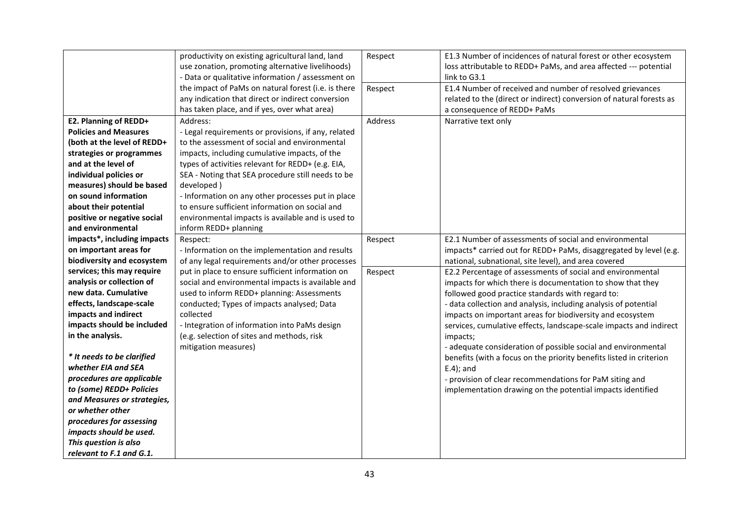|                              | productivity on existing agricultural land, land    | Respect | E1.3 Number of incidences of natural forest or other ecosystem       |
|------------------------------|-----------------------------------------------------|---------|----------------------------------------------------------------------|
|                              | use zonation, promoting alternative livelihoods)    |         | loss attributable to REDD+ PaMs, and area affected --- potential     |
|                              | - Data or qualitative information / assessment on   |         | link to G3.1                                                         |
|                              | the impact of PaMs on natural forest (i.e. is there | Respect | E1.4 Number of received and number of resolved grievances            |
|                              | any indication that direct or indirect conversion   |         | related to the (direct or indirect) conversion of natural forests as |
|                              | has taken place, and if yes, over what area)        |         | a consequence of REDD+ PaMs                                          |
| <b>E2. Planning of REDD+</b> | Address:                                            | Address | Narrative text only                                                  |
| <b>Policies and Measures</b> | - Legal requirements or provisions, if any, related |         |                                                                      |
| (both at the level of REDD+  | to the assessment of social and environmental       |         |                                                                      |
| strategies or programmes     | impacts, including cumulative impacts, of the       |         |                                                                      |
| and at the level of          | types of activities relevant for REDD+ (e.g. EIA,   |         |                                                                      |
| individual policies or       | SEA - Noting that SEA procedure still needs to be   |         |                                                                      |
| measures) should be based    | developed)                                          |         |                                                                      |
| on sound information         | - Information on any other processes put in place   |         |                                                                      |
| about their potential        | to ensure sufficient information on social and      |         |                                                                      |
| positive or negative social  | environmental impacts is available and is used to   |         |                                                                      |
| and environmental            | inform REDD+ planning                               |         |                                                                      |
| impacts*, including impacts  | Respect:                                            | Respect | E2.1 Number of assessments of social and environmental               |
| on important areas for       | - Information on the implementation and results     |         | impacts* carried out for REDD+ PaMs, disaggregated by level (e.g.    |
| biodiversity and ecosystem   | of any legal requirements and/or other processes    |         | national, subnational, site level), and area covered                 |
| services; this may require   | put in place to ensure sufficient information on    | Respect | E2.2 Percentage of assessments of social and environmental           |
| analysis or collection of    | social and environmental impacts is available and   |         | impacts for which there is documentation to show that they           |
| new data. Cumulative         | used to inform REDD+ planning: Assessments          |         | followed good practice standards with regard to:                     |
| effects, landscape-scale     | conducted; Types of impacts analysed; Data          |         | - data collection and analysis, including analysis of potential      |
| impacts and indirect         | collected                                           |         | impacts on important areas for biodiversity and ecosystem            |
| impacts should be included   | - Integration of information into PaMs design       |         | services, cumulative effects, landscape-scale impacts and indirect   |
| in the analysis.             | (e.g. selection of sites and methods, risk          |         | impacts;                                                             |
|                              | mitigation measures)                                |         | - adequate consideration of possible social and environmental        |
| * It needs to be clarified   |                                                     |         | benefits (with a focus on the priority benefits listed in criterion  |
| whether EIA and SEA          |                                                     |         | $E.4$ ); and                                                         |
| procedures are applicable    |                                                     |         | - provision of clear recommendations for PaM siting and              |
| to (some) REDD+ Policies     |                                                     |         | implementation drawing on the potential impacts identified           |
| and Measures or strategies,  |                                                     |         |                                                                      |
| or whether other             |                                                     |         |                                                                      |
| procedures for assessing     |                                                     |         |                                                                      |
| impacts should be used.      |                                                     |         |                                                                      |
| This question is also        |                                                     |         |                                                                      |
| relevant to F.1 and G.1.     |                                                     |         |                                                                      |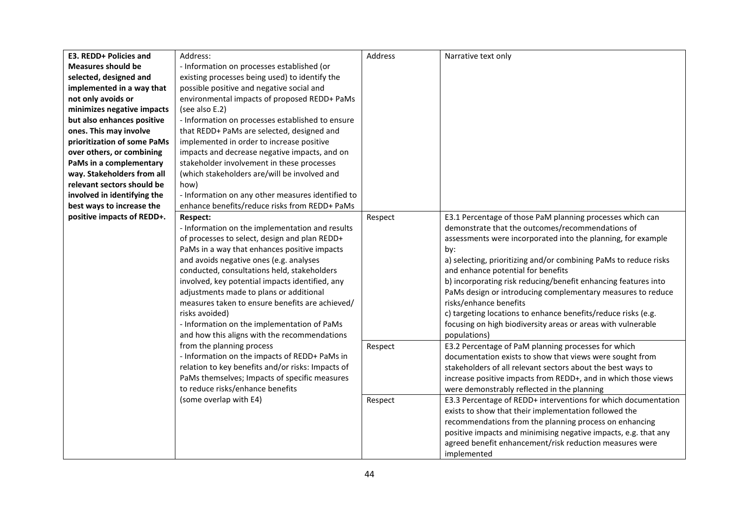| <b>E3. REDD+ Policies and</b> | Address:                                          | Address | Narrative text only                                              |
|-------------------------------|---------------------------------------------------|---------|------------------------------------------------------------------|
| <b>Measures should be</b>     | - Information on processes established (or        |         |                                                                  |
| selected, designed and        | existing processes being used) to identify the    |         |                                                                  |
| implemented in a way that     | possible positive and negative social and         |         |                                                                  |
| not only avoids or            | environmental impacts of proposed REDD+ PaMs      |         |                                                                  |
| minimizes negative impacts    | (see also E.2)                                    |         |                                                                  |
| but also enhances positive    | - Information on processes established to ensure  |         |                                                                  |
| ones. This may involve        | that REDD+ PaMs are selected, designed and        |         |                                                                  |
| prioritization of some PaMs   | implemented in order to increase positive         |         |                                                                  |
| over others, or combining     | impacts and decrease negative impacts, and on     |         |                                                                  |
| PaMs in a complementary       | stakeholder involvement in these processes        |         |                                                                  |
| way. Stakeholders from all    | (which stakeholders are/will be involved and      |         |                                                                  |
| relevant sectors should be    | how)                                              |         |                                                                  |
| involved in identifying the   | - Information on any other measures identified to |         |                                                                  |
| best ways to increase the     | enhance benefits/reduce risks from REDD+ PaMs     |         |                                                                  |
| positive impacts of REDD+.    | <b>Respect:</b>                                   | Respect | E3.1 Percentage of those PaM planning processes which can        |
|                               | - Information on the implementation and results   |         | demonstrate that the outcomes/recommendations of                 |
|                               | of processes to select, design and plan REDD+     |         | assessments were incorporated into the planning, for example     |
|                               | PaMs in a way that enhances positive impacts      |         | by:                                                              |
|                               | and avoids negative ones (e.g. analyses           |         | a) selecting, prioritizing and/or combining PaMs to reduce risks |
|                               | conducted, consultations held, stakeholders       |         | and enhance potential for benefits                               |
|                               | involved, key potential impacts identified, any   |         | b) incorporating risk reducing/benefit enhancing features into   |
|                               | adjustments made to plans or additional           |         | PaMs design or introducing complementary measures to reduce      |
|                               | measures taken to ensure benefits are achieved/   |         | risks/enhance benefits                                           |
|                               | risks avoided)                                    |         | c) targeting locations to enhance benefits/reduce risks (e.g.    |
|                               | - Information on the implementation of PaMs       |         | focusing on high biodiversity areas or areas with vulnerable     |
|                               | and how this aligns with the recommendations      |         | populations)                                                     |
|                               | from the planning process                         | Respect | E3.2 Percentage of PaM planning processes for which              |
|                               | - Information on the impacts of REDD+ PaMs in     |         | documentation exists to show that views were sought from         |
|                               | relation to key benefits and/or risks: Impacts of |         | stakeholders of all relevant sectors about the best ways to      |
|                               | PaMs themselves; Impacts of specific measures     |         | increase positive impacts from REDD+, and in which those views   |
|                               | to reduce risks/enhance benefits                  |         | were demonstrably reflected in the planning                      |
|                               | (some overlap with E4)                            | Respect | E3.3 Percentage of REDD+ interventions for which documentation   |
|                               |                                                   |         | exists to show that their implementation followed the            |
|                               |                                                   |         | recommendations from the planning process on enhancing           |
|                               |                                                   |         | positive impacts and minimising negative impacts, e.g. that any  |
|                               |                                                   |         | agreed benefit enhancement/risk reduction measures were          |
|                               |                                                   |         | implemented                                                      |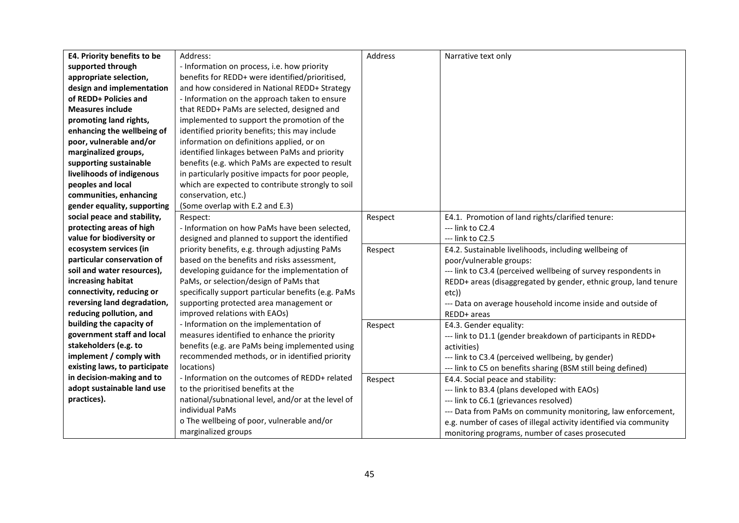| E4. Priority benefits to be   | Address:                                            | Address | Narrative text only                                               |
|-------------------------------|-----------------------------------------------------|---------|-------------------------------------------------------------------|
| supported through             | - Information on process, i.e. how priority         |         |                                                                   |
| appropriate selection,        | benefits for REDD+ were identified/prioritised,     |         |                                                                   |
| design and implementation     | and how considered in National REDD+ Strategy       |         |                                                                   |
| of REDD+ Policies and         | - Information on the approach taken to ensure       |         |                                                                   |
| <b>Measures include</b>       | that REDD+ PaMs are selected, designed and          |         |                                                                   |
| promoting land rights,        | implemented to support the promotion of the         |         |                                                                   |
| enhancing the wellbeing of    | identified priority benefits; this may include      |         |                                                                   |
| poor, vulnerable and/or       | information on definitions applied, or on           |         |                                                                   |
| marginalized groups,          | identified linkages between PaMs and priority       |         |                                                                   |
| supporting sustainable        | benefits (e.g. which PaMs are expected to result    |         |                                                                   |
| livelihoods of indigenous     | in particularly positive impacts for poor people,   |         |                                                                   |
| peoples and local             | which are expected to contribute strongly to soil   |         |                                                                   |
| communities, enhancing        | conservation, etc.)                                 |         |                                                                   |
| gender equality, supporting   | (Some overlap with E.2 and E.3)                     |         |                                                                   |
| social peace and stability,   | Respect:                                            | Respect | E4.1. Promotion of land rights/clarified tenure:                  |
| protecting areas of high      | - Information on how PaMs have been selected,       |         | $-$ -- link to $C2.4$                                             |
| value for biodiversity or     | designed and planned to support the identified      |         | --- link to C2.5                                                  |
| ecosystem services (in        | priority benefits, e.g. through adjusting PaMs      | Respect | E4.2. Sustainable livelihoods, including wellbeing of             |
| particular conservation of    | based on the benefits and risks assessment,         |         | poor/vulnerable groups:                                           |
| soil and water resources),    | developing guidance for the implementation of       |         | --- link to C3.4 (perceived wellbeing of survey respondents in    |
| increasing habitat            | PaMs, or selection/design of PaMs that              |         | REDD+ areas (disaggregated by gender, ethnic group, land tenure   |
| connectivity, reducing or     | specifically support particular benefits (e.g. PaMs |         | etc))                                                             |
| reversing land degradation,   | supporting protected area management or             |         | --- Data on average household income inside and outside of        |
| reducing pollution, and       | improved relations with EAOs)                       |         | REDD+ areas                                                       |
| building the capacity of      | - Information on the implementation of              | Respect | E4.3. Gender equality:                                            |
| government staff and local    | measures identified to enhance the priority         |         | --- link to D1.1 (gender breakdown of participants in REDD+       |
| stakeholders (e.g. to         | benefits (e.g. are PaMs being implemented using     |         | activities)                                                       |
| implement / comply with       | recommended methods, or in identified priority      |         | --- link to C3.4 (perceived wellbeing, by gender)                 |
| existing laws, to participate | locations)                                          |         | --- link to C5 on benefits sharing (BSM still being defined)      |
| in decision-making and to     | - Information on the outcomes of REDD+ related      | Respect | E4.4. Social peace and stability:                                 |
| adopt sustainable land use    | to the prioritised benefits at the                  |         | --- link to B3.4 (plans developed with EAOs)                      |
| practices).                   | national/subnational level, and/or at the level of  |         | --- link to C6.1 (grievances resolved)                            |
|                               | individual PaMs                                     |         | --- Data from PaMs on community monitoring, law enforcement,      |
|                               | o The wellbeing of poor, vulnerable and/or          |         | e.g. number of cases of illegal activity identified via community |
|                               | marginalized groups                                 |         | monitoring programs, number of cases prosecuted                   |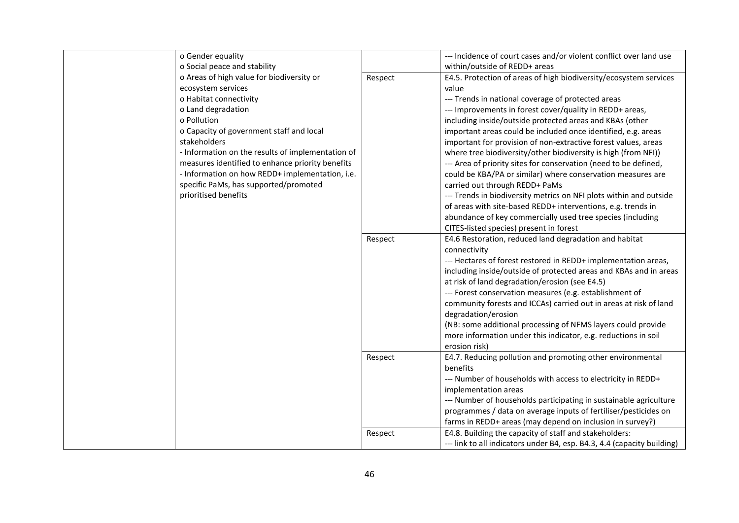|                                                                           | o Gender equality                                 |         | --- Incidence of court cases and/or violent conflict over land use      |
|---------------------------------------------------------------------------|---------------------------------------------------|---------|-------------------------------------------------------------------------|
| o Social peace and stability<br>o Areas of high value for biodiversity or |                                                   |         | within/outside of REDD+ areas                                           |
|                                                                           |                                                   | Respect | E4.5. Protection of areas of high biodiversity/ecosystem services       |
|                                                                           | ecosystem services                                |         | value                                                                   |
|                                                                           | o Habitat connectivity                            |         | --- Trends in national coverage of protected areas                      |
|                                                                           | o Land degradation                                |         | --- Improvements in forest cover/quality in REDD+ areas,                |
|                                                                           | o Pollution                                       |         | including inside/outside protected areas and KBAs (other                |
|                                                                           | o Capacity of government staff and local          |         | important areas could be included once identified, e.g. areas           |
|                                                                           | stakeholders                                      |         | important for provision of non-extractive forest values, areas          |
|                                                                           | - Information on the results of implementation of |         | where tree biodiversity/other biodiversity is high (from NFI))          |
|                                                                           | measures identified to enhance priority benefits  |         | --- Area of priority sites for conservation (need to be defined,        |
|                                                                           | - Information on how REDD+ implementation, i.e.   |         | could be KBA/PA or similar) where conservation measures are             |
|                                                                           | specific PaMs, has supported/promoted             |         | carried out through REDD+ PaMs                                          |
|                                                                           | prioritised benefits                              |         | --- Trends in biodiversity metrics on NFI plots within and outside      |
|                                                                           |                                                   |         | of areas with site-based REDD+ interventions, e.g. trends in            |
|                                                                           |                                                   |         | abundance of key commercially used tree species (including              |
|                                                                           |                                                   |         | CITES-listed species) present in forest                                 |
|                                                                           |                                                   | Respect | E4.6 Restoration, reduced land degradation and habitat                  |
|                                                                           |                                                   |         | connectivity                                                            |
|                                                                           |                                                   |         | --- Hectares of forest restored in REDD+ implementation areas,          |
|                                                                           |                                                   |         | including inside/outside of protected areas and KBAs and in areas       |
|                                                                           |                                                   |         | at risk of land degradation/erosion (see E4.5)                          |
|                                                                           |                                                   |         | --- Forest conservation measures (e.g. establishment of                 |
|                                                                           |                                                   |         | community forests and ICCAs) carried out in areas at risk of land       |
|                                                                           |                                                   |         | degradation/erosion                                                     |
|                                                                           |                                                   |         | (NB: some additional processing of NFMS layers could provide            |
|                                                                           |                                                   |         | more information under this indicator, e.g. reductions in soil          |
|                                                                           |                                                   |         | erosion risk)                                                           |
|                                                                           |                                                   | Respect | E4.7. Reducing pollution and promoting other environmental              |
|                                                                           |                                                   |         | benefits                                                                |
|                                                                           |                                                   |         | --- Number of households with access to electricity in REDD+            |
|                                                                           |                                                   |         | implementation areas                                                    |
|                                                                           |                                                   |         | --- Number of households participating in sustainable agriculture       |
|                                                                           |                                                   |         | programmes / data on average inputs of fertiliser/pesticides on         |
|                                                                           |                                                   |         | farms in REDD+ areas (may depend on inclusion in survey?)               |
|                                                                           |                                                   | Respect | E4.8. Building the capacity of staff and stakeholders:                  |
|                                                                           |                                                   |         | --- link to all indicators under B4, esp. B4.3, 4.4 (capacity building) |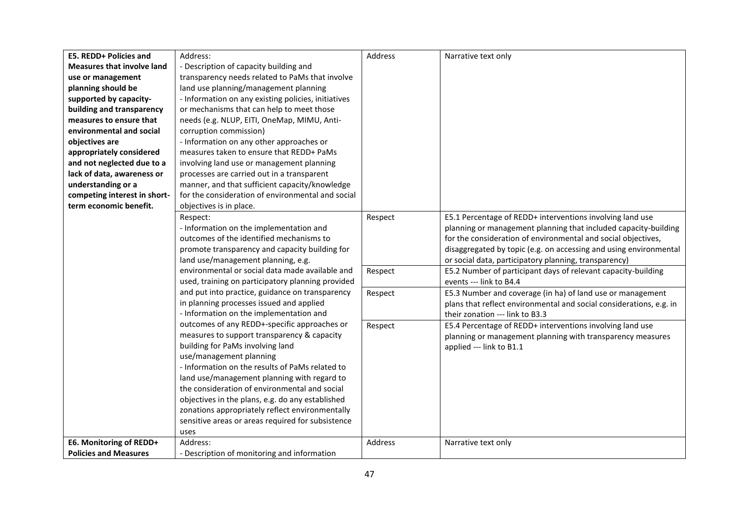| <b>E5. REDD+ Policies and</b>     | Address:                                            | Address | Narrative text only                                                 |
|-----------------------------------|-----------------------------------------------------|---------|---------------------------------------------------------------------|
| <b>Measures that involve land</b> | - Description of capacity building and              |         |                                                                     |
| use or management                 | transparency needs related to PaMs that involve     |         |                                                                     |
| planning should be                | land use planning/management planning               |         |                                                                     |
| supported by capacity-            | - Information on any existing policies, initiatives |         |                                                                     |
| building and transparency         | or mechanisms that can help to meet those           |         |                                                                     |
| measures to ensure that           | needs (e.g. NLUP, EITI, OneMap, MIMU, Anti-         |         |                                                                     |
| environmental and social          | corruption commission)                              |         |                                                                     |
| objectives are                    | - Information on any other approaches or            |         |                                                                     |
| appropriately considered          | measures taken to ensure that REDD+ PaMs            |         |                                                                     |
| and not neglected due to a        | involving land use or management planning           |         |                                                                     |
| lack of data, awareness or        | processes are carried out in a transparent          |         |                                                                     |
| understanding or a                | manner, and that sufficient capacity/knowledge      |         |                                                                     |
| competing interest in short-      | for the consideration of environmental and social   |         |                                                                     |
| term economic benefit.            | objectives is in place.                             |         |                                                                     |
|                                   | Respect:                                            | Respect | E5.1 Percentage of REDD+ interventions involving land use           |
|                                   | - Information on the implementation and             |         | planning or management planning that included capacity-building     |
|                                   | outcomes of the identified mechanisms to            |         | for the consideration of environmental and social objectives,       |
|                                   | promote transparency and capacity building for      |         | disaggregated by topic (e.g. on accessing and using environmental   |
|                                   | land use/management planning, e.g.                  |         | or social data, participatory planning, transparency)               |
|                                   | environmental or social data made available and     | Respect | E5.2 Number of participant days of relevant capacity-building       |
|                                   | used, training on participatory planning provided   |         | events --- link to B4.4                                             |
|                                   | and put into practice, guidance on transparency     | Respect | E5.3 Number and coverage (in ha) of land use or management          |
|                                   | in planning processes issued and applied            |         | plans that reflect environmental and social considerations, e.g. in |
|                                   | - Information on the implementation and             |         | their zonation --- link to B3.3                                     |
|                                   | outcomes of any REDD+-specific approaches or        | Respect | E5.4 Percentage of REDD+ interventions involving land use           |
|                                   | measures to support transparency & capacity         |         | planning or management planning with transparency measures          |
|                                   | building for PaMs involving land                    |         | applied --- link to B1.1                                            |
|                                   | use/management planning                             |         |                                                                     |
|                                   | - Information on the results of PaMs related to     |         |                                                                     |
|                                   | land use/management planning with regard to         |         |                                                                     |
|                                   | the consideration of environmental and social       |         |                                                                     |
|                                   | objectives in the plans, e.g. do any established    |         |                                                                     |
|                                   | zonations appropriately reflect environmentally     |         |                                                                     |
|                                   | sensitive areas or areas required for subsistence   |         |                                                                     |
|                                   | uses                                                |         |                                                                     |
| E6. Monitoring of REDD+           | Address:                                            | Address | Narrative text only                                                 |
| <b>Policies and Measures</b>      | - Description of monitoring and information         |         |                                                                     |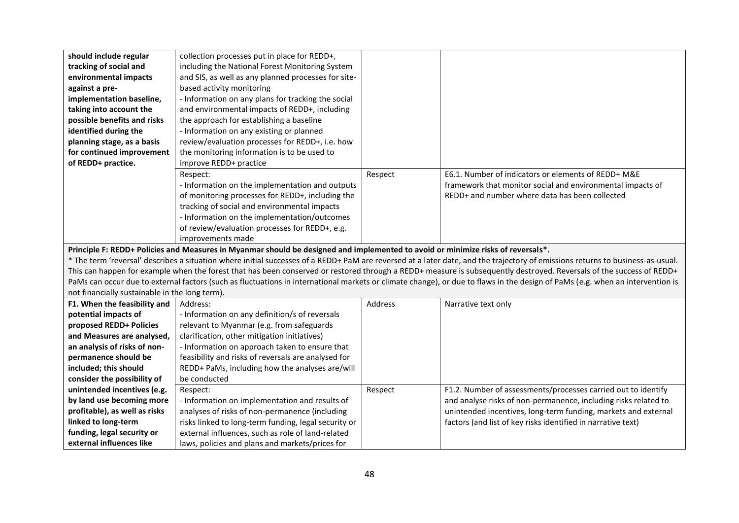| should include regular                                                                                                           | collection processes put in place for REDD+,                                                         |         |                                                                                                                                                                                |  |  |
|----------------------------------------------------------------------------------------------------------------------------------|------------------------------------------------------------------------------------------------------|---------|--------------------------------------------------------------------------------------------------------------------------------------------------------------------------------|--|--|
| tracking of social and                                                                                                           | including the National Forest Monitoring System                                                      |         |                                                                                                                                                                                |  |  |
| environmental impacts                                                                                                            | and SIS, as well as any planned processes for site-                                                  |         |                                                                                                                                                                                |  |  |
| against a pre-                                                                                                                   | based activity monitoring                                                                            |         |                                                                                                                                                                                |  |  |
| implementation baseline,                                                                                                         | - Information on any plans for tracking the social                                                   |         |                                                                                                                                                                                |  |  |
| taking into account the                                                                                                          | and environmental impacts of REDD+, including                                                        |         |                                                                                                                                                                                |  |  |
| possible benefits and risks                                                                                                      | the approach for establishing a baseline                                                             |         |                                                                                                                                                                                |  |  |
| identified during the                                                                                                            | - Information on any existing or planned                                                             |         |                                                                                                                                                                                |  |  |
| planning stage, as a basis                                                                                                       | review/evaluation processes for REDD+, i.e. how                                                      |         |                                                                                                                                                                                |  |  |
| for continued improvement                                                                                                        | the monitoring information is to be used to                                                          |         |                                                                                                                                                                                |  |  |
| of REDD+ practice.                                                                                                               | improve REDD+ practice                                                                               |         |                                                                                                                                                                                |  |  |
|                                                                                                                                  | Respect:                                                                                             | Respect | E6.1. Number of indicators or elements of REDD+ M&E                                                                                                                            |  |  |
|                                                                                                                                  | - Information on the implementation and outputs                                                      |         | framework that monitor social and environmental impacts of                                                                                                                     |  |  |
|                                                                                                                                  | of monitoring processes for REDD+, including the                                                     |         | REDD+ and number where data has been collected                                                                                                                                 |  |  |
|                                                                                                                                  | tracking of social and environmental impacts                                                         |         |                                                                                                                                                                                |  |  |
|                                                                                                                                  | - Information on the implementation/outcomes                                                         |         |                                                                                                                                                                                |  |  |
|                                                                                                                                  | of review/evaluation processes for REDD+, e.g.                                                       |         |                                                                                                                                                                                |  |  |
|                                                                                                                                  | improvements made                                                                                    |         |                                                                                                                                                                                |  |  |
| Principle F: REDD+ Policies and Measures in Myanmar should be designed and implemented to avoid or minimize risks of reversals*. |                                                                                                      |         |                                                                                                                                                                                |  |  |
|                                                                                                                                  |                                                                                                      |         |                                                                                                                                                                                |  |  |
|                                                                                                                                  |                                                                                                      |         | * The term 'reversal' describes a situation where initial successes of a REDD+ PaM are reversed at a later date, and the trajectory of emissions returns to business-as-usual. |  |  |
|                                                                                                                                  |                                                                                                      |         | This can happen for example when the forest that has been conserved or restored through a REDD+ measure is subsequently destroyed. Reversals of the success of REDD+           |  |  |
|                                                                                                                                  |                                                                                                      |         | PaMs can occur due to external factors (such as fluctuations in international markets or climate change), or due to flaws in the design of PaMs (e.g. when an intervention is  |  |  |
| not financially sustainable in the long term).                                                                                   |                                                                                                      |         |                                                                                                                                                                                |  |  |
| F1. When the feasibility and                                                                                                     | Address:                                                                                             | Address | Narrative text only                                                                                                                                                            |  |  |
| potential impacts of                                                                                                             | - Information on any definition/s of reversals                                                       |         |                                                                                                                                                                                |  |  |
| proposed REDD+ Policies                                                                                                          | relevant to Myanmar (e.g. from safeguards                                                            |         |                                                                                                                                                                                |  |  |
| and Measures are analysed,                                                                                                       | clarification, other mitigation initiatives)                                                         |         |                                                                                                                                                                                |  |  |
| an analysis of risks of non-                                                                                                     | - Information on approach taken to ensure that                                                       |         |                                                                                                                                                                                |  |  |
| permanence should be                                                                                                             | feasibility and risks of reversals are analysed for                                                  |         |                                                                                                                                                                                |  |  |
| included; this should                                                                                                            | REDD+ PaMs, including how the analyses are/will                                                      |         |                                                                                                                                                                                |  |  |
| consider the possibility of                                                                                                      | be conducted                                                                                         |         |                                                                                                                                                                                |  |  |
| unintended incentives (e.g.                                                                                                      | Respect:                                                                                             | Respect | F1.2. Number of assessments/processes carried out to identify                                                                                                                  |  |  |
| by land use becoming more                                                                                                        | - Information on implementation and results of                                                       |         | and analyse risks of non-permanence, including risks related to                                                                                                                |  |  |
| profitable), as well as risks                                                                                                    | analyses of risks of non-permanence (including                                                       |         | unintended incentives, long-term funding, markets and external                                                                                                                 |  |  |
| linked to long-term                                                                                                              | risks linked to long-term funding, legal security or                                                 |         | factors (and list of key risks identified in narrative text)                                                                                                                   |  |  |
| funding, legal security or<br>external influences like                                                                           | external influences, such as role of land-related<br>laws, policies and plans and markets/prices for |         |                                                                                                                                                                                |  |  |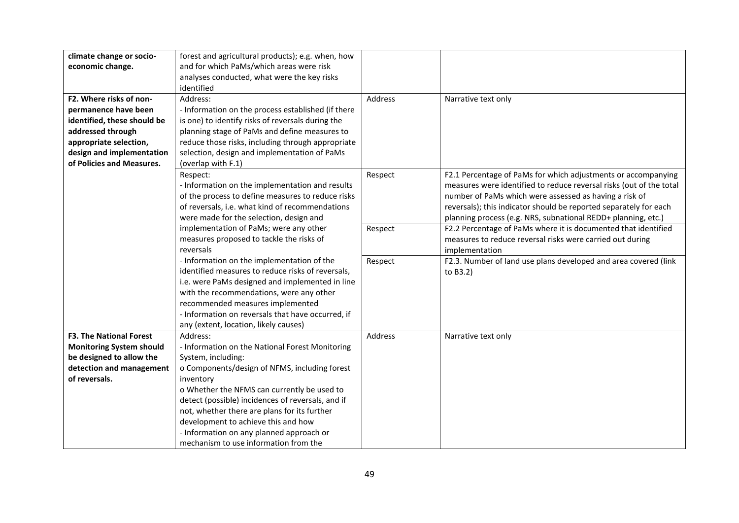| climate change or socio-        | forest and agricultural products); e.g. when, how  |         |                                                                     |
|---------------------------------|----------------------------------------------------|---------|---------------------------------------------------------------------|
| economic change.                | and for which PaMs/which areas were risk           |         |                                                                     |
|                                 | analyses conducted, what were the key risks        |         |                                                                     |
|                                 | identified                                         |         |                                                                     |
| F2. Where risks of non-         | Address:                                           | Address | Narrative text only                                                 |
| permanence have been            | - Information on the process established (if there |         |                                                                     |
| identified, these should be     | is one) to identify risks of reversals during the  |         |                                                                     |
| addressed through               | planning stage of PaMs and define measures to      |         |                                                                     |
| appropriate selection,          | reduce those risks, including through appropriate  |         |                                                                     |
| design and implementation       | selection, design and implementation of PaMs       |         |                                                                     |
| of Policies and Measures.       | (overlap with F.1)                                 |         |                                                                     |
|                                 | Respect:                                           | Respect | F2.1 Percentage of PaMs for which adjustments or accompanying       |
|                                 | - Information on the implementation and results    |         | measures were identified to reduce reversal risks (out of the total |
|                                 | of the process to define measures to reduce risks  |         | number of PaMs which were assessed as having a risk of              |
|                                 | of reversals, i.e. what kind of recommendations    |         | reversals); this indicator should be reported separately for each   |
|                                 | were made for the selection, design and            |         | planning process (e.g. NRS, subnational REDD+ planning, etc.)       |
|                                 | implementation of PaMs; were any other             | Respect | F2.2 Percentage of PaMs where it is documented that identified      |
|                                 | measures proposed to tackle the risks of           |         | measures to reduce reversal risks were carried out during           |
|                                 | reversals                                          |         | implementation                                                      |
|                                 | - Information on the implementation of the         | Respect | F2.3. Number of land use plans developed and area covered (link     |
|                                 | identified measures to reduce risks of reversals,  |         | to $B3.2$                                                           |
|                                 | i.e. were PaMs designed and implemented in line    |         |                                                                     |
|                                 | with the recommendations, were any other           |         |                                                                     |
|                                 | recommended measures implemented                   |         |                                                                     |
|                                 | - Information on reversals that have occurred, if  |         |                                                                     |
|                                 | any (extent, location, likely causes)              |         |                                                                     |
| <b>F3. The National Forest</b>  | Address:                                           | Address | Narrative text only                                                 |
| <b>Monitoring System should</b> | - Information on the National Forest Monitoring    |         |                                                                     |
| be designed to allow the        | System, including:                                 |         |                                                                     |
| detection and management        | o Components/design of NFMS, including forest      |         |                                                                     |
| of reversals.                   | inventory                                          |         |                                                                     |
|                                 | o Whether the NFMS can currently be used to        |         |                                                                     |
|                                 | detect (possible) incidences of reversals, and if  |         |                                                                     |
|                                 | not, whether there are plans for its further       |         |                                                                     |
|                                 | development to achieve this and how                |         |                                                                     |
|                                 | - Information on any planned approach or           |         |                                                                     |
|                                 | mechanism to use information from the              |         |                                                                     |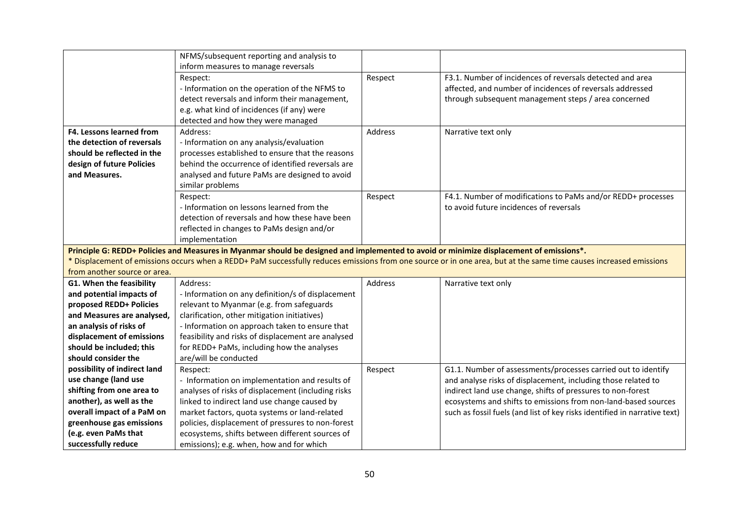|                                                                                                                                         | NFMS/subsequent reporting and analysis to                                                   |         |                                                                                                                                                                    |
|-----------------------------------------------------------------------------------------------------------------------------------------|---------------------------------------------------------------------------------------------|---------|--------------------------------------------------------------------------------------------------------------------------------------------------------------------|
|                                                                                                                                         | inform measures to manage reversals                                                         |         |                                                                                                                                                                    |
|                                                                                                                                         | Respect:                                                                                    | Respect | F3.1. Number of incidences of reversals detected and area                                                                                                          |
|                                                                                                                                         | - Information on the operation of the NFMS to                                               |         | affected, and number of incidences of reversals addressed                                                                                                          |
|                                                                                                                                         | detect reversals and inform their management,                                               |         | through subsequent management steps / area concerned                                                                                                               |
|                                                                                                                                         | e.g. what kind of incidences (if any) were                                                  |         |                                                                                                                                                                    |
|                                                                                                                                         | detected and how they were managed                                                          |         |                                                                                                                                                                    |
| <b>F4. Lessons learned from</b>                                                                                                         | Address:                                                                                    | Address | Narrative text only                                                                                                                                                |
| the detection of reversals                                                                                                              | - Information on any analysis/evaluation                                                    |         |                                                                                                                                                                    |
| should be reflected in the                                                                                                              | processes established to ensure that the reasons                                            |         |                                                                                                                                                                    |
| design of future Policies                                                                                                               | behind the occurrence of identified reversals are                                           |         |                                                                                                                                                                    |
| and Measures.                                                                                                                           | analysed and future PaMs are designed to avoid                                              |         |                                                                                                                                                                    |
|                                                                                                                                         | similar problems                                                                            |         |                                                                                                                                                                    |
|                                                                                                                                         | Respect:                                                                                    | Respect | F4.1. Number of modifications to PaMs and/or REDD+ processes                                                                                                       |
|                                                                                                                                         | - Information on lessons learned from the                                                   |         | to avoid future incidences of reversals                                                                                                                            |
|                                                                                                                                         | detection of reversals and how these have been                                              |         |                                                                                                                                                                    |
|                                                                                                                                         | reflected in changes to PaMs design and/or                                                  |         |                                                                                                                                                                    |
|                                                                                                                                         | implementation                                                                              |         |                                                                                                                                                                    |
| Principle G: REDD+ Policies and Measures in Myanmar should be designed and implemented to avoid or minimize displacement of emissions*. |                                                                                             |         |                                                                                                                                                                    |
|                                                                                                                                         |                                                                                             |         | * Displacement of emissions occurs when a REDD+ PaM successfully reduces emissions from one source or in one area, but at the same time causes increased emissions |
| from another source or area.                                                                                                            |                                                                                             |         |                                                                                                                                                                    |
|                                                                                                                                         |                                                                                             |         |                                                                                                                                                                    |
| G1. When the feasibility                                                                                                                | Address:                                                                                    | Address | Narrative text only                                                                                                                                                |
| and potential impacts of                                                                                                                | - Information on any definition/s of displacement                                           |         |                                                                                                                                                                    |
| proposed REDD+ Policies                                                                                                                 | relevant to Myanmar (e.g. from safeguards                                                   |         |                                                                                                                                                                    |
| and Measures are analysed,                                                                                                              | clarification, other mitigation initiatives)                                                |         |                                                                                                                                                                    |
| an analysis of risks of                                                                                                                 | - Information on approach taken to ensure that                                              |         |                                                                                                                                                                    |
| displacement of emissions                                                                                                               | feasibility and risks of displacement are analysed                                          |         |                                                                                                                                                                    |
| should be included; this                                                                                                                | for REDD+ PaMs, including how the analyses                                                  |         |                                                                                                                                                                    |
| should consider the                                                                                                                     | are/will be conducted                                                                       |         |                                                                                                                                                                    |
| possibility of indirect land                                                                                                            | Respect:                                                                                    | Respect | G1.1. Number of assessments/processes carried out to identify                                                                                                      |
| use change (land use                                                                                                                    | - Information on implementation and results of                                              |         | and analyse risks of displacement, including those related to                                                                                                      |
| shifting from one area to                                                                                                               | analyses of risks of displacement (including risks                                          |         | indirect land use change, shifts of pressures to non-forest                                                                                                        |
| another), as well as the                                                                                                                | linked to indirect land use change caused by                                                |         | ecosystems and shifts to emissions from non-land-based sources                                                                                                     |
| overall impact of a PaM on                                                                                                              | market factors, quota systems or land-related                                               |         | such as fossil fuels (and list of key risks identified in narrative text)                                                                                          |
| greenhouse gas emissions                                                                                                                | policies, displacement of pressures to non-forest                                           |         |                                                                                                                                                                    |
| (e.g. even PaMs that<br>successfully reduce                                                                                             | ecosystems, shifts between different sources of<br>emissions); e.g. when, how and for which |         |                                                                                                                                                                    |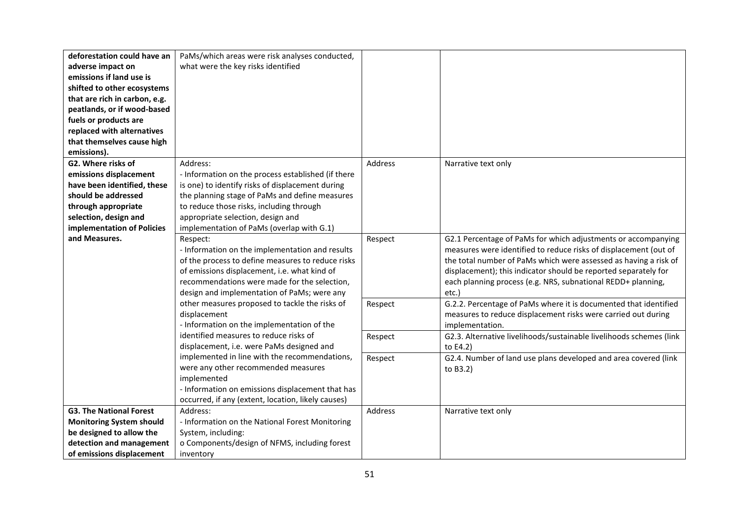| deforestation could have an     | PaMs/which areas were risk analyses conducted,                                                                                                                                                                                                                                                                                                                                                                                                                                                                                                                                                                                                                                          |                                          |                                                                                                                                                                                                                                                                                                                                                                                                                                                                                                                                                                                                                                                                              |
|---------------------------------|-----------------------------------------------------------------------------------------------------------------------------------------------------------------------------------------------------------------------------------------------------------------------------------------------------------------------------------------------------------------------------------------------------------------------------------------------------------------------------------------------------------------------------------------------------------------------------------------------------------------------------------------------------------------------------------------|------------------------------------------|------------------------------------------------------------------------------------------------------------------------------------------------------------------------------------------------------------------------------------------------------------------------------------------------------------------------------------------------------------------------------------------------------------------------------------------------------------------------------------------------------------------------------------------------------------------------------------------------------------------------------------------------------------------------------|
| adverse impact on               | what were the key risks identified                                                                                                                                                                                                                                                                                                                                                                                                                                                                                                                                                                                                                                                      |                                          |                                                                                                                                                                                                                                                                                                                                                                                                                                                                                                                                                                                                                                                                              |
| emissions if land use is        |                                                                                                                                                                                                                                                                                                                                                                                                                                                                                                                                                                                                                                                                                         |                                          |                                                                                                                                                                                                                                                                                                                                                                                                                                                                                                                                                                                                                                                                              |
| shifted to other ecosystems     |                                                                                                                                                                                                                                                                                                                                                                                                                                                                                                                                                                                                                                                                                         |                                          |                                                                                                                                                                                                                                                                                                                                                                                                                                                                                                                                                                                                                                                                              |
| that are rich in carbon, e.g.   |                                                                                                                                                                                                                                                                                                                                                                                                                                                                                                                                                                                                                                                                                         |                                          |                                                                                                                                                                                                                                                                                                                                                                                                                                                                                                                                                                                                                                                                              |
| peatlands, or if wood-based     |                                                                                                                                                                                                                                                                                                                                                                                                                                                                                                                                                                                                                                                                                         |                                          |                                                                                                                                                                                                                                                                                                                                                                                                                                                                                                                                                                                                                                                                              |
| fuels or products are           |                                                                                                                                                                                                                                                                                                                                                                                                                                                                                                                                                                                                                                                                                         |                                          |                                                                                                                                                                                                                                                                                                                                                                                                                                                                                                                                                                                                                                                                              |
| replaced with alternatives      |                                                                                                                                                                                                                                                                                                                                                                                                                                                                                                                                                                                                                                                                                         |                                          |                                                                                                                                                                                                                                                                                                                                                                                                                                                                                                                                                                                                                                                                              |
| that themselves cause high      |                                                                                                                                                                                                                                                                                                                                                                                                                                                                                                                                                                                                                                                                                         |                                          |                                                                                                                                                                                                                                                                                                                                                                                                                                                                                                                                                                                                                                                                              |
| emissions).                     |                                                                                                                                                                                                                                                                                                                                                                                                                                                                                                                                                                                                                                                                                         |                                          |                                                                                                                                                                                                                                                                                                                                                                                                                                                                                                                                                                                                                                                                              |
| G2. Where risks of              | Address:                                                                                                                                                                                                                                                                                                                                                                                                                                                                                                                                                                                                                                                                                | Address                                  | Narrative text only                                                                                                                                                                                                                                                                                                                                                                                                                                                                                                                                                                                                                                                          |
| emissions displacement          | - Information on the process established (if there                                                                                                                                                                                                                                                                                                                                                                                                                                                                                                                                                                                                                                      |                                          |                                                                                                                                                                                                                                                                                                                                                                                                                                                                                                                                                                                                                                                                              |
| have been identified, these     | is one) to identify risks of displacement during                                                                                                                                                                                                                                                                                                                                                                                                                                                                                                                                                                                                                                        |                                          |                                                                                                                                                                                                                                                                                                                                                                                                                                                                                                                                                                                                                                                                              |
| should be addressed             | the planning stage of PaMs and define measures                                                                                                                                                                                                                                                                                                                                                                                                                                                                                                                                                                                                                                          |                                          |                                                                                                                                                                                                                                                                                                                                                                                                                                                                                                                                                                                                                                                                              |
| through appropriate             | to reduce those risks, including through                                                                                                                                                                                                                                                                                                                                                                                                                                                                                                                                                                                                                                                |                                          |                                                                                                                                                                                                                                                                                                                                                                                                                                                                                                                                                                                                                                                                              |
| selection, design and           | appropriate selection, design and                                                                                                                                                                                                                                                                                                                                                                                                                                                                                                                                                                                                                                                       |                                          |                                                                                                                                                                                                                                                                                                                                                                                                                                                                                                                                                                                                                                                                              |
| implementation of Policies      | implementation of PaMs (overlap with G.1)                                                                                                                                                                                                                                                                                                                                                                                                                                                                                                                                                                                                                                               |                                          |                                                                                                                                                                                                                                                                                                                                                                                                                                                                                                                                                                                                                                                                              |
| and Measures.                   | Respect:<br>- Information on the implementation and results<br>of the process to define measures to reduce risks<br>of emissions displacement, i.e. what kind of<br>recommendations were made for the selection,<br>design and implementation of PaMs; were any<br>other measures proposed to tackle the risks of<br>displacement<br>- Information on the implementation of the<br>identified measures to reduce risks of<br>displacement, i.e. were PaMs designed and<br>implemented in line with the recommendations,<br>were any other recommended measures<br>implemented<br>- Information on emissions displacement that has<br>occurred, if any (extent, location, likely causes) | Respect<br>Respect<br>Respect<br>Respect | G2.1 Percentage of PaMs for which adjustments or accompanying<br>measures were identified to reduce risks of displacement (out of<br>the total number of PaMs which were assessed as having a risk of<br>displacement); this indicator should be reported separately for<br>each planning process (e.g. NRS, subnational REDD+ planning,<br>etc.)<br>G.2.2. Percentage of PaMs where it is documented that identified<br>measures to reduce displacement risks were carried out during<br>implementation.<br>G2.3. Alternative livelihoods/sustainable livelihoods schemes (link<br>to E4.2)<br>G2.4. Number of land use plans developed and area covered (link<br>to $B3.2$ |
| <b>G3. The National Forest</b>  | Address:                                                                                                                                                                                                                                                                                                                                                                                                                                                                                                                                                                                                                                                                                | Address                                  | Narrative text only                                                                                                                                                                                                                                                                                                                                                                                                                                                                                                                                                                                                                                                          |
| <b>Monitoring System should</b> | - Information on the National Forest Monitoring                                                                                                                                                                                                                                                                                                                                                                                                                                                                                                                                                                                                                                         |                                          |                                                                                                                                                                                                                                                                                                                                                                                                                                                                                                                                                                                                                                                                              |
| be designed to allow the        | System, including:                                                                                                                                                                                                                                                                                                                                                                                                                                                                                                                                                                                                                                                                      |                                          |                                                                                                                                                                                                                                                                                                                                                                                                                                                                                                                                                                                                                                                                              |
| detection and management        | o Components/design of NFMS, including forest                                                                                                                                                                                                                                                                                                                                                                                                                                                                                                                                                                                                                                           |                                          |                                                                                                                                                                                                                                                                                                                                                                                                                                                                                                                                                                                                                                                                              |
| of emissions displacement       | inventory                                                                                                                                                                                                                                                                                                                                                                                                                                                                                                                                                                                                                                                                               |                                          |                                                                                                                                                                                                                                                                                                                                                                                                                                                                                                                                                                                                                                                                              |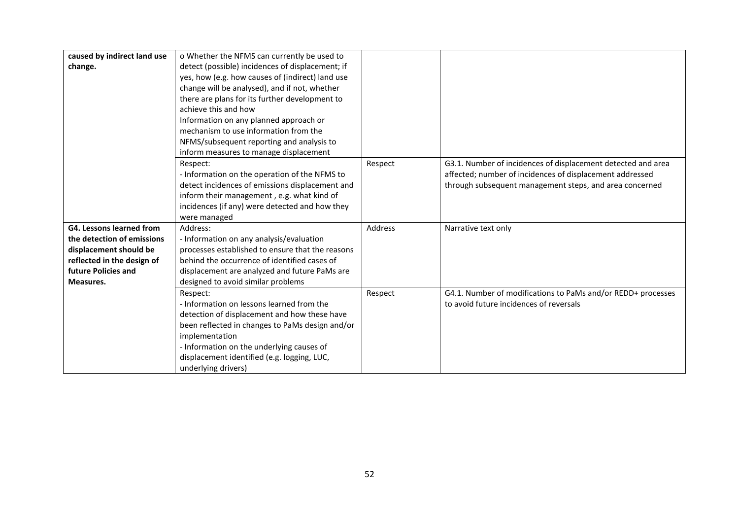| caused by indirect land use | o Whether the NFMS can currently be used to      |                |                                                              |
|-----------------------------|--------------------------------------------------|----------------|--------------------------------------------------------------|
| change.                     | detect (possible) incidences of displacement; if |                |                                                              |
|                             | yes, how (e.g. how causes of (indirect) land use |                |                                                              |
|                             | change will be analysed), and if not, whether    |                |                                                              |
|                             | there are plans for its further development to   |                |                                                              |
|                             | achieve this and how                             |                |                                                              |
|                             | Information on any planned approach or           |                |                                                              |
|                             | mechanism to use information from the            |                |                                                              |
|                             | NFMS/subsequent reporting and analysis to        |                |                                                              |
|                             | inform measures to manage displacement           |                |                                                              |
|                             | Respect:                                         | Respect        | G3.1. Number of incidences of displacement detected and area |
|                             | - Information on the operation of the NFMS to    |                | affected; number of incidences of displacement addressed     |
|                             | detect incidences of emissions displacement and  |                | through subsequent management steps, and area concerned      |
|                             | inform their management, e.g. what kind of       |                |                                                              |
|                             | incidences (if any) were detected and how they   |                |                                                              |
|                             | were managed                                     |                |                                                              |
| G4. Lessons learned from    | Address:                                         | <b>Address</b> | Narrative text only                                          |
| the detection of emissions  | - Information on any analysis/evaluation         |                |                                                              |
| displacement should be      | processes established to ensure that the reasons |                |                                                              |
| reflected in the design of  | behind the occurrence of identified cases of     |                |                                                              |
| future Policies and         | displacement are analyzed and future PaMs are    |                |                                                              |
| Measures.                   | designed to avoid similar problems               |                |                                                              |
|                             | Respect:                                         | Respect        | G4.1. Number of modifications to PaMs and/or REDD+ processes |
|                             | - Information on lessons learned from the        |                | to avoid future incidences of reversals                      |
|                             | detection of displacement and how these have     |                |                                                              |
|                             | been reflected in changes to PaMs design and/or  |                |                                                              |
|                             | implementation                                   |                |                                                              |
|                             | - Information on the underlying causes of        |                |                                                              |
|                             | displacement identified (e.g. logging, LUC,      |                |                                                              |
|                             | underlying drivers)                              |                |                                                              |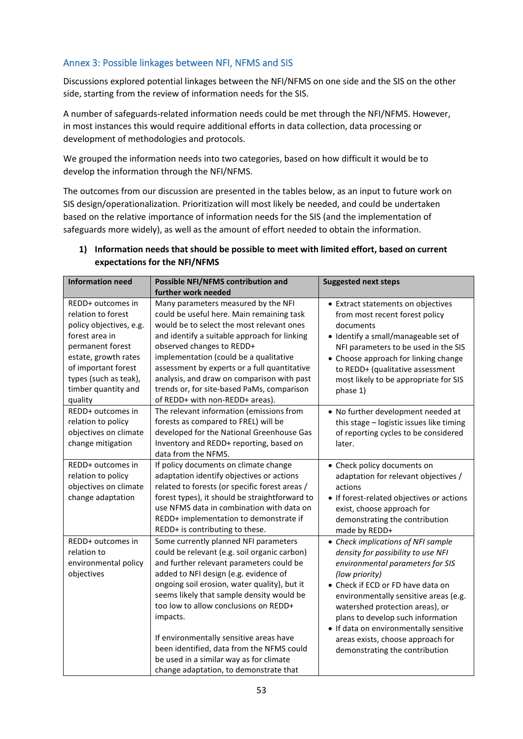# <span id="page-52-0"></span>Annex 3: Possible linkages between NFI, NFMS and SIS

Discussions explored potential linkages between the NFI/NFMS on one side and the SIS on the other side, starting from the review of information needs for the SIS.

A number of safeguards-related information needs could be met through the NFI/NFMS. However, in most instances this would require additional efforts in data collection, data processing or development of methodologies and protocols.

We grouped the information needs into two categories, based on how difficult it would be to develop the information through the NFI/NFMS.

The outcomes from our discussion are presented in the tables below, as an input to future work on SIS design/operationalization. Prioritization will most likely be needed, and could be undertaken based on the relative importance of information needs for the SIS (and the implementation of safeguards more widely), as well as the amount of effort needed to obtain the information.

### **1) Information needs that should be possible to meet with limited effort, based on current expectations for the NFI/NFMS**

| <b>Information need</b> | <b>Possible NFI/NFMS contribution and</b>      | <b>Suggested next steps</b>               |
|-------------------------|------------------------------------------------|-------------------------------------------|
|                         | further work needed                            |                                           |
| REDD+ outcomes in       | Many parameters measured by the NFI            | • Extract statements on objectives        |
| relation to forest      | could be useful here. Main remaining task      | from most recent forest policy            |
| policy objectives, e.g. | would be to select the most relevant ones      | documents                                 |
| forest area in          | and identify a suitable approach for linking   | · Identify a small/manageable set of      |
| permanent forest        | observed changes to REDD+                      | NFI parameters to be used in the SIS      |
| estate, growth rates    | implementation (could be a qualitative         | • Choose approach for linking change      |
| of important forest     | assessment by experts or a full quantitative   | to REDD+ (qualitative assessment          |
| types (such as teak),   | analysis, and draw on comparison with past     | most likely to be appropriate for SIS     |
| timber quantity and     | trends or, for site-based PaMs, comparison     | phase 1)                                  |
| quality                 | of REDD+ with non-REDD+ areas).                |                                           |
| REDD+ outcomes in       | The relevant information (emissions from       | • No further development needed at        |
| relation to policy      | forests as compared to FREL) will be           | this stage - logistic issues like timing  |
| objectives on climate   | developed for the National Greenhouse Gas      | of reporting cycles to be considered      |
| change mitigation       | Inventory and REDD+ reporting, based on        | later.                                    |
|                         | data from the NFMS.                            |                                           |
| REDD+ outcomes in       | If policy documents on climate change          | • Check policy documents on               |
| relation to policy      | adaptation identify objectives or actions      | adaptation for relevant objectives /      |
| objectives on climate   | related to forests (or specific forest areas / | actions                                   |
| change adaptation       | forest types), it should be straightforward to | • If forest-related objectives or actions |
|                         | use NFMS data in combination with data on      | exist, choose approach for                |
|                         | REDD+ implementation to demonstrate if         | demonstrating the contribution            |
|                         | REDD+ is contributing to these.                | made by REDD+                             |
| REDD+ outcomes in       | Some currently planned NFI parameters          | • Check implications of NFI sample        |
| relation to             | could be relevant (e.g. soil organic carbon)   | density for possibility to use NFI        |
| environmental policy    | and further relevant parameters could be       | environmental parameters for SIS          |
| objectives              | added to NFI design (e.g. evidence of          | (low priority)                            |
|                         | ongoing soil erosion, water quality), but it   | • Check if ECD or FD have data on         |
|                         | seems likely that sample density would be      | environmentally sensitive areas (e.g.     |
|                         | too low to allow conclusions on REDD+          | watershed protection areas), or           |
|                         | impacts.                                       | plans to develop such information         |
|                         |                                                | • If data on environmentally sensitive    |
|                         | If environmentally sensitive areas have        | areas exists, choose approach for         |
|                         | been identified, data from the NFMS could      | demonstrating the contribution            |
|                         | be used in a similar way as for climate        |                                           |
|                         | change adaptation, to demonstrate that         |                                           |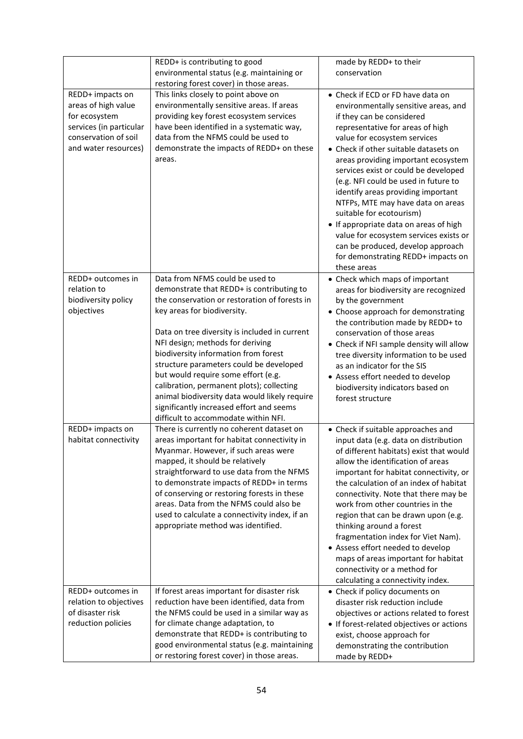|                         | REDD+ is contributing to good                                                          | made by REDD+ to their                                                            |
|-------------------------|----------------------------------------------------------------------------------------|-----------------------------------------------------------------------------------|
|                         | environmental status (e.g. maintaining or<br>restoring forest cover) in those areas.   | conservation                                                                      |
| REDD+ impacts on        | This links closely to point above on                                                   | • Check if ECD or FD have data on                                                 |
| areas of high value     | environmentally sensitive areas. If areas                                              | environmentally sensitive areas, and                                              |
| for ecosystem           | providing key forest ecosystem services                                                | if they can be considered                                                         |
| services (in particular | have been identified in a systematic way,                                              | representative for areas of high                                                  |
| conservation of soil    | data from the NFMS could be used to                                                    | value for ecosystem services                                                      |
| and water resources)    | demonstrate the impacts of REDD+ on these                                              | • Check if other suitable datasets on                                             |
|                         | areas.                                                                                 | areas providing important ecosystem                                               |
|                         |                                                                                        | services exist or could be developed<br>(e.g. NFI could be used in future to      |
|                         |                                                                                        | identify areas providing important                                                |
|                         |                                                                                        | NTFPs, MTE may have data on areas                                                 |
|                         |                                                                                        | suitable for ecotourism)                                                          |
|                         |                                                                                        | • If appropriate data on areas of high                                            |
|                         |                                                                                        | value for ecosystem services exists or                                            |
|                         |                                                                                        | can be produced, develop approach                                                 |
|                         |                                                                                        | for demonstrating REDD+ impacts on<br>these areas                                 |
| REDD+ outcomes in       | Data from NFMS could be used to                                                        | • Check which maps of important                                                   |
| relation to             | demonstrate that REDD+ is contributing to                                              | areas for biodiversity are recognized                                             |
| biodiversity policy     | the conservation or restoration of forests in                                          | by the government                                                                 |
| objectives              | key areas for biodiversity.                                                            | • Choose approach for demonstrating                                               |
|                         |                                                                                        | the contribution made by REDD+ to                                                 |
|                         | Data on tree diversity is included in current<br>NFI design; methods for deriving      | conservation of those areas                                                       |
|                         | biodiversity information from forest                                                   | • Check if NFI sample density will allow<br>tree diversity information to be used |
|                         | structure parameters could be developed                                                | as an indicator for the SIS                                                       |
|                         | but would require some effort (e.g.                                                    | • Assess effort needed to develop                                                 |
|                         | calibration, permanent plots); collecting                                              | biodiversity indicators based on                                                  |
|                         | animal biodiversity data would likely require                                          | forest structure                                                                  |
|                         | significantly increased effort and seems                                               |                                                                                   |
| REDD+ impacts on        | difficult to accommodate within NFI.<br>There is currently no coherent dataset on      | • Check if suitable approaches and                                                |
| habitat connectivity    | areas important for habitat connectivity in                                            | input data (e.g. data on distribution                                             |
|                         | Myanmar. However, if such areas were                                                   | of different habitats) exist that would                                           |
|                         | mapped, it should be relatively                                                        | allow the identification of areas                                                 |
|                         | straightforward to use data from the NFMS                                              | important for habitat connectivity, or                                            |
|                         | to demonstrate impacts of REDD+ in terms                                               | the calculation of an index of habitat                                            |
|                         | of conserving or restoring forests in these<br>areas. Data from the NFMS could also be | connectivity. Note that there may be<br>work from other countries in the          |
|                         | used to calculate a connectivity index, if an                                          | region that can be drawn upon (e.g.                                               |
|                         | appropriate method was identified.                                                     | thinking around a forest                                                          |
|                         |                                                                                        | fragmentation index for Viet Nam).                                                |
|                         |                                                                                        | • Assess effort needed to develop                                                 |
|                         |                                                                                        | maps of areas important for habitat                                               |
|                         |                                                                                        | connectivity or a method for                                                      |
| REDD+ outcomes in       | If forest areas important for disaster risk                                            | calculating a connectivity index.<br>• Check if policy documents on               |
| relation to objectives  | reduction have been identified, data from                                              | disaster risk reduction include                                                   |
| of disaster risk        | the NFMS could be used in a similar way as                                             | objectives or actions related to forest                                           |
| reduction policies      | for climate change adaptation, to                                                      | • If forest-related objectives or actions                                         |
|                         | demonstrate that REDD+ is contributing to                                              | exist, choose approach for                                                        |
|                         | good environmental status (e.g. maintaining                                            | demonstrating the contribution                                                    |
|                         | or restoring forest cover) in those areas.                                             | made by REDD+                                                                     |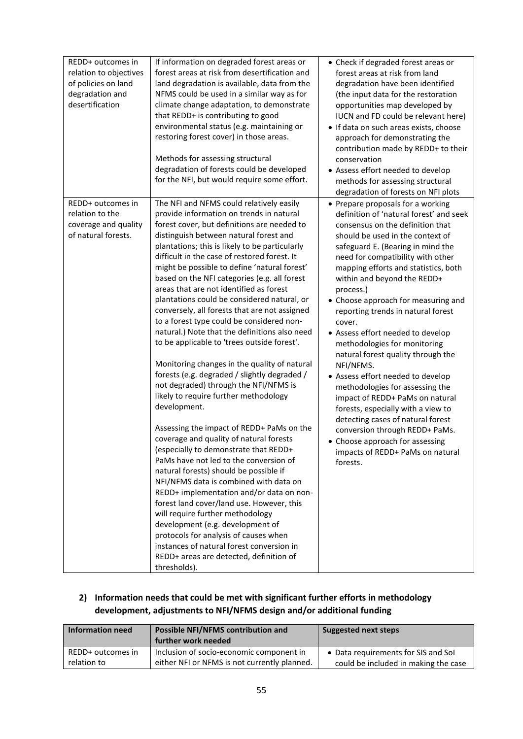| REDD+ outcomes in<br>relation to objectives<br>of policies on land<br>degradation and<br>desertification | If information on degraded forest areas or<br>forest areas at risk from desertification and<br>land degradation is available, data from the<br>NFMS could be used in a similar way as for<br>climate change adaptation, to demonstrate<br>that REDD+ is contributing to good<br>environmental status (e.g. maintaining or<br>restoring forest cover) in those areas.<br>Methods for assessing structural<br>degradation of forests could be developed<br>for the NFI, but would require some effort.                                                                                                                                                                                                                                                                                                                                                                                                                                                                                                                                                                                                                                                                                                                                                                                                                                                                                                                                                       | • Check if degraded forest areas or<br>forest areas at risk from land<br>degradation have been identified<br>(the input data for the restoration<br>opportunities map developed by<br>IUCN and FD could be relevant here)<br>• If data on such areas exists, choose<br>approach for demonstrating the<br>contribution made by REDD+ to their<br>conservation<br>• Assess effort needed to develop<br>methods for assessing structural<br>degradation of forests on NFI plots                                                                                                                                                                                                                                                                                                                                                                 |
|----------------------------------------------------------------------------------------------------------|------------------------------------------------------------------------------------------------------------------------------------------------------------------------------------------------------------------------------------------------------------------------------------------------------------------------------------------------------------------------------------------------------------------------------------------------------------------------------------------------------------------------------------------------------------------------------------------------------------------------------------------------------------------------------------------------------------------------------------------------------------------------------------------------------------------------------------------------------------------------------------------------------------------------------------------------------------------------------------------------------------------------------------------------------------------------------------------------------------------------------------------------------------------------------------------------------------------------------------------------------------------------------------------------------------------------------------------------------------------------------------------------------------------------------------------------------------|----------------------------------------------------------------------------------------------------------------------------------------------------------------------------------------------------------------------------------------------------------------------------------------------------------------------------------------------------------------------------------------------------------------------------------------------------------------------------------------------------------------------------------------------------------------------------------------------------------------------------------------------------------------------------------------------------------------------------------------------------------------------------------------------------------------------------------------------|
| REDD+ outcomes in<br>relation to the<br>coverage and quality<br>of natural forests.                      | The NFI and NFMS could relatively easily<br>provide information on trends in natural<br>forest cover, but definitions are needed to<br>distinguish between natural forest and<br>plantations; this is likely to be particularly<br>difficult in the case of restored forest. It<br>might be possible to define 'natural forest'<br>based on the NFI categories (e.g. all forest<br>areas that are not identified as forest<br>plantations could be considered natural, or<br>conversely, all forests that are not assigned<br>to a forest type could be considered non-<br>natural.) Note that the definitions also need<br>to be applicable to 'trees outside forest'.<br>Monitoring changes in the quality of natural<br>forests (e.g. degraded / slightly degraded /<br>not degraded) through the NFI/NFMS is<br>likely to require further methodology<br>development.<br>Assessing the impact of REDD+ PaMs on the<br>coverage and quality of natural forests<br>(especially to demonstrate that REDD+<br>PaMs have not led to the conversion of<br>natural forests) should be possible if<br>NFI/NFMS data is combined with data on<br>REDD+ implementation and/or data on non-<br>forest land cover/land use. However, this<br>will require further methodology<br>development (e.g. development of<br>protocols for analysis of causes when<br>instances of natural forest conversion in<br>REDD+ areas are detected, definition of<br>thresholds). | • Prepare proposals for a working<br>definition of 'natural forest' and seek<br>consensus on the definition that<br>should be used in the context of<br>safeguard E. (Bearing in mind the<br>need for compatibility with other<br>mapping efforts and statistics, both<br>within and beyond the REDD+<br>process.)<br>• Choose approach for measuring and<br>reporting trends in natural forest<br>cover.<br>• Assess effort needed to develop<br>methodologies for monitoring<br>natural forest quality through the<br>NFI/NFMS.<br>• Assess effort needed to develop<br>methodologies for assessing the<br>impact of REDD+ PaMs on natural<br>forests, especially with a view to<br>detecting cases of natural forest<br>conversion through REDD+ PaMs.<br>• Choose approach for assessing<br>impacts of REDD+ PaMs on natural<br>forests. |

# **2) Information needs that could be met with significant further efforts in methodology development, adjustments to NFI/NFMS design and/or additional funding**

| Information need  | Possible NFI/NFMS contribution and           | <b>Suggested next steps</b>          |
|-------------------|----------------------------------------------|--------------------------------------|
|                   | further work needed                          |                                      |
| REDD+ outcomes in | Inclusion of socio-economic component in     | • Data requirements for SIS and Sol  |
| relation to       | either NFI or NFMS is not currently planned. | could be included in making the case |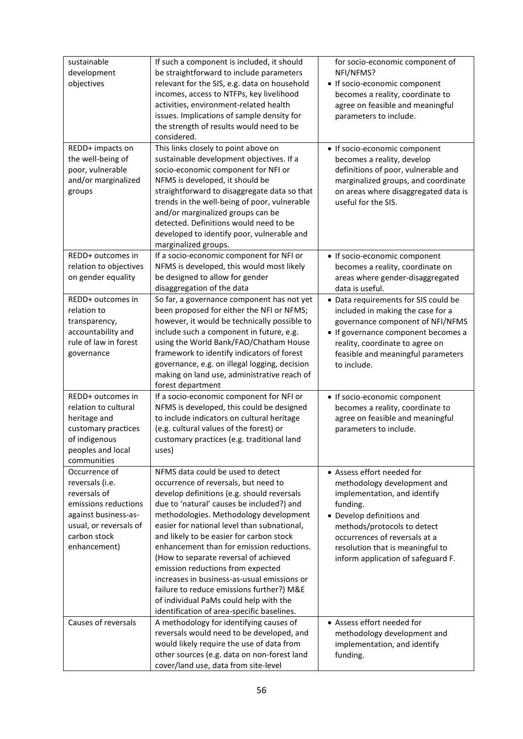| sustainable<br>development<br>objectives                                                                                                                   | If such a component is included, it should<br>be straightforward to include parameters<br>relevant for the SIS, e.g. data on household<br>incomes, access to NTFPs, key livelihood<br>activities, environment-related health<br>issues. Implications of sample density for<br>the strength of results would need to be<br>considered.                                                                                                                                                                                                                                                                                    | for socio-economic component of<br>NFI/NFMS?<br>• If socio-economic component<br>becomes a reality, coordinate to<br>agree on feasible and meaningful<br>parameters to include.                                                                                              |
|------------------------------------------------------------------------------------------------------------------------------------------------------------|--------------------------------------------------------------------------------------------------------------------------------------------------------------------------------------------------------------------------------------------------------------------------------------------------------------------------------------------------------------------------------------------------------------------------------------------------------------------------------------------------------------------------------------------------------------------------------------------------------------------------|------------------------------------------------------------------------------------------------------------------------------------------------------------------------------------------------------------------------------------------------------------------------------|
| REDD+ impacts on<br>the well-being of<br>poor, vulnerable<br>and/or marginalized<br>groups                                                                 | This links closely to point above on<br>sustainable development objectives. If a<br>socio-economic component for NFI or<br>NFMS is developed, it should be<br>straightforward to disaggregate data so that<br>trends in the well-being of poor, vulnerable<br>and/or marginalized groups can be<br>detected. Definitions would need to be<br>developed to identify poor, vulnerable and<br>marginalized groups.                                                                                                                                                                                                          | • If socio-economic component<br>becomes a reality, develop<br>definitions of poor, vulnerable and<br>marginalized groups, and coordinate<br>on areas where disaggregated data is<br>useful for the SIS.                                                                     |
| REDD+ outcomes in<br>relation to objectives<br>on gender equality                                                                                          | If a socio-economic component for NFI or<br>NFMS is developed, this would most likely<br>be designed to allow for gender<br>disaggregation of the data                                                                                                                                                                                                                                                                                                                                                                                                                                                                   | • If socio-economic component<br>becomes a reality, coordinate on<br>areas where gender-disaggregated<br>data is useful.                                                                                                                                                     |
| REDD+ outcomes in<br>relation to<br>transparency,<br>accountability and<br>rule of law in forest<br>governance                                             | So far, a governance component has not yet<br>been proposed for either the NFI or NFMS;<br>however, it would be technically possible to<br>include such a component in future, e.g.<br>using the World Bank/FAO/Chatham House<br>framework to identify indicators of forest<br>governance, e.g. on illegal logging, decision<br>making on land use, administrative reach of<br>forest department                                                                                                                                                                                                                         | • Data requirements for SIS could be<br>included in making the case for a<br>governance component of NFI/NFMS<br>• If governance component becomes a<br>reality, coordinate to agree on<br>feasible and meaningful parameters<br>to include.                                 |
| REDD+ outcomes in<br>relation to cultural<br>heritage and<br>customary practices<br>of indigenous<br>peoples and local<br>communities                      | If a socio-economic component for NFI or<br>NFMS is developed, this could be designed<br>to include indicators on cultural heritage<br>(e.g. cultural values of the forest) or<br>customary practices (e.g. traditional land<br>uses)                                                                                                                                                                                                                                                                                                                                                                                    | • If socio-economic component<br>becomes a reality, coordinate to<br>agree on feasible and meaningful<br>parameters to include.                                                                                                                                              |
| Occurrence of<br>reversals (i.e.<br>reversals of<br>emissions reductions<br>against business-as-<br>usual, or reversals of<br>carbon stock<br>enhancement) | NFMS data could be used to detect<br>occurrence of reversals, but need to<br>develop definitions (e.g. should reversals<br>due to 'natural' causes be included?) and<br>methodologies. Methodology development<br>easier for national level than subnational,<br>and likely to be easier for carbon stock<br>enhancement than for emission reductions.<br>(How to separate reversal of achieved<br>emission reductions from expected<br>increases in business-as-usual emissions or<br>failure to reduce emissions further?) M&E<br>of individual PaMs could help with the<br>identification of area-specific baselines. | • Assess effort needed for<br>methodology development and<br>implementation, and identify<br>funding.<br>• Develop definitions and<br>methods/protocols to detect<br>occurrences of reversals at a<br>resolution that is meaningful to<br>inform application of safeguard F. |
| Causes of reversals                                                                                                                                        | A methodology for identifying causes of<br>reversals would need to be developed, and<br>would likely require the use of data from<br>other sources (e.g. data on non-forest land<br>cover/land use, data from site-level                                                                                                                                                                                                                                                                                                                                                                                                 | • Assess effort needed for<br>methodology development and<br>implementation, and identify<br>funding.                                                                                                                                                                        |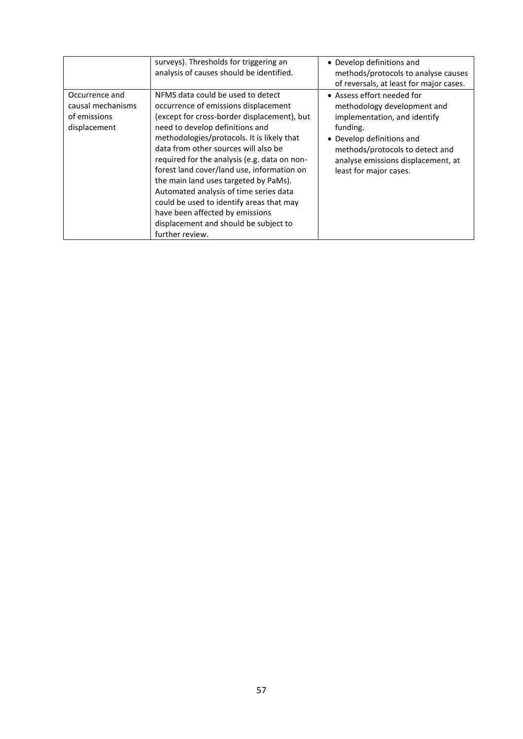|                                                                     | surveys). Thresholds for triggering an<br>analysis of causes should be identified.                                                                                                                                                                                                                                                                                                                                                                                                                                                                                            | • Develop definitions and<br>methods/protocols to analyse causes<br>of reversals, at least for major cases.                                                                                                                           |
|---------------------------------------------------------------------|-------------------------------------------------------------------------------------------------------------------------------------------------------------------------------------------------------------------------------------------------------------------------------------------------------------------------------------------------------------------------------------------------------------------------------------------------------------------------------------------------------------------------------------------------------------------------------|---------------------------------------------------------------------------------------------------------------------------------------------------------------------------------------------------------------------------------------|
| Occurrence and<br>causal mechanisms<br>of emissions<br>displacement | NFMS data could be used to detect<br>occurrence of emissions displacement<br>(except for cross-border displacement), but<br>need to develop definitions and<br>methodologies/protocols. It is likely that<br>data from other sources will also be<br>required for the analysis (e.g. data on non-<br>forest land cover/land use, information on<br>the main land uses targeted by PaMs).<br>Automated analysis of time series data<br>could be used to identify areas that may<br>have been affected by emissions<br>displacement and should be subject to<br>further review. | • Assess effort needed for<br>methodology development and<br>implementation, and identify<br>funding.<br>• Develop definitions and<br>methods/protocols to detect and<br>analyse emissions displacement, at<br>least for major cases. |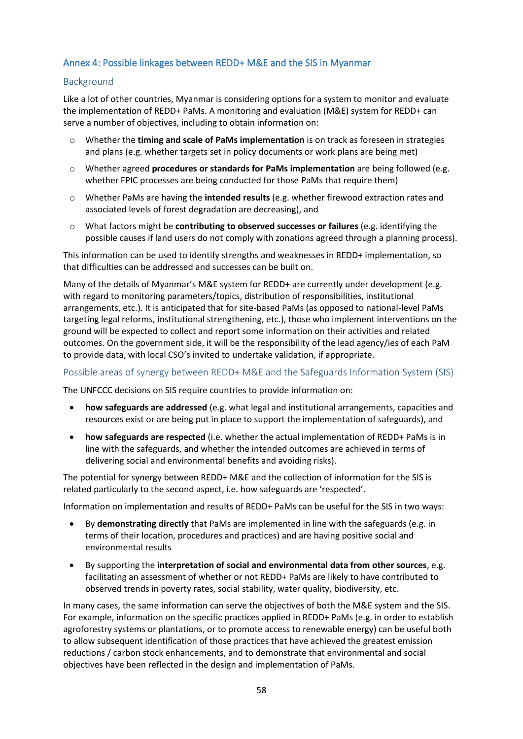#### <span id="page-57-0"></span>Annex 4: Possible linkages between REDD+ M&E and the SIS in Myanmar

#### Background

Like a lot of other countries, Myanmar is considering options for a system to monitor and evaluate the implementation of REDD+ PaMs. A monitoring and evaluation (M&E) system for REDD+ can serve a number of objectives, including to obtain information on:

- o Whether the **timing and scale of PaMs implementation** is on track as foreseen in strategies and plans (e.g. whether targets set in policy documents or work plans are being met)
- o Whether agreed **procedures or standards for PaMs implementation** are being followed (e.g. whether FPIC processes are being conducted for those PaMs that require them)
- o Whether PaMs are having the **intended results** (e.g. whether firewood extraction rates and associated levels of forest degradation are decreasing), and
- o What factors might be **contributing to observed successes or failures** (e.g. identifying the possible causes if land users do not comply with zonations agreed through a planning process).

This information can be used to identify strengths and weaknesses in REDD+ implementation, so that difficulties can be addressed and successes can be built on.

Many of the details of Myanmar's M&E system for REDD+ are currently under development (e.g. with regard to monitoring parameters/topics, distribution of responsibilities, institutional arrangements, etc.). It is anticipated that for site-based PaMs (as opposed to national-level PaMs targeting legal reforms, institutional strengthening, etc.), those who implement interventions on the ground will be expected to collect and report some information on their activities and related outcomes. On the government side, it will be the responsibility of the lead agency/ies of each PaM to provide data, with local CSO's invited to undertake validation, if appropriate.

#### Possible areas of synergy between REDD+ M&E and the Safeguards Information System (SIS)

The UNFCCC decisions on SIS require countries to provide information on:

- **how safeguards are addressed** (e.g. what legal and institutional arrangements, capacities and resources exist or are being put in place to support the implementation of safeguards), and
- **how safeguards are respected** (i.e. whether the actual implementation of REDD+ PaMs is in line with the safeguards, and whether the intended outcomes are achieved in terms of delivering social and environmental benefits and avoiding risks).

The potential for synergy between REDD+ M&E and the collection of information for the SIS is related particularly to the second aspect, i.e. how safeguards are 'respected'.

Information on implementation and results of REDD+ PaMs can be useful for the SIS in two ways:

- By **demonstrating directly** that PaMs are implemented in line with the safeguards (e.g. in terms of their location, procedures and practices) and are having positive social and environmental results
- By supporting the **interpretation of social and environmental data from other sources**, e.g. facilitating an assessment of whether or not REDD+ PaMs are likely to have contributed to observed trends in poverty rates, social stability, water quality, biodiversity, etc.

In many cases, the same information can serve the objectives of both the M&E system and the SIS. For example, information on the specific practices applied in REDD+ PaMs (e.g. in order to establish agroforestry systems or plantations, or to promote access to renewable energy) can be useful both to allow subsequent identification of those practices that have achieved the greatest emission reductions / carbon stock enhancements, and to demonstrate that environmental and social objectives have been reflected in the design and implementation of PaMs.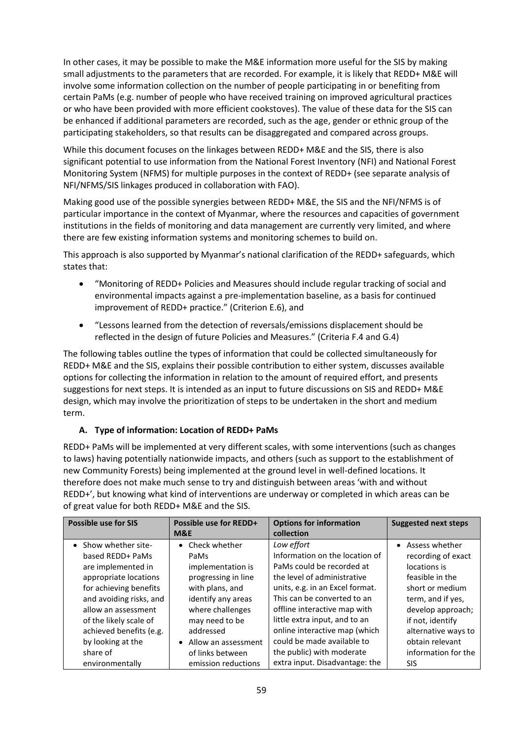In other cases, it may be possible to make the M&E information more useful for the SIS by making small adjustments to the parameters that are recorded. For example, it is likely that REDD+ M&E will involve some information collection on the number of people participating in or benefiting from certain PaMs (e.g. number of people who have received training on improved agricultural practices or who have been provided with more efficient cookstoves). The value of these data for the SIS can be enhanced if additional parameters are recorded, such as the age, gender or ethnic group of the participating stakeholders, so that results can be disaggregated and compared across groups.

While this document focuses on the linkages between REDD+ M&E and the SIS, there is also significant potential to use information from the National Forest Inventory (NFI) and National Forest Monitoring System (NFMS) for multiple purposes in the context of REDD+ (see separate analysis of NFI/NFMS/SIS linkages produced in collaboration with FAO).

Making good use of the possible synergies between REDD+ M&E, the SIS and the NFI/NFMS is of particular importance in the context of Myanmar, where the resources and capacities of government institutions in the fields of monitoring and data management are currently very limited, and where there are few existing information systems and monitoring schemes to build on.

This approach is also supported by Myanmar's national clarification of the REDD+ safeguards, which states that:

- "Monitoring of REDD+ Policies and Measures should include regular tracking of social and environmental impacts against a pre-implementation baseline, as a basis for continued improvement of REDD+ practice." (Criterion E.6), and
- "Lessons learned from the detection of reversals/emissions displacement should be reflected in the design of future Policies and Measures." (Criteria F.4 and G.4)

The following tables outline the types of information that could be collected simultaneously for REDD+ M&E and the SIS, explains their possible contribution to either system, discusses available options for collecting the information in relation to the amount of required effort, and presents suggestions for next steps. It is intended as an input to future discussions on SIS and REDD+ M&E design, which may involve the prioritization of steps to be undertaken in the short and medium term.

# **A. Type of information: Location of REDD+ PaMs**

REDD+ PaMs will be implemented at very different scales, with some interventions (such as changes to laws) having potentially nationwide impacts, and others (such as support to the establishment of new Community Forests) being implemented at the ground level in well-defined locations. It therefore does not make much sense to try and distinguish between areas 'with and without REDD+', but knowing what kind of interventions are underway or completed in which areas can be of great value for both REDD+ M&E and the SIS.

| <b>Possible use for SIS</b>                                                                                                                                                                                                                                                  | Possible use for REDD+<br>M&E                                                                                                                                                                                           | <b>Options for information</b><br>collection                                                                                                                                                                                                                                                                                                                              | <b>Suggested next steps</b>                                                                                                                                                                                                        |
|------------------------------------------------------------------------------------------------------------------------------------------------------------------------------------------------------------------------------------------------------------------------------|-------------------------------------------------------------------------------------------------------------------------------------------------------------------------------------------------------------------------|---------------------------------------------------------------------------------------------------------------------------------------------------------------------------------------------------------------------------------------------------------------------------------------------------------------------------------------------------------------------------|------------------------------------------------------------------------------------------------------------------------------------------------------------------------------------------------------------------------------------|
| • Show whether site-<br>based REDD+ PaMs<br>are implemented in<br>appropriate locations<br>for achieving benefits<br>and avoiding risks, and<br>allow an assessment<br>of the likely scale of<br>achieved benefits (e.g.<br>by looking at the<br>share of<br>environmentally | Check whether<br>$\bullet$<br>PaMs<br>implementation is<br>progressing in line<br>with plans, and<br>identify any areas<br>where challenges<br>may need to be<br>addressed<br>• Allow an assessment<br>of links between | Low effort<br>Information on the location of<br>PaMs could be recorded at<br>the level of administrative<br>units, e.g. in an Excel format.<br>This can be converted to an<br>offline interactive map with<br>little extra input, and to an<br>online interactive map (which<br>could be made available to<br>the public) with moderate<br>extra input. Disadvantage: the | • Assess whether<br>recording of exact<br>locations is<br>feasible in the<br>short or medium<br>term, and if yes,<br>develop approach;<br>if not, identify<br>alternative ways to<br>obtain relevant<br>information for the<br>SIS |
|                                                                                                                                                                                                                                                                              | emission reductions                                                                                                                                                                                                     |                                                                                                                                                                                                                                                                                                                                                                           |                                                                                                                                                                                                                                    |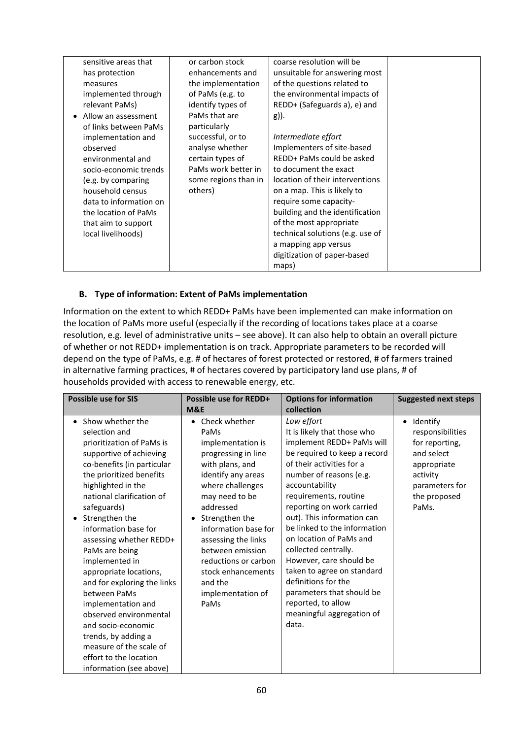| sensitive areas that   | or carbon stock      | coarse resolution will be        |  |
|------------------------|----------------------|----------------------------------|--|
| has protection         | enhancements and     | unsuitable for answering most    |  |
| measures               | the implementation   | of the questions related to      |  |
| implemented through    | of PaMs (e.g. to     | the environmental impacts of     |  |
| relevant PaMs)         | identify types of    | REDD+ (Safeguards a), e) and     |  |
| Allow an assessment    | PaMs that are        | g)).                             |  |
| of links between PaMs  | particularly         |                                  |  |
| implementation and     | successful, or to    | Intermediate effort              |  |
| observed               | analyse whether      | Implementers of site-based       |  |
| environmental and      | certain types of     | REDD+ PaMs could be asked        |  |
| socio-economic trends  | PaMs work better in  | to document the exact            |  |
| (e.g. by comparing     | some regions than in | location of their interventions  |  |
| household census       | others)              | on a map. This is likely to      |  |
| data to information on |                      | require some capacity-           |  |
| the location of PaMs   |                      | building and the identification  |  |
| that aim to support    |                      | of the most appropriate          |  |
| local livelihoods)     |                      | technical solutions (e.g. use of |  |
|                        |                      | a mapping app versus             |  |
|                        |                      | digitization of paper-based      |  |
|                        |                      | maps)                            |  |

#### **B. Type of information: Extent of PaMs implementation**

Information on the extent to which REDD+ PaMs have been implemented can make information on the location of PaMs more useful (especially if the recording of locations takes place at a coarse resolution, e.g. level of administrative units – see above). It can also help to obtain an overall picture of whether or not REDD+ implementation is on track. Appropriate parameters to be recorded will depend on the type of PaMs, e.g. # of hectares of forest protected or restored, # of farmers trained in alternative farming practices, # of hectares covered by participatory land use plans, # of households provided with access to renewable energy, etc.

| <b>Possible use for SIS</b>                                                                                                                                                                                                                                                                                                                                                                                                                                                                                                                                                            | Possible use for REDD+                                                                                                                                                                                                                                                                                                                                  | <b>Options for information</b>                                                                                                                                                                                                                                                                                                                                                                                                                                                                                                   | <b>Suggested next steps</b>                                                                                                                     |
|----------------------------------------------------------------------------------------------------------------------------------------------------------------------------------------------------------------------------------------------------------------------------------------------------------------------------------------------------------------------------------------------------------------------------------------------------------------------------------------------------------------------------------------------------------------------------------------|---------------------------------------------------------------------------------------------------------------------------------------------------------------------------------------------------------------------------------------------------------------------------------------------------------------------------------------------------------|----------------------------------------------------------------------------------------------------------------------------------------------------------------------------------------------------------------------------------------------------------------------------------------------------------------------------------------------------------------------------------------------------------------------------------------------------------------------------------------------------------------------------------|-------------------------------------------------------------------------------------------------------------------------------------------------|
|                                                                                                                                                                                                                                                                                                                                                                                                                                                                                                                                                                                        | <b>M&amp;E</b>                                                                                                                                                                                                                                                                                                                                          | collection                                                                                                                                                                                                                                                                                                                                                                                                                                                                                                                       |                                                                                                                                                 |
| • Show whether the<br>selection and<br>prioritization of PaMs is<br>supportive of achieving<br>co-benefits (in particular<br>the prioritized benefits<br>highlighted in the<br>national clarification of<br>safeguards)<br>Strengthen the<br>information base for<br>assessing whether REDD+<br>PaMs are being<br>implemented in<br>appropriate locations,<br>and for exploring the links<br>between PaMs<br>implementation and<br>observed environmental<br>and socio-economic<br>trends, by adding a<br>measure of the scale of<br>effort to the location<br>information (see above) | • Check whether<br>PaMs<br>implementation is<br>progressing in line<br>with plans, and<br>identify any areas<br>where challenges<br>may need to be<br>addressed<br>Strengthen the<br>$\bullet$<br>information base for<br>assessing the links<br>between emission<br>reductions or carbon<br>stock enhancements<br>and the<br>implementation of<br>PaMs | Low effort<br>It is likely that those who<br>implement REDD+ PaMs will<br>be required to keep a record<br>of their activities for a<br>number of reasons (e.g.<br>accountability<br>requirements, routine<br>reporting on work carried<br>out). This information can<br>be linked to the information<br>on location of PaMs and<br>collected centrally.<br>However, care should be<br>taken to agree on standard<br>definitions for the<br>parameters that should be<br>reported, to allow<br>meaningful aggregation of<br>data. | Identify<br>$\bullet$<br>responsibilities<br>for reporting,<br>and select<br>appropriate<br>activity<br>parameters for<br>the proposed<br>PaMs. |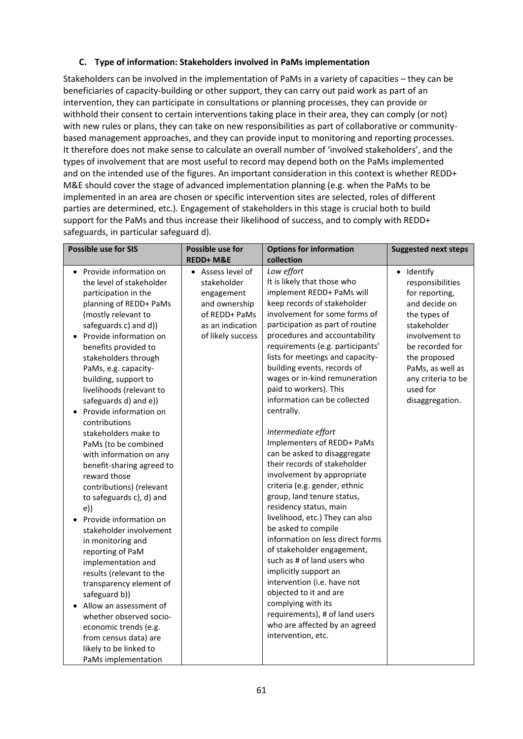### **C. Type of information: Stakeholders involved in PaMs implementation**

Stakeholders can be involved in the implementation of PaMs in a variety of capacities – they can be beneficiaries of capacity-building or other support, they can carry out paid work as part of an intervention, they can participate in consultations or planning processes, they can provide or withhold their consent to certain interventions taking place in their area, they can comply (or not) with new rules or plans, they can take on new responsibilities as part of collaborative or communitybased management approaches, and they can provide input to monitoring and reporting processes. It therefore does not make sense to calculate an overall number of 'involved stakeholders', and the types of involvement that are most useful to record may depend both on the PaMs implemented and on the intended use of the figures. An important consideration in this context is whether REDD+ M&E should cover the stage of advanced implementation planning (e.g. when the PaMs to be implemented in an area are chosen or specific intervention sites are selected, roles of different parties are determined, etc.). Engagement of stakeholders in this stage is crucial both to build support for the PaMs and thus increase their likelihood of success, and to comply with REDD+ safeguards, in particular safeguard d).

| <b>REDD+M&amp;E</b><br>collection<br>Low effort<br>Provide information on<br>• Assess level of<br>the level of stakeholder<br>stakeholder<br>participation in the<br>engagement<br>planning of REDD+ PaMs<br>and ownership<br>of REDD+ PaMs<br>(mostly relevant to<br>safeguards c) and d))<br>as an indication<br>Provide information on<br>of likely success                                                                                                                                                                                                                                                                                                                                                                              | It is likely that those who<br>implement REDD+ PaMs will<br>keep records of stakeholder<br>involvement for some forms of                                                                                                                                                                                                                                                                                                                                                                                                                                                                                                                                                                                                                                                                                                                                                    | · Identify<br>responsibilities<br>for reporting,<br>and decide on<br>the types of                                                         |
|---------------------------------------------------------------------------------------------------------------------------------------------------------------------------------------------------------------------------------------------------------------------------------------------------------------------------------------------------------------------------------------------------------------------------------------------------------------------------------------------------------------------------------------------------------------------------------------------------------------------------------------------------------------------------------------------------------------------------------------------|-----------------------------------------------------------------------------------------------------------------------------------------------------------------------------------------------------------------------------------------------------------------------------------------------------------------------------------------------------------------------------------------------------------------------------------------------------------------------------------------------------------------------------------------------------------------------------------------------------------------------------------------------------------------------------------------------------------------------------------------------------------------------------------------------------------------------------------------------------------------------------|-------------------------------------------------------------------------------------------------------------------------------------------|
|                                                                                                                                                                                                                                                                                                                                                                                                                                                                                                                                                                                                                                                                                                                                             |                                                                                                                                                                                                                                                                                                                                                                                                                                                                                                                                                                                                                                                                                                                                                                                                                                                                             |                                                                                                                                           |
| benefits provided to<br>stakeholders through<br>PaMs, e.g. capacity-<br>building, support to<br>livelihoods (relevant to<br>safeguards d) and e))<br>centrally.<br>Provide information on<br>contributions<br>stakeholders make to<br>PaMs (to be combined<br>with information on any<br>benefit-sharing agreed to<br>reward those<br>contributions) (relevant<br>to safeguards c), d) and<br>e))<br>Provide information on<br>stakeholder involvement<br>in monitoring and<br>reporting of PaM<br>implementation and<br>results (relevant to the<br>transparency element of<br>safeguard b))<br>Allow an assessment of<br>$\bullet$<br>whether observed socio-<br>economic trends (e.g.<br>from census data) are<br>likely to be linked to | participation as part of routine<br>procedures and accountability<br>requirements (e.g. participants'<br>lists for meetings and capacity-<br>building events, records of<br>wages or in-kind remuneration<br>paid to workers). This<br>information can be collected<br>Intermediate effort<br>Implementers of REDD+ PaMs<br>can be asked to disaggregate<br>their records of stakeholder<br>involvement by appropriate<br>criteria (e.g. gender, ethnic<br>group, land tenure status,<br>residency status, main<br>livelihood, etc.) They can also<br>be asked to compile<br>information on less direct forms<br>of stakeholder engagement,<br>such as # of land users who<br>implicitly support an<br>intervention (i.e. have not<br>objected to it and are<br>complying with its<br>requirements), # of land users<br>who are affected by an agreed<br>intervention, etc. | stakeholder<br>involvement to<br>be recorded for<br>the proposed<br>PaMs, as well as<br>any criteria to be<br>used for<br>disaggregation. |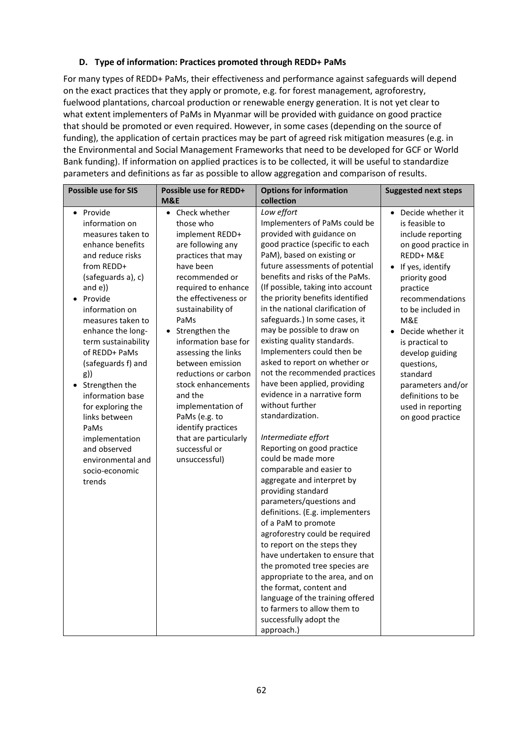### **D. Type of information: Practices promoted through REDD+ PaMs**

For many types of REDD+ PaMs, their effectiveness and performance against safeguards will depend on the exact practices that they apply or promote, e.g. for forest management, agroforestry, fuelwood plantations, charcoal production or renewable energy generation. It is not yet clear to what extent implementers of PaMs in Myanmar will be provided with guidance on good practice that should be promoted or even required. However, in some cases (depending on the source of funding), the application of certain practices may be part of agreed risk mitigation measures (e.g. in the Environmental and Social Management Frameworks that need to be developed for GCF or World Bank funding). If information on applied practices is to be collected, it will be useful to standardize parameters and definitions as far as possible to allow aggregation and comparison of results.

| <b>Possible use for SIS</b>                                                                                                                                                                                                                                                                                                                                                                                                                               | Possible use for REDD+                                                                                                                                                                                                                                                                                                                                                                                                                                                       | <b>Options for information</b>                                                                                                                                                                                                                                                                                                                                                                                                                                                                                                                                                                                                                                                                                                                                                                                                                                                                                                                                                                                                                                                                                                                                                                   | <b>Suggested next steps</b>                                                                                                                                                                                                                                                                                                                                            |
|-----------------------------------------------------------------------------------------------------------------------------------------------------------------------------------------------------------------------------------------------------------------------------------------------------------------------------------------------------------------------------------------------------------------------------------------------------------|------------------------------------------------------------------------------------------------------------------------------------------------------------------------------------------------------------------------------------------------------------------------------------------------------------------------------------------------------------------------------------------------------------------------------------------------------------------------------|--------------------------------------------------------------------------------------------------------------------------------------------------------------------------------------------------------------------------------------------------------------------------------------------------------------------------------------------------------------------------------------------------------------------------------------------------------------------------------------------------------------------------------------------------------------------------------------------------------------------------------------------------------------------------------------------------------------------------------------------------------------------------------------------------------------------------------------------------------------------------------------------------------------------------------------------------------------------------------------------------------------------------------------------------------------------------------------------------------------------------------------------------------------------------------------------------|------------------------------------------------------------------------------------------------------------------------------------------------------------------------------------------------------------------------------------------------------------------------------------------------------------------------------------------------------------------------|
|                                                                                                                                                                                                                                                                                                                                                                                                                                                           | <b>M&amp;E</b>                                                                                                                                                                                                                                                                                                                                                                                                                                                               | collection                                                                                                                                                                                                                                                                                                                                                                                                                                                                                                                                                                                                                                                                                                                                                                                                                                                                                                                                                                                                                                                                                                                                                                                       |                                                                                                                                                                                                                                                                                                                                                                        |
| • Provide<br>information on<br>measures taken to<br>enhance benefits<br>and reduce risks<br>from REDD+<br>(safeguards a), c)<br>and e)<br>Provide<br>information on<br>measures taken to<br>enhance the long-<br>term sustainability<br>of REDD+ PaMs<br>(safeguards f) and<br>g))<br>Strengthen the<br>information base<br>for exploring the<br>links between<br>PaMs<br>implementation<br>and observed<br>environmental and<br>socio-economic<br>trends | • Check whether<br>those who<br>implement REDD+<br>are following any<br>practices that may<br>have been<br>recommended or<br>required to enhance<br>the effectiveness or<br>sustainability of<br>PaMs<br>• Strengthen the<br>information base for<br>assessing the links<br>between emission<br>reductions or carbon<br>stock enhancements<br>and the<br>implementation of<br>PaMs (e.g. to<br>identify practices<br>that are particularly<br>successful or<br>unsuccessful) | Low effort<br>Implementers of PaMs could be<br>provided with guidance on<br>good practice (specific to each<br>PaM), based on existing or<br>future assessments of potential<br>benefits and risks of the PaMs.<br>(If possible, taking into account<br>the priority benefits identified<br>in the national clarification of<br>safeguards.) In some cases, it<br>may be possible to draw on<br>existing quality standards.<br>Implementers could then be<br>asked to report on whether or<br>not the recommended practices<br>have been applied, providing<br>evidence in a narrative form<br>without further<br>standardization.<br>Intermediate effort<br>Reporting on good practice<br>could be made more<br>comparable and easier to<br>aggregate and interpret by<br>providing standard<br>parameters/questions and<br>definitions. (E.g. implementers<br>of a PaM to promote<br>agroforestry could be required<br>to report on the steps they<br>have undertaken to ensure that<br>the promoted tree species are<br>appropriate to the area, and on<br>the format, content and<br>language of the training offered<br>to farmers to allow them to<br>successfully adopt the<br>approach.) | Decide whether it<br>is feasible to<br>include reporting<br>on good practice in<br>REDD+ M&E<br>• If yes, identify<br>priority good<br>practice<br>recommendations<br>to be included in<br>M&E<br>Decide whether it<br>is practical to<br>develop guiding<br>questions,<br>standard<br>parameters and/or<br>definitions to be<br>used in reporting<br>on good practice |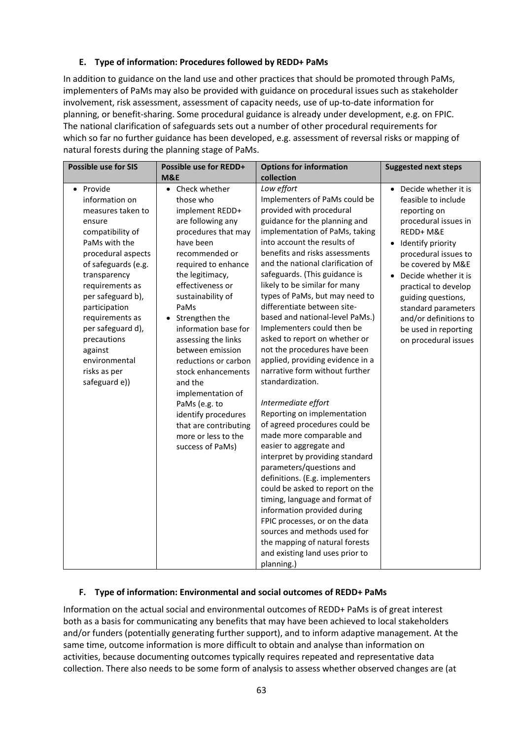### **E. Type of information: Procedures followed by REDD+ PaMs**

In addition to guidance on the land use and other practices that should be promoted through PaMs, implementers of PaMs may also be provided with guidance on procedural issues such as stakeholder involvement, risk assessment, assessment of capacity needs, use of up-to-date information for planning, or benefit-sharing. Some procedural guidance is already under development, e.g. on FPIC. The national clarification of safeguards sets out a number of other procedural requirements for which so far no further guidance has been developed, e.g. assessment of reversal risks or mapping of natural forests during the planning stage of PaMs.

| <b>Possible use for SIS</b>                                                                                                                                                                                                                                                                                                               | Possible use for REDD+<br><b>M&amp;E</b>                                                                                                                                                                                                                                                                                                                                                                                                                                                             | <b>Options for information</b><br>collection                                                                                                                                                                                                                                                                                                                                                                                                                                                                                                                                                                                                                                                                                                                                                                                                                                                                                                                                                                                                                                                                             | <b>Suggested next steps</b>                                                                                                                                                                                                                                                                                                                                          |
|-------------------------------------------------------------------------------------------------------------------------------------------------------------------------------------------------------------------------------------------------------------------------------------------------------------------------------------------|------------------------------------------------------------------------------------------------------------------------------------------------------------------------------------------------------------------------------------------------------------------------------------------------------------------------------------------------------------------------------------------------------------------------------------------------------------------------------------------------------|--------------------------------------------------------------------------------------------------------------------------------------------------------------------------------------------------------------------------------------------------------------------------------------------------------------------------------------------------------------------------------------------------------------------------------------------------------------------------------------------------------------------------------------------------------------------------------------------------------------------------------------------------------------------------------------------------------------------------------------------------------------------------------------------------------------------------------------------------------------------------------------------------------------------------------------------------------------------------------------------------------------------------------------------------------------------------------------------------------------------------|----------------------------------------------------------------------------------------------------------------------------------------------------------------------------------------------------------------------------------------------------------------------------------------------------------------------------------------------------------------------|
| • Provide<br>information on<br>measures taken to<br>ensure<br>compatibility of<br>PaMs with the<br>procedural aspects<br>of safeguards (e.g.<br>transparency<br>requirements as<br>per safeguard b),<br>participation<br>requirements as<br>per safeguard d),<br>precautions<br>against<br>environmental<br>risks as per<br>safeguard e)) | • Check whether<br>those who<br>implement REDD+<br>are following any<br>procedures that may<br>have been<br>recommended or<br>required to enhance<br>the legitimacy,<br>effectiveness or<br>sustainability of<br>PaMs<br>Strengthen the<br>information base for<br>assessing the links<br>between emission<br>reductions or carbon<br>stock enhancements<br>and the<br>implementation of<br>PaMs (e.g. to<br>identify procedures<br>that are contributing<br>more or less to the<br>success of PaMs) | Low effort<br>Implementers of PaMs could be<br>provided with procedural<br>guidance for the planning and<br>implementation of PaMs, taking<br>into account the results of<br>benefits and risks assessments<br>and the national clarification of<br>safeguards. (This guidance is<br>likely to be similar for many<br>types of PaMs, but may need to<br>differentiate between site-<br>based and national-level PaMs.)<br>Implementers could then be<br>asked to report on whether or<br>not the procedures have been<br>applied, providing evidence in a<br>narrative form without further<br>standardization.<br>Intermediate effort<br>Reporting on implementation<br>of agreed procedures could be<br>made more comparable and<br>easier to aggregate and<br>interpret by providing standard<br>parameters/questions and<br>definitions. (E.g. implementers<br>could be asked to report on the<br>timing, language and format of<br>information provided during<br>FPIC processes, or on the data<br>sources and methods used for<br>the mapping of natural forests<br>and existing land uses prior to<br>planning.) | • Decide whether it is<br>feasible to include<br>reporting on<br>procedural issues in<br>REDD+ M&E<br>Identify priority<br>$\bullet$<br>procedural issues to<br>be covered by M&E<br>Decide whether it is<br>$\bullet$<br>practical to develop<br>guiding questions,<br>standard parameters<br>and/or definitions to<br>be used in reporting<br>on procedural issues |

# **F. Type of information: Environmental and social outcomes of REDD+ PaMs**

Information on the actual social and environmental outcomes of REDD+ PaMs is of great interest both as a basis for communicating any benefits that may have been achieved to local stakeholders and/or funders (potentially generating further support), and to inform adaptive management. At the same time, outcome information is more difficult to obtain and analyse than information on activities, because documenting outcomes typically requires repeated and representative data collection. There also needs to be some form of analysis to assess whether observed changes are (at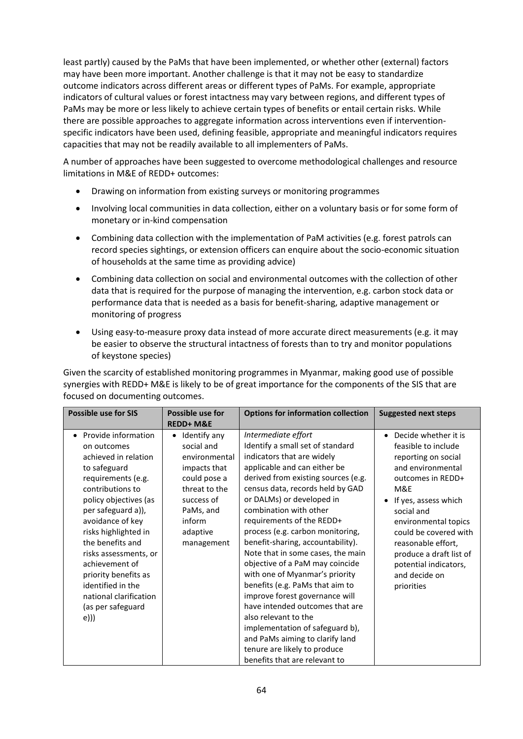least partly) caused by the PaMs that have been implemented, or whether other (external) factors may have been more important. Another challenge is that it may not be easy to standardize outcome indicators across different areas or different types of PaMs. For example, appropriate indicators of cultural values or forest intactness may vary between regions, and different types of PaMs may be more or less likely to achieve certain types of benefits or entail certain risks. While there are possible approaches to aggregate information across interventions even if interventionspecific indicators have been used, defining feasible, appropriate and meaningful indicators requires capacities that may not be readily available to all implementers of PaMs.

A number of approaches have been suggested to overcome methodological challenges and resource limitations in M&E of REDD+ outcomes:

- Drawing on information from existing surveys or monitoring programmes
- Involving local communities in data collection, either on a voluntary basis or for some form of monetary or in-kind compensation
- Combining data collection with the implementation of PaM activities (e.g. forest patrols can record species sightings, or extension officers can enquire about the socio-economic situation of households at the same time as providing advice)
- Combining data collection on social and environmental outcomes with the collection of other data that is required for the purpose of managing the intervention, e.g. carbon stock data or performance data that is needed as a basis for benefit-sharing, adaptive management or monitoring of progress
- Using easy-to-measure proxy data instead of more accurate direct measurements (e.g. it may be easier to observe the structural intactness of forests than to try and monitor populations of keystone species)

Given the scarcity of established monitoring programmes in Myanmar, making good use of possible synergies with REDD+ M&E is likely to be of great importance for the components of the SIS that are focused on documenting outcomes.

| <b>Possible use for SIS</b> | Possible use for    | <b>Options for information collection</b> | <b>Suggested next steps</b>       |
|-----------------------------|---------------------|-------------------------------------------|-----------------------------------|
|                             | <b>REDD+M&amp;E</b> |                                           |                                   |
| Provide information         | Identify any        | Intermediate effort                       | Decide whether it is<br>$\bullet$ |
| on outcomes                 | social and          | Identify a small set of standard          | feasible to include               |
| achieved in relation        | environmental       | indicators that are widely                | reporting on social               |
| to safeguard                | impacts that        | applicable and can either be              | and environmental                 |
| requirements (e.g.          | could pose a        | derived from existing sources (e.g.       | outcomes in REDD+                 |
| contributions to            | threat to the       | census data, records held by GAD          | M&E                               |
| policy objectives (as       | success of          | or DALMs) or developed in                 | If yes, assess which              |
| per safeguard a)),          | PaMs, and           | combination with other                    | social and                        |
| avoidance of key            | inform              | requirements of the REDD+                 | environmental topics              |
| risks highlighted in        | adaptive            | process (e.g. carbon monitoring,          | could be covered with             |
| the benefits and            | management          | benefit-sharing, accountability).         | reasonable effort,                |
| risks assessments, or       |                     | Note that in some cases, the main         | produce a draft list of           |
| achievement of              |                     | objective of a PaM may coincide           | potential indicators,             |
| priority benefits as        |                     | with one of Myanmar's priority            | and decide on                     |
| identified in the           |                     | benefits (e.g. PaMs that aim to           | priorities                        |
| national clarification      |                     | improve forest governance will            |                                   |
| (as per safeguard           |                     | have intended outcomes that are           |                                   |
| e)))                        |                     | also relevant to the                      |                                   |
|                             |                     | implementation of safeguard b),           |                                   |
|                             |                     | and PaMs aiming to clarify land           |                                   |
|                             |                     | tenure are likely to produce              |                                   |
|                             |                     | benefits that are relevant to             |                                   |